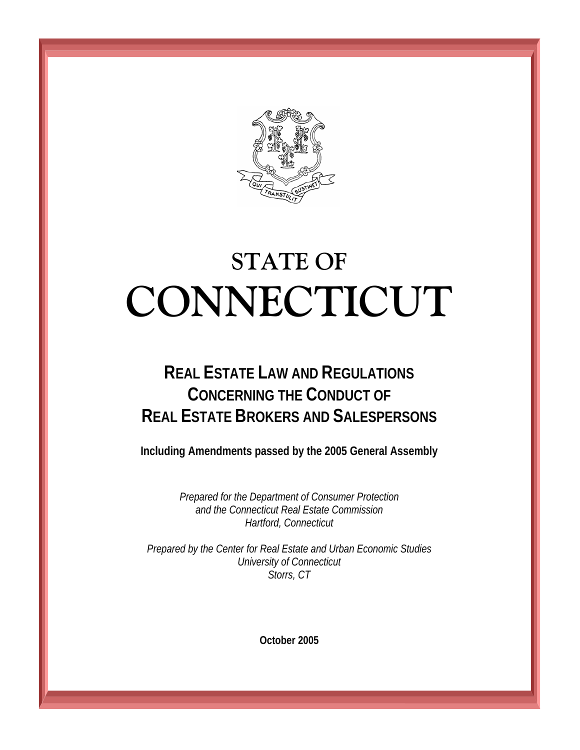

# **STATE OF CONNECTICUT**

# **REAL ESTATE LAW AND REGULATIONS CONCERNING THE CONDUCT OF REAL ESTATE BROKERS AND SALESPERSONS**

**Including Amendments passed by the 2005 General Assembly**

*Prepared for the Department of Consumer Protection and the Connecticut Real Estate Commission Hartford, Connecticut* 

*Prepared by the Center for Real Estate and Urban Economic Studies University of Connecticut Storrs, CT* 

**October 2005**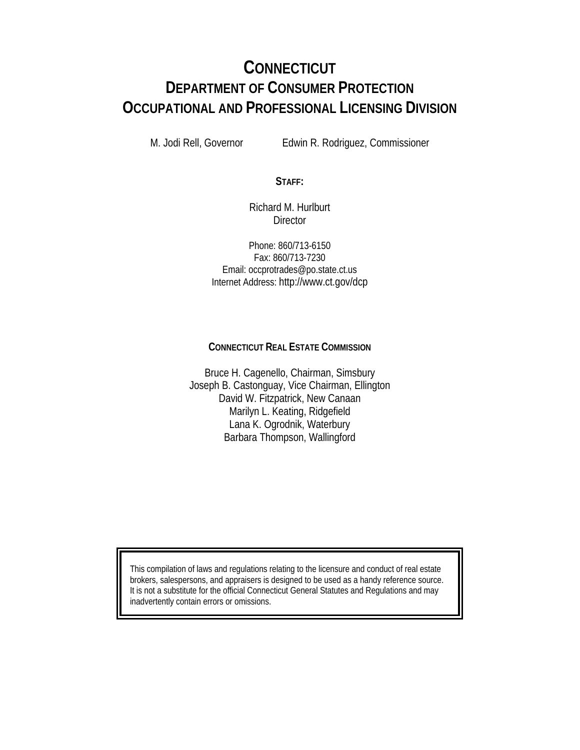## **CONNECTICUT DEPARTMENT OF CONSUMER PROTECTION OCCUPATIONAL AND PROFESSIONAL LICENSING DIVISION**

M. Jodi Rell, Governor Edwin R. Rodriguez, Commissioner

**STAFF:** 

Richard M. Hurlburt **Director Director** 

> Phone: 860/713-6150 Fax: 860/713-7230 Email: occprotrades@po.state.ct.us Internet Address: http://www.ct.gov/dcp

## **CONNECTICUT REAL ESTATE COMMISSION**

Bruce H. Cagenello, Chairman, Simsbury Joseph B. Castonguay, Vice Chairman, Ellington David W. Fitzpatrick, New Canaan Marilyn L. Keating, Ridgefield Lana K. Ogrodnik, Waterbury Barbara Thompson, Wallingford

This compilation of laws and regulations relating to the licensure and conduct of real estate brokers, salespersons, and appraisers is designed to be used as a handy reference source. It is not a substitute for the official Connecticut General Statutes and Regulations and may inadvertently contain errors or omissions.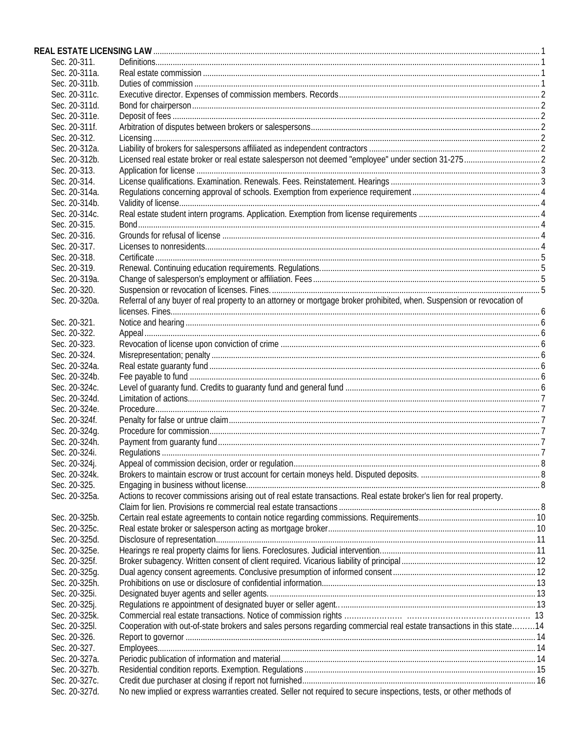| Sec. 20-311.  |                                                                                                                        |  |
|---------------|------------------------------------------------------------------------------------------------------------------------|--|
| Sec. 20-311a. |                                                                                                                        |  |
| Sec. 20-311b. |                                                                                                                        |  |
| Sec. 20-311c. |                                                                                                                        |  |
| Sec. 20-311d. |                                                                                                                        |  |
| Sec. 20-311e. |                                                                                                                        |  |
| Sec. 20-311f. |                                                                                                                        |  |
| Sec. 20-312.  |                                                                                                                        |  |
| Sec. 20-312a. |                                                                                                                        |  |
| Sec. 20-312b. |                                                                                                                        |  |
| Sec. 20-313.  |                                                                                                                        |  |
| Sec. 20-314.  |                                                                                                                        |  |
| Sec. 20-314a. |                                                                                                                        |  |
| Sec. 20-314b. |                                                                                                                        |  |
| Sec. 20-314c. |                                                                                                                        |  |
| Sec. 20-315.  |                                                                                                                        |  |
| Sec. 20-316.  |                                                                                                                        |  |
| Sec. 20-317.  |                                                                                                                        |  |
| Sec. 20-318.  |                                                                                                                        |  |
| Sec. 20-319.  |                                                                                                                        |  |
| Sec. 20-319a. |                                                                                                                        |  |
| Sec. 20-320.  |                                                                                                                        |  |
| Sec. 20-320a. | Referral of any buyer of real property to an attorney or mortgage broker prohibited, when. Suspension or revocation of |  |
|               |                                                                                                                        |  |
| Sec. 20-321.  |                                                                                                                        |  |
| Sec. 20-322.  |                                                                                                                        |  |
| Sec. 20-323.  |                                                                                                                        |  |
| Sec. 20-324.  |                                                                                                                        |  |
| Sec. 20-324a. |                                                                                                                        |  |
| Sec. 20-324b. |                                                                                                                        |  |
| Sec. 20-324c. |                                                                                                                        |  |
| Sec. 20-324d. |                                                                                                                        |  |
| Sec. 20-324e. |                                                                                                                        |  |
| Sec. 20-324f. |                                                                                                                        |  |
| Sec. 20-324g. |                                                                                                                        |  |
| Sec. 20-324h. |                                                                                                                        |  |
| Sec. 20-324i. |                                                                                                                        |  |
| Sec. 20-324j. |                                                                                                                        |  |
| Sec. 20-324k. |                                                                                                                        |  |
| Sec. 20-325.  |                                                                                                                        |  |
| Sec. 20-325a. | Actions to recover commissions arising out of real estate transactions. Real estate broker's lien for real property.   |  |
| Sec. 20-325b. |                                                                                                                        |  |
| Sec. 20-325c. |                                                                                                                        |  |
| Sec. 20-325d. |                                                                                                                        |  |
| Sec. 20-325e. |                                                                                                                        |  |
| Sec. 20-325f. |                                                                                                                        |  |
| Sec. 20-325g. |                                                                                                                        |  |
| Sec. 20-325h. |                                                                                                                        |  |
| Sec. 20-325i. |                                                                                                                        |  |
| Sec. 20-325j. |                                                                                                                        |  |
| Sec. 20-325k. |                                                                                                                        |  |
| Sec. 20-325l. | Cooperation with out-of-state brokers and sales persons regarding commercial real estate transactions in this state14  |  |
| Sec. 20-326.  |                                                                                                                        |  |
| Sec. 20-327.  |                                                                                                                        |  |
| Sec. 20-327a. |                                                                                                                        |  |
| Sec. 20-327b. |                                                                                                                        |  |
| Sec. 20-327c. |                                                                                                                        |  |
| Sec. 20-327d. | No new implied or express warranties created. Seller not required to secure inspections, tests, or other methods of    |  |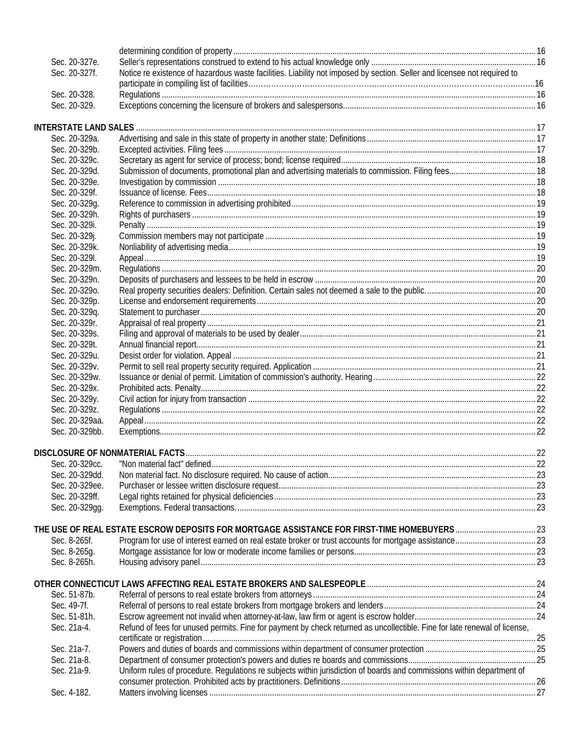| Sec. 20-327e.  |                                                                                                                           |  |
|----------------|---------------------------------------------------------------------------------------------------------------------------|--|
| Sec. 20-327f.  | Notice re existence of hazardous waste facilities. Liability not imposed by section. Seller and licensee not required to  |  |
|                |                                                                                                                           |  |
| Sec. 20-328.   |                                                                                                                           |  |
| Sec. 20-329.   |                                                                                                                           |  |
|                |                                                                                                                           |  |
|                |                                                                                                                           |  |
| Sec. 20-329a.  |                                                                                                                           |  |
| Sec. 20-329b.  |                                                                                                                           |  |
| Sec. 20-329c.  |                                                                                                                           |  |
| Sec. 20-329d.  |                                                                                                                           |  |
| Sec. 20-329e.  |                                                                                                                           |  |
| Sec. 20-329f.  |                                                                                                                           |  |
| Sec. 20-329g.  |                                                                                                                           |  |
| Sec. 20-329h.  |                                                                                                                           |  |
| Sec. 20-329i.  |                                                                                                                           |  |
|                |                                                                                                                           |  |
| Sec. 20-329j.  |                                                                                                                           |  |
| Sec. 20-329k.  |                                                                                                                           |  |
| Sec. 20-329I.  |                                                                                                                           |  |
| Sec. 20-329m.  |                                                                                                                           |  |
| Sec. 20-329n.  |                                                                                                                           |  |
| Sec. 20-3290.  |                                                                                                                           |  |
| Sec. 20-329p.  |                                                                                                                           |  |
| Sec. 20-329q.  |                                                                                                                           |  |
| Sec. 20-329r.  |                                                                                                                           |  |
| Sec. 20-329s.  |                                                                                                                           |  |
| Sec. 20-329t.  |                                                                                                                           |  |
| Sec. 20-329u.  |                                                                                                                           |  |
| Sec. 20-329v.  |                                                                                                                           |  |
| Sec. 20-329w.  |                                                                                                                           |  |
| Sec. 20-329x.  |                                                                                                                           |  |
| Sec. 20-329y.  |                                                                                                                           |  |
| Sec. 20-329z.  |                                                                                                                           |  |
| Sec. 20-329aa. |                                                                                                                           |  |
| Sec. 20-329bb. |                                                                                                                           |  |
|                |                                                                                                                           |  |
|                |                                                                                                                           |  |
| Sec. 20-329cc. |                                                                                                                           |  |
| Sec. 20-329dd. |                                                                                                                           |  |
| Sec. 20-329ee. |                                                                                                                           |  |
| Sec. 20-329ff. |                                                                                                                           |  |
| Sec. 20-329gg. |                                                                                                                           |  |
|                |                                                                                                                           |  |
|                | THE USE OF REAL ESTATE ESCROW DEPOSITS FOR MORTGAGE ASSISTANCE FOR FIRST-TIME HOMEBUYERS  23                              |  |
| Sec. 8-265f.   |                                                                                                                           |  |
| Sec. 8-265g.   |                                                                                                                           |  |
| Sec. 8-265h.   |                                                                                                                           |  |
|                |                                                                                                                           |  |
|                |                                                                                                                           |  |
| Sec. 51-87b.   |                                                                                                                           |  |
| Sec. 49-7f.    |                                                                                                                           |  |
| Sec. 51-81h.   |                                                                                                                           |  |
| Sec. 21a-4.    | Refund of fees for unused permits. Fine for payment by check returned as uncollectible. Fine for late renewal of license, |  |
|                |                                                                                                                           |  |
| Sec. 21a-7.    |                                                                                                                           |  |
| Sec. 21a-8.    |                                                                                                                           |  |
| Sec. 21a-9.    | Uniform rules of procedure. Regulations re subjects within jurisdiction of boards and commissions within department of    |  |
|                |                                                                                                                           |  |
| Sec. 4-182.    |                                                                                                                           |  |
|                |                                                                                                                           |  |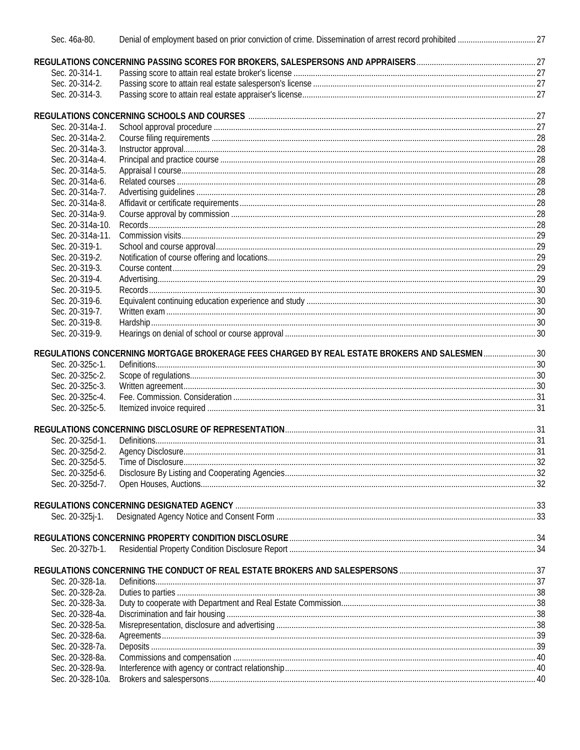| Sec. 46a-80.                       |                                                                                               |  |
|------------------------------------|-----------------------------------------------------------------------------------------------|--|
|                                    |                                                                                               |  |
| Sec. 20-314-1.                     |                                                                                               |  |
| Sec. 20-314-2.                     |                                                                                               |  |
| Sec. 20-314-3.                     |                                                                                               |  |
|                                    |                                                                                               |  |
|                                    |                                                                                               |  |
| Sec. 20-314a-1.                    |                                                                                               |  |
| Sec. 20-314a-2.                    |                                                                                               |  |
| Sec. 20-314a-3.                    |                                                                                               |  |
| Sec. 20-314a-4.                    |                                                                                               |  |
| Sec. 20-314a-5.                    |                                                                                               |  |
| Sec. 20-314a-6.                    |                                                                                               |  |
| Sec. 20-314a-7.                    |                                                                                               |  |
| Sec. 20-314a-8.                    |                                                                                               |  |
| Sec. 20-314a-9.                    |                                                                                               |  |
| Sec. 20-314a-10.                   |                                                                                               |  |
| Sec. 20-314a-11.                   |                                                                                               |  |
| Sec. 20-319-1.                     |                                                                                               |  |
| Sec. 20-319-2.                     |                                                                                               |  |
| Sec. 20-319-3.                     |                                                                                               |  |
| Sec. 20-319-4.                     |                                                                                               |  |
| Sec. 20-319-5.                     |                                                                                               |  |
| Sec. 20-319-6.                     |                                                                                               |  |
| Sec. 20-319-7.                     |                                                                                               |  |
| Sec. 20-319-8.                     |                                                                                               |  |
| Sec. 20-319-9.                     |                                                                                               |  |
|                                    | REGULATIONS CONCERNING MORTGAGE BROKERAGE FEES CHARGED BY REAL ESTATE BROKERS AND SALESMEN 30 |  |
|                                    |                                                                                               |  |
| Sec. 20-325c-1.<br>Sec. 20-325c-2. |                                                                                               |  |
| Sec. 20-325c-3.                    |                                                                                               |  |
| Sec. 20-325c-4.                    |                                                                                               |  |
| Sec. 20-325c-5.                    |                                                                                               |  |
|                                    |                                                                                               |  |
|                                    |                                                                                               |  |
| Sec. 20-325d-1.                    |                                                                                               |  |
| Sec. 20-325d-2.                    |                                                                                               |  |
| Sec. 20-325d-5.                    |                                                                                               |  |
| Sec. 20-325d-6.                    |                                                                                               |  |
| Sec. 20-325d-7.                    |                                                                                               |  |
|                                    |                                                                                               |  |
|                                    |                                                                                               |  |
| Sec. 20-325j-1.                    |                                                                                               |  |
|                                    |                                                                                               |  |
|                                    |                                                                                               |  |
| Sec. 20-327b-1.                    |                                                                                               |  |
|                                    |                                                                                               |  |
| Sec. 20-328-1a.                    |                                                                                               |  |
| Sec. 20-328-2a.                    |                                                                                               |  |
| Sec. 20-328-3a.                    |                                                                                               |  |
| Sec. 20-328-4a.                    |                                                                                               |  |
| Sec. 20-328-5a.                    |                                                                                               |  |
| Sec. 20-328-6a.                    |                                                                                               |  |
| Sec. 20-328-7a.                    |                                                                                               |  |
| Sec. 20-328-8a.                    |                                                                                               |  |
| Sec. 20-328-9a.                    |                                                                                               |  |
| Sec. 20-328-10a.                   |                                                                                               |  |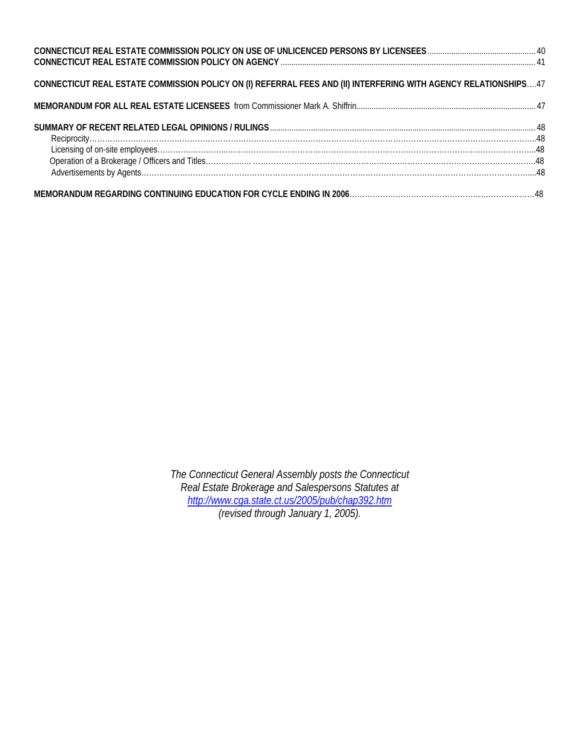| CONNECTICUT REAL ESTATE COMMISSION POLICY ON (I) REFERRAL FEES AND (II) INTERFERING WITH AGENCY RELATIONSHIPS47 |  |
|-----------------------------------------------------------------------------------------------------------------|--|
|                                                                                                                 |  |
|                                                                                                                 |  |
|                                                                                                                 |  |
|                                                                                                                 |  |
|                                                                                                                 |  |
|                                                                                                                 |  |
|                                                                                                                 |  |

*The Connecticut General Assembly posts the Connecticut Real Estate Brokerage and Salespersons Statutes at <http://www.cga.state.ct.us/2005/pub/chap392.htm> (revised through January 1, 2005).*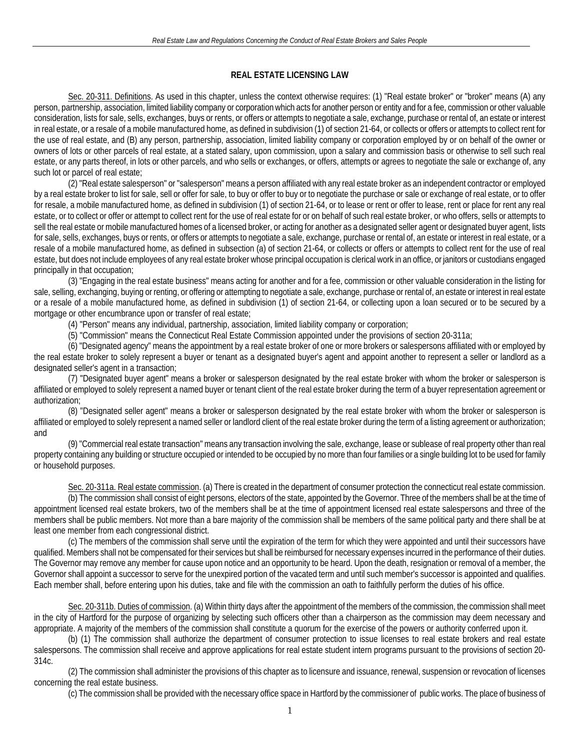## **REAL ESTATE LICENSING LAW**

Sec. 20-311. Definitions. As used in this chapter, unless the context otherwise requires: (1) "Real estate broker" or "broker" means (A) any person, partnership, association, limited liability company or corporation which acts for another person or entity and for a fee, commission or other valuable consideration, lists for sale, sells, exchanges, buys or rents, or offers or attempts to negotiate a sale, exchange, purchase or rental of, an estate or interest in real estate, or a resale of a mobile manufactured home, as defined in subdivision (1) of section 21-64, or collects or offers or attempts to collect rent for the use of real estate, and (B) any person, partnership, association, limited liability company or corporation employed by or on behalf of the owner or owners of lots or other parcels of real estate, at a stated salary, upon commission, upon a salary and commission basis or otherwise to sell such real estate, or any parts thereof, in lots or other parcels, and who sells or exchanges, or offers, attempts or agrees to negotiate the sale or exchange of, any such lot or parcel of real estate;

(2) "Real estate salesperson" or "salesperson" means a person affiliated with any real estate broker as an independent contractor or employed by a real estate broker to list for sale, sell or offer for sale, to buy or offer to buy or to negotiate the purchase or sale or exchange of real estate, or to offer for resale, a mobile manufactured home, as defined in subdivision (1) of section 21-64, or to lease or rent or offer to lease, rent or place for rent any real estate, or to collect or offer or attempt to collect rent for the use of real estate for or on behalf of such real estate broker, or who offers, sells or attempts to sell the real estate or mobile manufactured homes of a licensed broker, or acting for another as a designated seller agent or designated buyer agent, lists for sale, sells, exchanges, buys or rents, or offers or attempts to negotiate a sale, exchange, purchase or rental of, an estate or interest in real estate, or a resale of a mobile manufactured home, as defined in subsection (a) of section 21-64, or collects or offers or attempts to collect rent for the use of real estate, but does not include employees of any real estate broker whose principal occupation is clerical work in an office, or janitors or custodians engaged principally in that occupation;

(3) "Engaging in the real estate business" means acting for another and for a fee, commission or other valuable consideration in the listing for sale, selling, exchanging, buying or renting, or offering or attempting to negotiate a sale, exchange, purchase or rental of, an estate or interest in real estate or a resale of a mobile manufactured home, as defined in subdivision (1) of section 21-64, or collecting upon a loan secured or to be secured by a mortgage or other encumbrance upon or transfer of real estate;

(4) "Person" means any individual, partnership, association, limited liability company or corporation;

(5) "Commission" means the Connecticut Real Estate Commission appointed under the provisions of section 20-311a;

(6) "Designated agency" means the appointment by a real estate broker of one or more brokers or salespersons affiliated with or employed by the real estate broker to solely represent a buyer or tenant as a designated buyer's agent and appoint another to represent a seller or landlord as a designated seller's agent in a transaction;

(7) "Designated buyer agent" means a broker or salesperson designated by the real estate broker with whom the broker or salesperson is affiliated or employed to solely represent a named buyer or tenant client of the real estate broker during the term of a buyer representation agreement or authorization;

(8) "Designated seller agent" means a broker or salesperson designated by the real estate broker with whom the broker or salesperson is affiliated or employed to solely represent a named seller or landlord client of the real estate broker during the term of a listing agreement or authorization; and

(9) "Commercial real estate transaction" means any transaction involving the sale, exchange, lease or sublease of real property other than real property containing any building or structure occupied or intended to be occupied by no more than four families or a single building lot to be used for family or household purposes.

Sec. 20-311a. Real estate commission. (a) There is created in the department of consumer protection the connecticut real estate commission. (b) The commission shall consist of eight persons, electors of the state, appointed by the Governor. Three of the members shall be at the time of appointment licensed real estate brokers, two of the members shall be at the time of appointment licensed real estate salespersons and three of the members shall be public members. Not more than a bare majority of the commission shall be members of the same political party and there shall be at least one member from each congressional district.

(c) The members of the commission shall serve until the expiration of the term for which they were appointed and until their successors have qualified. Members shall not be compensated for their services but shall be reimbursed for necessary expenses incurred in the performance of their duties. The Governor may remove any member for cause upon notice and an opportunity to be heard. Upon the death, resignation or removal of a member, the Governor shall appoint a successor to serve for the unexpired portion of the vacated term and until such member's successor is appointed and qualifies. Each member shall, before entering upon his duties, take and file with the commission an oath to faithfully perform the duties of his office.

Sec. 20-311b. Duties of commission. (a) Within thirty days after the appointment of the members of the commission, the commission shall meet in the city of Hartford for the purpose of organizing by selecting such officers other than a chairperson as the commission may deem necessary and appropriate. A majority of the members of the commission shall constitute a quorum for the exercise of the powers or authority conferred upon it.

(b) (1) The commission shall authorize the department of consumer protection to issue licenses to real estate brokers and real estate salespersons. The commission shall receive and approve applications for real estate student intern programs pursuant to the provisions of section 20- 314c.

(2) The commission shall administer the provisions of this chapter as to licensure and issuance, renewal, suspension or revocation of licenses concerning the real estate business.

(c) The commission shall be provided with the necessary office space in Hartford by the commissioner of public works. The place of business of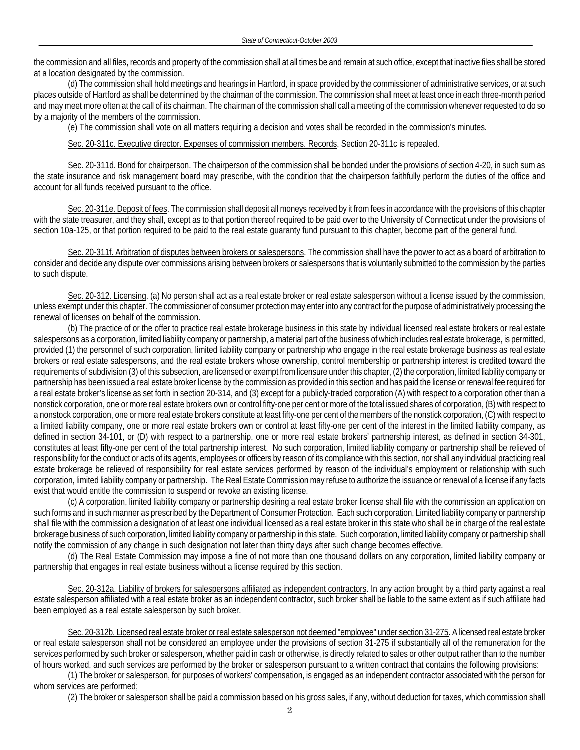the commission and all files, records and property of the commission shall at all times be and remain at such office, except that inactive files shall be stored at a location designated by the commission.

(d) The commission shall hold meetings and hearings in Hartford, in space provided by the commissioner of administrative services, or at such places outside of Hartford as shall be determined by the chairman of the commission. The commission shall meet at least once in each three-month period and may meet more often at the call of its chairman. The chairman of the commission shall call a meeting of the commission whenever requested to do so by a majority of the members of the commission.

(e) The commission shall vote on all matters requiring a decision and votes shall be recorded in the commission's minutes.

Sec. 20-311c. Executive director. Expenses of commission members. Records. Section 20-311c is repealed.

Sec. 20-311d. Bond for chairperson. The chairperson of the commission shall be bonded under the provisions of section 4-20, in such sum as the state insurance and risk management board may prescribe, with the condition that the chairperson faithfully perform the duties of the office and account for all funds received pursuant to the office.

Sec. 20-311e. Deposit of fees. The commission shall deposit all moneys received by it from fees in accordance with the provisions of this chapter with the state treasurer, and they shall, except as to that portion thereof required to be paid over to the University of Connecticut under the provisions of section 10a-125, or that portion required to be paid to the real estate guaranty fund pursuant to this chapter, become part of the general fund.

Sec. 20-311f. Arbitration of disputes between brokers or salespersons. The commission shall have the power to act as a board of arbitration to consider and decide any dispute over commissions arising between brokers or salespersons that is voluntarily submitted to the commission by the parties to such dispute.

Sec. 20-312. Licensing. (a) No person shall act as a real estate broker or real estate salesperson without a license issued by the commission, unless exempt under this chapter. The commissioner of consumer protection may enter into any contract for the purpose of administratively processing the renewal of licenses on behalf of the commission.

(b) The practice of or the offer to practice real estate brokerage business in this state by individual licensed real estate brokers or real estate salespersons as a corporation, limited liability company or partnership, a material part of the business of which includes real estate brokerage, is permitted, provided (1) the personnel of such corporation, limited liability company or partnership who engage in the real estate brokerage business as real estate brokers or real estate salespersons, and the real estate brokers whose ownership, control membership or partnership interest is credited toward the requirements of subdivision (3) of this subsection, are licensed or exempt from licensure under this chapter, (2) the corporation, limited liability company or partnership has been issued a real estate broker license by the commission as provided in this section and has paid the license or renewal fee required for a real estate broker's license as set forth in section 20-314, and (3) except for a publicly-traded corporation (A) with respect to a corporation other than a nonstick corporation, one or more real estate brokers own or control fifty-one per cent or more of the total issued shares of corporation, (B) with respect to a nonstock corporation, one or more real estate brokers constitute at least fifty-one per cent of the members of the nonstick corporation, (C) with respect to a limited liability company, one or more real estate brokers own or control at least fifty-one per cent of the interest in the limited liability company, as defined in section 34-101, or (D) with respect to a partnership, one or more real estate brokers' partnership interest, as defined in section 34-301, constitutes at least fifty-one per cent of the total partnership interest. No such corporation, limited liability company or partnership shall be relieved of responsibility for the conduct or acts of its agents, employees or officers by reason of its compliance with this section, nor shall any individual practicing real estate brokerage be relieved of responsibility for real estate services performed by reason of the individual's employment or relationship with such corporation, limited liability company or partnership. The Real Estate Commission may refuse to authorize the issuance or renewal of a license if any facts exist that would entitle the commission to suspend or revoke an existing license.

(c) A corporation, limited liability company or partnership desiring a real estate broker license shall file with the commission an application on such forms and in such manner as prescribed by the Department of Consumer Protection. Each such corporation, Limited liability company or partnership shall file with the commission a designation of at least one individual licensed as a real estate broker in this state who shall be in charge of the real estate brokerage business of such corporation, limited liability company or partnership in this state. Such corporation, limited liability company or partnership shall notify the commission of any change in such designation not later than thirty days after such change becomes effective.

(d) The Real Estate Commission may impose a fine of not more than one thousand dollars on any corporation, limited liability company or partnership that engages in real estate business without a license required by this section.

Sec. 20-312a. Liability of brokers for salespersons affiliated as independent contractors. In any action brought by a third party against a real estate salesperson affiliated with a real estate broker as an independent contractor, such broker shall be liable to the same extent as if such affiliate had been employed as a real estate salesperson by such broker.

Sec. 20-312b. Licensed real estate broker or real estate salesperson not deemed "employee" under section 31-275. A licensed real estate broker or real estate salesperson shall not be considered an employee under the provisions of section 31-275 if substantially all of the remuneration for the services performed by such broker or salesperson, whether paid in cash or otherwise, is directly related to sales or other output rather than to the number of hours worked, and such services are performed by the broker or salesperson pursuant to a written contract that contains the following provisions:

(1) The broker or salesperson, for purposes of workers' compensation, is engaged as an independent contractor associated with the person for whom services are performed;

(2) The broker or salesperson shall be paid a commission based on his gross sales, if any, without deduction for taxes, which commission shall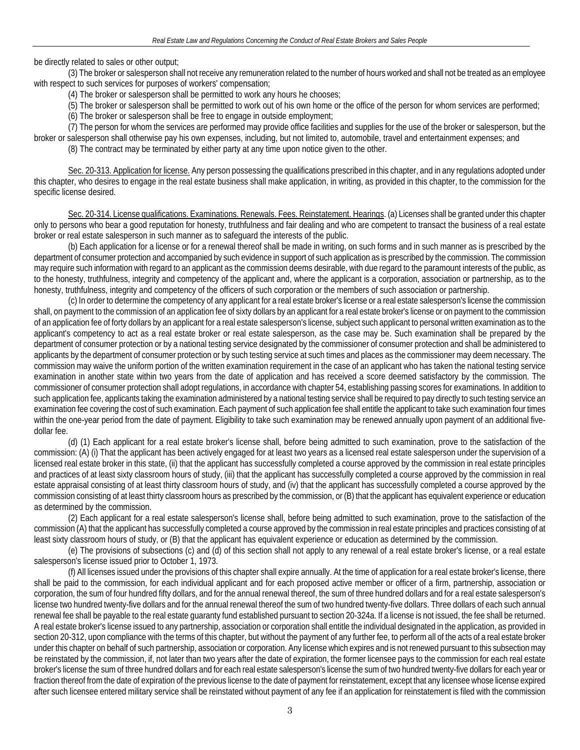be directly related to sales or other output;

(3) The broker or salesperson shall not receive any remuneration related to the number of hours worked and shall not be treated as an employee with respect to such services for purposes of workers' compensation;

(4) The broker or salesperson shall be permitted to work any hours he chooses;

(5) The broker or salesperson shall be permitted to work out of his own home or the office of the person for whom services are performed;

(6) The broker or salesperson shall be free to engage in outside employment;

(7) The person for whom the services are performed may provide office facilities and supplies for the use of the broker or salesperson, but the broker or salesperson shall otherwise pay his own expenses, including, but not limited to, automobile, travel and entertainment expenses; and

(8) The contract may be terminated by either party at any time upon notice given to the other.

Sec. 20-313. Application for license. Any person possessing the qualifications prescribed in this chapter, and in any regulations adopted under this chapter, who desires to engage in the real estate business shall make application, in writing, as provided in this chapter, to the commission for the specific license desired.

Sec. 20-314. License qualifications. Examinations. Renewals. Fees. Reinstatement. Hearings. (a) Licenses shall be granted under this chapter only to persons who bear a good reputation for honesty, truthfulness and fair dealing and who are competent to transact the business of a real estate broker or real estate salesperson in such manner as to safeguard the interests of the public.

(b) Each application for a license or for a renewal thereof shall be made in writing, on such forms and in such manner as is prescribed by the department of consumer protection and accompanied by such evidence in support of such application as is prescribed by the commission. The commission may require such information with regard to an applicant as the commission deems desirable, with due regard to the paramount interests of the public, as to the honesty, truthfulness, integrity and competency of the applicant and, where the applicant is a corporation, association or partnership, as to the honesty, truthfulness, integrity and competency of the officers of such corporation or the members of such association or partnership.

(c) In order to determine the competency of any applicant for a real estate broker's license or a real estate salesperson's license the commission shall, on payment to the commission of an application fee of sixty dollars by an applicant for a real estate broker's license or on payment to the commission of an application fee of forty dollars by an applicant for a real estate salesperson's license, subject such applicant to personal written examination as to the applicant's competency to act as a real estate broker or real estate salesperson, as the case may be. Such examination shall be prepared by the department of consumer protection or by a national testing service designated by the commissioner of consumer protection and shall be administered to applicants by the department of consumer protection or by such testing service at such times and places as the commissioner may deem necessary. The commission may waive the uniform portion of the written examination requirement in the case of an applicant who has taken the national testing service examination in another state within two years from the date of application and has received a score deemed satisfactory by the commission. The commissioner of consumer protection shall adopt regulations, in accordance with chapter 54, establishing passing scores for examinations. In addition to such application fee, applicants taking the examination administered by a national testing service shall be required to pay directly to such testing service an examination fee covering the cost of such examination. Each payment of such application fee shall entitle the applicant to take such examination four times within the one-year period from the date of payment. Eligibility to take such examination may be renewed annually upon payment of an additional fivedollar fee.

(d) (1) Each applicant for a real estate broker's license shall, before being admitted to such examination, prove to the satisfaction of the commission: (A) (i) That the applicant has been actively engaged for at least two years as a licensed real estate salesperson under the supervision of a licensed real estate broker in this state, (ii) that the applicant has successfully completed a course approved by the commission in real estate principles and practices of at least sixty classroom hours of study, (iii) that the applicant has successfully completed a course approved by the commission in real estate appraisal consisting of at least thirty classroom hours of study, and (iv) that the applicant has successfully completed a course approved by the commission consisting of at least thirty classroom hours as prescribed by the commission, or (B) that the applicant has equivalent experience or education as determined by the commission.

(2) Each applicant for a real estate salesperson's license shall, before being admitted to such examination, prove to the satisfaction of the commission (A) that the applicant has successfully completed a course approved by the commission in real estate principles and practices consisting of at least sixty classroom hours of study, or (B) that the applicant has equivalent experience or education as determined by the commission.

(e) The provisions of subsections (c) and (d) of this section shall not apply to any renewal of a real estate broker's license, or a real estate salesperson's license issued prior to October 1, 1973.

(f) All licenses issued under the provisions of this chapter shall expire annually. At the time of application for a real estate broker's license, there shall be paid to the commission, for each individual applicant and for each proposed active member or officer of a firm, partnership, association or corporation, the sum of four hundred fifty dollars, and for the annual renewal thereof, the sum of three hundred dollars and for a real estate salesperson's license two hundred twenty-five dollars and for the annual renewal thereof the sum of two hundred twenty-five dollars. Three dollars of each such annual renewal fee shall be payable to the real estate guaranty fund established pursuant to section 20-324a. If a license is not issued, the fee shall be returned. A real estate broker's license issued to any partnership, association or corporation shall entitle the individual designated in the application, as provided in section 20-312, upon compliance with the terms of this chapter, but without the payment of any further fee, to perform all of the acts of a real estate broker under this chapter on behalf of such partnership, association or corporation. Any license which expires and is not renewed pursuant to this subsection may be reinstated by the commission, if, not later than two years after the date of expiration, the former licensee pays to the commission for each real estate broker's license the sum of three hundred dollars and for each real estate salesperson's license the sum of two hundred twenty-five dollars for each year or fraction thereof from the date of expiration of the previous license to the date of payment for reinstatement, except that any licensee whose license expired after such licensee entered military service shall be reinstated without payment of any fee if an application for reinstatement is filed with the commission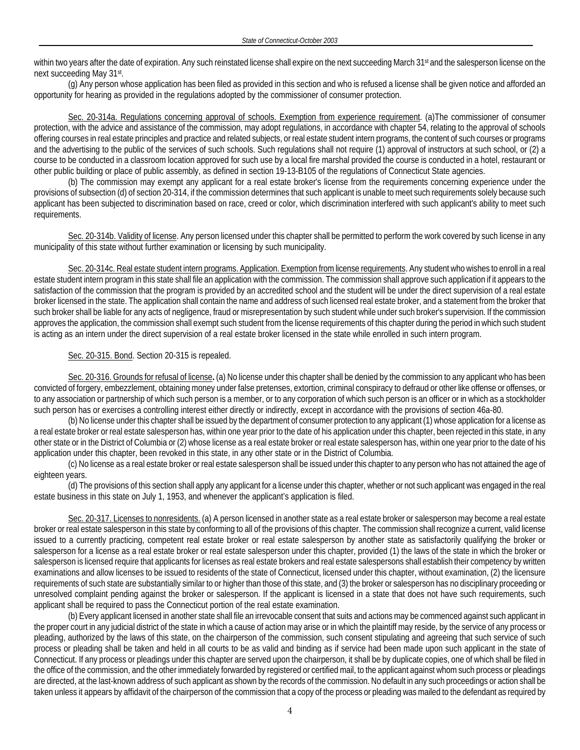within two years after the date of expiration. Any such reinstated license shall expire on the next succeeding March 31<sup>st</sup> and the salesperson license on the next succeeding May 31st.

(g) Any person whose application has been filed as provided in this section and who is refused a license shall be given notice and afforded an opportunity for hearing as provided in the regulations adopted by the commissioner of consumer protection.

Sec. 20-314a. Regulations concerning approval of schools. Exemption from experience requirement. (a)The commissioner of consumer protection, with the advice and assistance of the commission, may adopt regulations, in accordance with chapter 54, relating to the approval of schools offering courses in real estate principles and practice and related subjects, or real estate student intern programs, the content of such courses or programs and the advertising to the public of the services of such schools. Such regulations shall not require (1) approval of instructors at such school, or (2) a course to be conducted in a classroom location approved for such use by a local fire marshal provided the course is conducted in a hotel, restaurant or other public building or place of public assembly, as defined in section 19-13-B105 of the regulations of Connecticut State agencies.

(b) The commission may exempt any applicant for a real estate broker's license from the requirements concerning experience under the provisions of subsection (d) of section 20-314, if the commission determines that such applicant is unable to meet such requirements solely because such applicant has been subjected to discrimination based on race, creed or color, which discrimination interfered with such applicant's ability to meet such requirements.

Sec. 20-314b. Validity of license. Any person licensed under this chapter shall be permitted to perform the work covered by such license in any municipality of this state without further examination or licensing by such municipality.

Sec. 20-314c. Real estate student intern programs. Application. Exemption from license requirements. Any student who wishes to enroll in a real estate student intern program in this state shall file an application with the commission. The commission shall approve such application if it appears to the satisfaction of the commission that the program is provided by an accredited school and the student will be under the direct supervision of a real estate broker licensed in the state. The application shall contain the name and address of such licensed real estate broker, and a statement from the broker that such broker shall be liable for any acts of negligence, fraud or misrepresentation by such student while under such broker's supervision. If the commission approves the application, the commission shall exempt such student from the license requirements of this chapter during the period in which such student is acting as an intern under the direct supervision of a real estate broker licensed in the state while enrolled in such intern program.

#### Sec. 20-315. Bond. Section 20-315 is repealed.

Sec. 20-316. Grounds for refusal of license**.** (a) No license under this chapter shall be denied by the commission to any applicant who has been convicted of forgery, embezzlement, obtaining money under false pretenses, extortion, criminal conspiracy to defraud or other like offense or offenses, or to any association or partnership of which such person is a member, or to any corporation of which such person is an officer or in which as a stockholder such person has or exercises a controlling interest either directly or indirectly, except in accordance with the provisions of section 46a-80.

(b) No license under this chapter shall be issued by the department of consumer protection to any applicant (1) whose application for a license as a real estate broker or real estate salesperson has, within one year prior to the date of his application under this chapter, been rejected in this state, in any other state or in the District of Columbia or (2) whose license as a real estate broker or real estate salesperson has, within one year prior to the date of his application under this chapter, been revoked in this state, in any other state or in the District of Columbia.

(c) No license as a real estate broker or real estate salesperson shall be issued under this chapter to any person who has not attained the age of eighteen years.

(d) The provisions of this section shall apply any applicant for a license under this chapter, whether or not such applicant was engaged in the real estate business in this state on July 1, 1953, and whenever the applicant's application is filed.

Sec. 20-317. Licenses to nonresidents. (a) A person licensed in another state as a real estate broker or salesperson may become a real estate broker or real estate salesperson in this state by conforming to all of the provisions of this chapter. The commission shall recognize a current, valid license issued to a currently practicing, competent real estate broker or real estate salesperson by another state as satisfactorily qualifying the broker or salesperson for a license as a real estate broker or real estate salesperson under this chapter, provided (1) the laws of the state in which the broker or salesperson is licensed require that applicants for licenses as real estate brokers and real estate salespersons shall establish their competency by written examinations and allow licenses to be issued to residents of the state of Connecticut, licensed under this chapter, without examination, (2) the licensure requirements of such state are substantially similar to or higher than those of this state, and (3) the broker or salesperson has no disciplinary proceeding or unresolved complaint pending against the broker or salesperson. If the applicant is licensed in a state that does not have such requirements, such applicant shall be required to pass the Connecticut portion of the real estate examination.

(b) Every applicant licensed in another state shall file an irrevocable consent that suits and actions may be commenced against such applicant in the proper court in any judicial district of the state in which a cause of action may arise or in which the plaintiff may reside, by the service of any process or pleading, authorized by the laws of this state, on the chairperson of the commission, such consent stipulating and agreeing that such service of such process or pleading shall be taken and held in all courts to be as valid and binding as if service had been made upon such applicant in the state of Connecticut. If any process or pleadings under this chapter are served upon the chairperson, it shall be by duplicate copies, one of which shall be filed in the office of the commission, and the other immediately forwarded by registered or certified mail, to the applicant against whom such process or pleadings are directed, at the last-known address of such applicant as shown by the records of the commission. No default in any such proceedings or action shall be taken unless it appears by affidavit of the chairperson of the commission that a copy of the process or pleading was mailed to the defendant as required by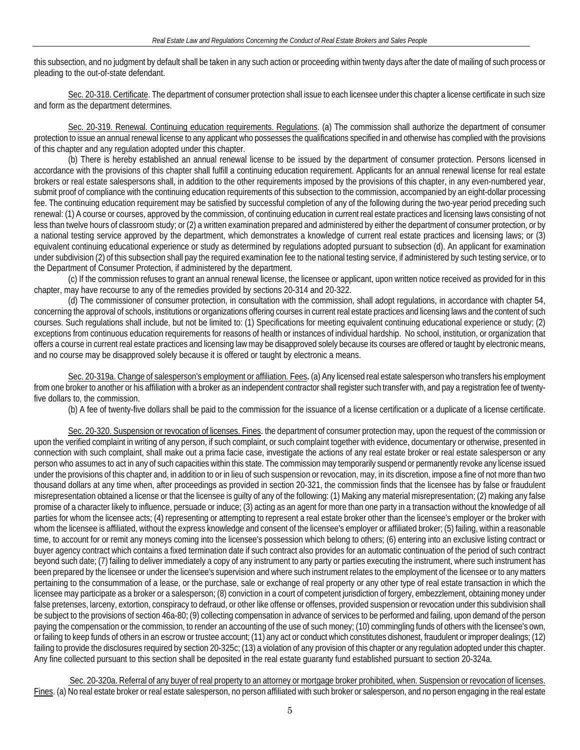this subsection, and no judgment by default shall be taken in any such action or proceeding within twenty days after the date of mailing of such process or pleading to the out-of-state defendant.

Sec. 20-318. Certificate. The department of consumer protection shall issue to each licensee under this chapter a license certificate in such size and form as the department determines.

Sec. 20-319. Renewal. Continuing education requirements. Regulations. (a) The commission shall authorize the department of consumer protection to issue an annual renewal license to any applicant who possesses the qualifications specified in and otherwise has complied with the provisions of this chapter and any regulation adopted under this chapter.

(b) There is hereby established an annual renewal license to be issued by the department of consumer protection. Persons licensed in accordance with the provisions of this chapter shall fulfill a continuing education requirement. Applicants for an annual renewal license for real estate brokers or real estate salespersons shall, in addition to the other requirements imposed by the provisions of this chapter, in any even-numbered year, submit proof of compliance with the continuing education requirements of this subsection to the commission, accompanied by an eight-dollar processing fee. The continuing education requirement may be satisfied by successful completion of any of the following during the two-year period preceding such renewal: (1) A course or courses, approved by the commission, of continuing education in current real estate practices and licensing laws consisting of not less than twelve hours of classroom study; or (2) a written examination prepared and administered by either the department of consumer protection, or by a national testing service approved by the department, which demonstrates a knowledge of current real estate practices and licensing laws; or (3) equivalent continuing educational experience or study as determined by regulations adopted pursuant to subsection (d). An applicant for examination under subdivision (2) of this subsection shall pay the required examination fee to the national testing service, if administered by such testing service, or to the Department of Consumer Protection, if administered by the department.

(c) If the commission refuses to grant an annual renewal license, the licensee or applicant, upon written notice received as provided for in this chapter, may have recourse to any of the remedies provided by sections 20-314 and 20-322.

(d) The commissioner of consumer protection, in consultation with the commission, shall adopt regulations, in accordance with chapter 54, concerning the approval of schools, institutions or organizations offering courses in current real estate practices and licensing laws and the content of such courses. Such regulations shall include, but not be limited to: (1) Specifications for meeting equivalent continuing educational experience or study; (2) exceptions from continuous education requirements for reasons of health or instances of individual hardship. No school, institution, or organization that offers a course in current real estate practices and licensing law may be disapproved solely because its courses are offered or taught by electronic means, and no course may be disapproved solely because it is offered or taught by electronic a means.

Sec. 20-319a. Change of salesperson's employment or affiliation. Fees**.** (a) Any licensed real estate salesperson who transfers his employment from one broker to another or his affiliation with a broker as an independent contractor shall register such transfer with, and pay a registration fee of twentyfive dollars to, the commission.

(b) A fee of twenty-five dollars shall be paid to the commission for the issuance of a license certification or a duplicate of a license certificate.

Sec. 20-320. Suspension or revocation of licenses. Fines. the department of consumer protection may, upon the request of the commission or upon the verified complaint in writing of any person, if such complaint, or such complaint together with evidence, documentary or otherwise, presented in connection with such complaint, shall make out a prima facie case, investigate the actions of any real estate broker or real estate salesperson or any person who assumes to act in any of such capacities within this state. The commission may temporarily suspend or permanently revoke any license issued under the provisions of this chapter and, in addition to or in lieu of such suspension or revocation, may, in its discretion, impose a fine of not more than two thousand dollars at any time when, after proceedings as provided in section 20-321, the commission finds that the licensee has by false or fraudulent misrepresentation obtained a license or that the licensee is guilty of any of the following: (1) Making any material misrepresentation; (2) making any false promise of a character likely to influence, persuade or induce; (3) acting as an agent for more than one party in a transaction without the knowledge of all parties for whom the licensee acts; (4) representing or attempting to represent a real estate broker other than the licensee's employer or the broker with whom the licensee is affiliated, without the express knowledge and consent of the licensee's employer or affiliated broker; (5) failing, within a reasonable time, to account for or remit any moneys coming into the licensee's possession which belong to others; (6) entering into an exclusive listing contract or buyer agency contract which contains a fixed termination date if such contract also provides for an automatic continuation of the period of such contract beyond such date; (7) failing to deliver immediately a copy of any instrument to any party or parties executing the instrument, where such instrument has been prepared by the licensee or under the licensee's supervision and where such instrument relates to the employment of the licensee or to any matters pertaining to the consummation of a lease, or the purchase, sale or exchange of real property or any other type of real estate transaction in which the licensee may participate as a broker or a salesperson; (8) conviction in a court of competent jurisdiction of forgery, embezzlement, obtaining money under false pretenses, larceny, extortion, conspiracy to defraud, or other like offense or offenses, provided suspension or revocation under this subdivision shall be subject to the provisions of section 46a-80; (9) collecting compensation in advance of services to be performed and failing, upon demand of the person paying the compensation or the commission, to render an accounting of the use of such money; (10) commingling funds of others with the licensee's own, or failing to keep funds of others in an escrow or trustee account; (11) any act or conduct which constitutes dishonest, fraudulent or improper dealings; (12) failing to provide the disclosures required by section 20-325c; (13) a violation of any provision of this chapter or any regulation adopted under this chapter. Any fine collected pursuant to this section shall be deposited in the real estate guaranty fund established pursuant to section 20-324a.

Sec. 20-320a. Referral of any buyer of real property to an attorney or mortgage broker prohibited, when. Suspension or revocation of licenses. Fines. (a) No real estate broker or real estate salesperson, no person affiliated with such broker or salesperson, and no person engaging in the real estate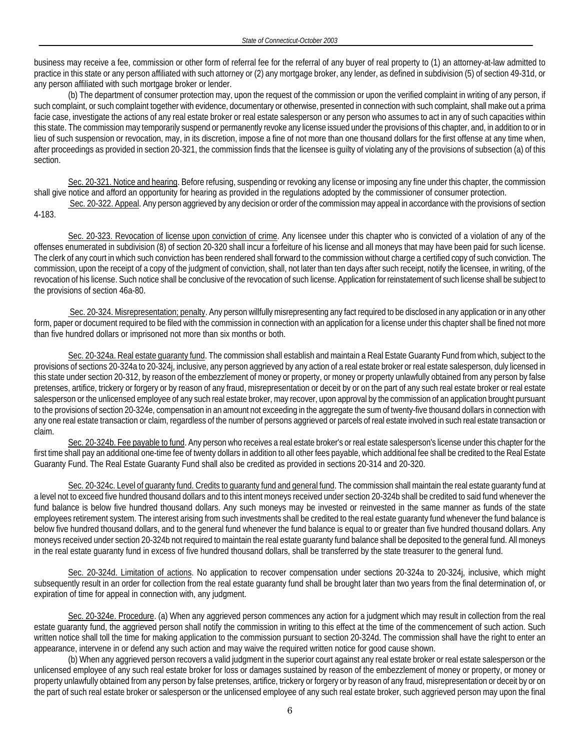business may receive a fee, commission or other form of referral fee for the referral of any buyer of real property to (1) an attorney-at-law admitted to practice in this state or any person affiliated with such attorney or (2) any mortgage broker, any lender, as defined in subdivision (5) of section 49-31d, or any person affiliated with such mortgage broker or lender.

(b) The department of consumer protection may, upon the request of the commission or upon the verified complaint in writing of any person, if such complaint, or such complaint together with evidence, documentary or otherwise, presented in connection with such complaint, shall make out a prima facie case, investigate the actions of any real estate broker or real estate salesperson or any person who assumes to act in any of such capacities within this state. The commission may temporarily suspend or permanently revoke any license issued under the provisions of this chapter, and, in addition to or in lieu of such suspension or revocation, may, in its discretion, impose a fine of not more than one thousand dollars for the first offense at any time when, after proceedings as provided in section 20-321, the commission finds that the licensee is guilty of violating any of the provisions of subsection (a) of this section.

Sec. 20-321. Notice and hearing. Before refusing, suspending or revoking any license or imposing any fine under this chapter, the commission shall give notice and afford an opportunity for hearing as provided in the regulations adopted by the commissioner of consumer protection.

Sec. 20-322. Appeal. Any person aggrieved by any decision or order of the commission may appeal in accordance with the provisions of section 4-183.

Sec. 20-323. Revocation of license upon conviction of crime. Any licensee under this chapter who is convicted of a violation of any of the offenses enumerated in subdivision (8) of section 20-320 shall incur a forfeiture of his license and all moneys that may have been paid for such license. The clerk of any court in which such conviction has been rendered shall forward to the commission without charge a certified copy of such conviction. The commission, upon the receipt of a copy of the judgment of conviction, shall, not later than ten days after such receipt, notify the licensee, in writing, of the revocation of his license. Such notice shall be conclusive of the revocation of such license. Application for reinstatement of such license shall be subject to the provisions of section 46a-80.

 Sec. 20-324. Misrepresentation; penalty. Any person willfully misrepresenting any fact required to be disclosed in any application or in any other form, paper or document required to be filed with the commission in connection with an application for a license under this chapter shall be fined not more than five hundred dollars or imprisoned not more than six months or both.

Sec. 20-324a. Real estate guaranty fund. The commission shall establish and maintain a Real Estate Guaranty Fund from which, subject to the provisions of sections 20-324a to 20-324j, inclusive, any person aggrieved by any action of a real estate broker or real estate salesperson, duly licensed in this state under section 20-312, by reason of the embezzlement of money or property, or money or property unlawfully obtained from any person by false pretenses, artifice, trickery or forgery or by reason of any fraud, misrepresentation or deceit by or on the part of any such real estate broker or real estate salesperson or the unlicensed employee of any such real estate broker, may recover, upon approval by the commission of an application brought pursuant to the provisions of section 20-324e, compensation in an amount not exceeding in the aggregate the sum of twenty-five thousand dollars in connection with any one real estate transaction or claim, regardless of the number of persons aggrieved or parcels of real estate involved in such real estate transaction or claim.

Sec. 20-324b. Fee payable to fund. Any person who receives a real estate broker's or real estate salesperson's license under this chapter for the first time shall pay an additional one-time fee of twenty dollars in addition to all other fees payable, which additional fee shall be credited to the Real Estate Guaranty Fund. The Real Estate Guaranty Fund shall also be credited as provided in sections 20-314 and 20-320.

Sec. 20-324c. Level of guaranty fund. Credits to guaranty fund and general fund. The commission shall maintain the real estate guaranty fund at a level not to exceed five hundred thousand dollars and to this intent moneys received under section 20-324b shall be credited to said fund whenever the fund balance is below five hundred thousand dollars. Any such moneys may be invested or reinvested in the same manner as funds of the state employees retirement system. The interest arising from such investments shall be credited to the real estate guaranty fund whenever the fund balance is below five hundred thousand dollars, and to the general fund whenever the fund balance is equal to or greater than five hundred thousand dollars. Any moneys received under section 20-324b not required to maintain the real estate guaranty fund balance shall be deposited to the general fund. All moneys in the real estate guaranty fund in excess of five hundred thousand dollars, shall be transferred by the state treasurer to the general fund.

Sec. 20-324d. Limitation of actions. No application to recover compensation under sections 20-324a to 20-324j, inclusive, which might subsequently result in an order for collection from the real estate guaranty fund shall be brought later than two years from the final determination of, or expiration of time for appeal in connection with, any judgment.

Sec. 20-324e. Procedure. (a) When any aggrieved person commences any action for a judgment which may result in collection from the real estate guaranty fund, the aggrieved person shall notify the commission in writing to this effect at the time of the commencement of such action. Such written notice shall toll the time for making application to the commission pursuant to section 20-324d. The commission shall have the right to enter an appearance, intervene in or defend any such action and may waive the required written notice for good cause shown.

(b) When any aggrieved person recovers a valid judgment in the superior court against any real estate broker or real estate salesperson or the unlicensed employee of any such real estate broker for loss or damages sustained by reason of the embezzlement of money or property, or money or property unlawfully obtained from any person by false pretenses, artifice, trickery or forgery or by reason of any fraud, misrepresentation or deceit by or on the part of such real estate broker or salesperson or the unlicensed employee of any such real estate broker, such aggrieved person may upon the final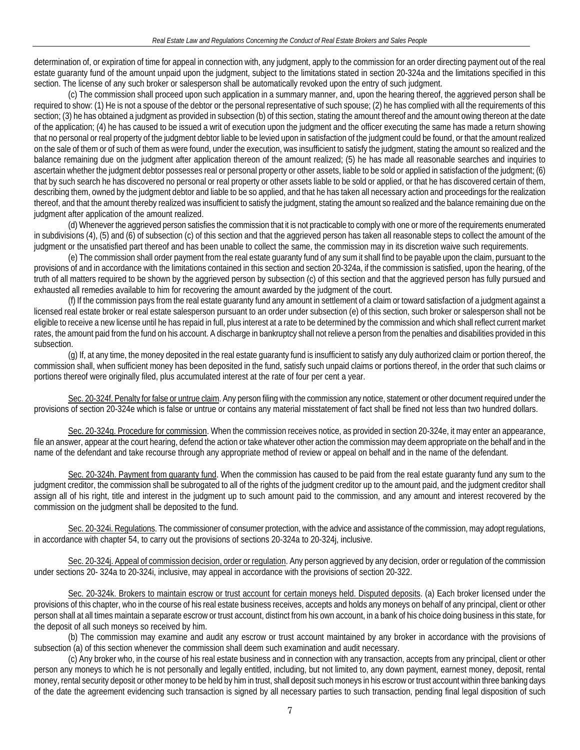determination of, or expiration of time for appeal in connection with, any judgment, apply to the commission for an order directing payment out of the real estate guaranty fund of the amount unpaid upon the judgment, subject to the limitations stated in section 20-324a and the limitations specified in this section. The license of any such broker or salesperson shall be automatically revoked upon the entry of such judgment.

(c) The commission shall proceed upon such application in a summary manner, and, upon the hearing thereof, the aggrieved person shall be required to show: (1) He is not a spouse of the debtor or the personal representative of such spouse; (2) he has complied with all the requirements of this section; (3) he has obtained a judgment as provided in subsection (b) of this section, stating the amount thereof and the amount owing thereon at the date of the application; (4) he has caused to be issued a writ of execution upon the judgment and the officer executing the same has made a return showing that no personal or real property of the judgment debtor liable to be levied upon in satisfaction of the judgment could be found, or that the amount realized on the sale of them or of such of them as were found, under the execution, was insufficient to satisfy the judgment, stating the amount so realized and the balance remaining due on the judgment after application thereon of the amount realized; (5) he has made all reasonable searches and inquiries to ascertain whether the judgment debtor possesses real or personal property or other assets, liable to be sold or applied in satisfaction of the judgment; (6) that by such search he has discovered no personal or real property or other assets liable to be sold or applied, or that he has discovered certain of them, describing them, owned by the judgment debtor and liable to be so applied, and that he has taken all necessary action and proceedings for the realization thereof, and that the amount thereby realized was insufficient to satisfy the judgment, stating the amount so realized and the balance remaining due on the judgment after application of the amount realized.

(d) Whenever the aggrieved person satisfies the commission that it is not practicable to comply with one or more of the requirements enumerated in subdivisions (4), (5) and (6) of subsection (c) of this section and that the aggrieved person has taken all reasonable steps to collect the amount of the judgment or the unsatisfied part thereof and has been unable to collect the same, the commission may in its discretion waive such requirements.

(e) The commission shall order payment from the real estate guaranty fund of any sum it shall find to be payable upon the claim, pursuant to the provisions of and in accordance with the limitations contained in this section and section 20-324a, if the commission is satisfied, upon the hearing, of the truth of all matters required to be shown by the aggrieved person by subsection (c) of this section and that the aggrieved person has fully pursued and exhausted all remedies available to him for recovering the amount awarded by the judgment of the court.

(f) If the commission pays from the real estate guaranty fund any amount in settlement of a claim or toward satisfaction of a judgment against a licensed real estate broker or real estate salesperson pursuant to an order under subsection (e) of this section, such broker or salesperson shall not be eligible to receive a new license until he has repaid in full, plus interest at a rate to be determined by the commission and which shall reflect current market rates, the amount paid from the fund on his account. A discharge in bankruptcy shall not relieve a person from the penalties and disabilities provided in this subsection.

(g) If, at any time, the money deposited in the real estate guaranty fund is insufficient to satisfy any duly authorized claim or portion thereof, the commission shall, when sufficient money has been deposited in the fund, satisfy such unpaid claims or portions thereof, in the order that such claims or portions thereof were originally filed, plus accumulated interest at the rate of four per cent a year.

Sec. 20-324f. Penalty for false or untrue claim. Any person filing with the commission any notice, statement or other document required under the provisions of section 20-324e which is false or untrue or contains any material misstatement of fact shall be fined not less than two hundred dollars.

Sec. 20-324g. Procedure for commission. When the commission receives notice, as provided in section 20-324e, it may enter an appearance, file an answer, appear at the court hearing, defend the action or take whatever other action the commission may deem appropriate on the behalf and in the name of the defendant and take recourse through any appropriate method of review or appeal on behalf and in the name of the defendant.

Sec. 20-324h. Payment from guaranty fund. When the commission has caused to be paid from the real estate guaranty fund any sum to the judgment creditor, the commission shall be subrogated to all of the rights of the judgment creditor up to the amount paid, and the judgment creditor shall assign all of his right, title and interest in the judgment up to such amount paid to the commission, and any amount and interest recovered by the commission on the judgment shall be deposited to the fund.

Sec. 20-324i. Regulations. The commissioner of consumer protection, with the advice and assistance of the commission, may adopt regulations, in accordance with chapter 54, to carry out the provisions of sections 20-324a to 20-324j, inclusive.

Sec. 20-324j. Appeal of commission decision, order or regulation. Any person aggrieved by any decision, order or regulation of the commission under sections 20- 324a to 20-324i, inclusive, may appeal in accordance with the provisions of section 20-322.

Sec. 20-324k. Brokers to maintain escrow or trust account for certain moneys held. Disputed deposits. (a) Each broker licensed under the provisions of this chapter, who in the course of his real estate business receives, accepts and holds any moneys on behalf of any principal, client or other person shall at all times maintain a separate escrow or trust account, distinct from his own account, in a bank of his choice doing business in this state, for the deposit of all such moneys so received by him.

(b) The commission may examine and audit any escrow or trust account maintained by any broker in accordance with the provisions of subsection (a) of this section whenever the commission shall deem such examination and audit necessary.

(c) Any broker who, in the course of his real estate business and in connection with any transaction, accepts from any principal, client or other person any moneys to which he is not personally and legally entitled, including, but not limited to, any down payment, earnest money, deposit, rental money, rental security deposit or other money to be held by him in trust, shall deposit such moneys in his escrow or trust account within three banking days of the date the agreement evidencing such transaction is signed by all necessary parties to such transaction, pending final legal disposition of such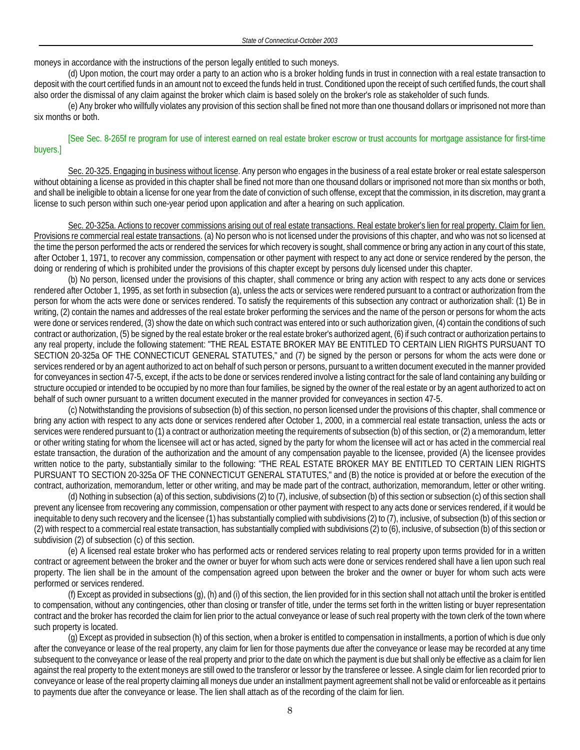moneys in accordance with the instructions of the person legally entitled to such moneys.

(d) Upon motion, the court may order a party to an action who is a broker holding funds in trust in connection with a real estate transaction to deposit with the court certified funds in an amount not to exceed the funds held in trust. Conditioned upon the receipt of such certified funds, the court shall also order the dismissal of any claim against the broker which claim is based solely on the broker's role as stakeholder of such funds.

(e) Any broker who willfully violates any provision of this section shall be fined not more than one thousand dollars or imprisoned not more than six months or both.

[See Sec. 8-265f re program for use of interest earned on real estate broker escrow or trust accounts for mortgage assistance for first-time buyers.]

Sec. 20-325. Engaging in business without license. Any person who engages in the business of a real estate broker or real estate salesperson without obtaining a license as provided in this chapter shall be fined not more than one thousand dollars or imprisoned not more than six months or both, and shall be ineligible to obtain a license for one year from the date of conviction of such offense, except that the commission, in its discretion, may grant a license to such person within such one-year period upon application and after a hearing on such application.

Sec. 20-325a. Actions to recover commissions arising out of real estate transactions. Real estate broker's lien for real property. Claim for lien. Provisions re commercial real estate transactions. (a) No person who is not licensed under the provisions of this chapter, and who was not so licensed at the time the person performed the acts or rendered the services for which recovery is sought, shall commence or bring any action in any court of this state, after October 1, 1971, to recover any commission, compensation or other payment with respect to any act done or service rendered by the person, the doing or rendering of which is prohibited under the provisions of this chapter except by persons duly licensed under this chapter.

(b) No person, licensed under the provisions of this chapter, shall commence or bring any action with respect to any acts done or services rendered after October 1, 1995, as set forth in subsection (a), unless the acts or services were rendered pursuant to a contract or authorization from the person for whom the acts were done or services rendered. To satisfy the requirements of this subsection any contract or authorization shall: (1) Be in writing, (2) contain the names and addresses of the real estate broker performing the services and the name of the person or persons for whom the acts were done or services rendered, (3) show the date on which such contract was entered into or such authorization given, (4) contain the conditions of such contract or authorization, (5) be signed by the real estate broker or the real estate broker's authorized agent, (6) if such contract or authorization pertains to any real property, include the following statement: "THE REAL ESTATE BROKER MAY BE ENTITLED TO CERTAIN LIEN RIGHTS PURSUANT TO SECTION 20-325a OF THE CONNECTICUT GENERAL STATUTES," and (7) be signed by the person or persons for whom the acts were done or services rendered or by an agent authorized to act on behalf of such person or persons, pursuant to a written document executed in the manner provided for conveyances in section 47-5, except, if the acts to be done or services rendered involve a listing contract for the sale of land containing any building or structure occupied or intended to be occupied by no more than four families, be signed by the owner of the real estate or by an agent authorized to act on behalf of such owner pursuant to a written document executed in the manner provided for conveyances in section 47-5.

(c) Notwithstanding the provisions of subsection (b) of this section, no person licensed under the provisions of this chapter, shall commence or bring any action with respect to any acts done or services rendered after October 1, 2000, in a commercial real estate transaction, unless the acts or services were rendered pursuant to (1) a contract or authorization meeting the requirements of subsection (b) of this section, or (2) a memorandum, letter or other writing stating for whom the licensee will act or has acted, signed by the party for whom the licensee will act or has acted in the commercial real estate transaction, the duration of the authorization and the amount of any compensation payable to the licensee, provided (A) the licensee provides written notice to the party, substantially similar to the following: "THE REAL ESTATE BROKER MAY BE ENTITLED TO CERTAIN LIEN RIGHTS PURSUANT TO SECTION 20-325a OF THE CONNECTICUT GENERAL STATUTES," and (B) the notice is provided at or before the execution of the contract, authorization, memorandum, letter or other writing, and may be made part of the contract, authorization, memorandum, letter or other writing.

(d) Nothing in subsection (a) of this section, subdivisions (2) to (7), inclusive, of subsection (b) of this section or subsection (c) of this section shall prevent any licensee from recovering any commission, compensation or other payment with respect to any acts done or services rendered, if it would be inequitable to deny such recovery and the licensee (1) has substantially complied with subdivisions (2) to (7), inclusive, of subsection (b) of this section or (2) with respect to a commercial real estate transaction, has substantially complied with subdivisions (2) to (6), inclusive, of subsection (b) of this section or subdivision (2) of subsection (c) of this section.

(e) A licensed real estate broker who has performed acts or rendered services relating to real property upon terms provided for in a written contract or agreement between the broker and the owner or buyer for whom such acts were done or services rendered shall have a lien upon such real property. The lien shall be in the amount of the compensation agreed upon between the broker and the owner or buyer for whom such acts were performed or services rendered.

(f) Except as provided in subsections (g), (h) and (i) of this section, the lien provided for in this section shall not attach until the broker is entitled to compensation, without any contingencies, other than closing or transfer of title, under the terms set forth in the written listing or buyer representation contract and the broker has recorded the claim for lien prior to the actual conveyance or lease of such real property with the town clerk of the town where such property is located.

(g) Except as provided in subsection (h) of this section, when a broker is entitled to compensation in installments, a portion of which is due only after the conveyance or lease of the real property, any claim for lien for those payments due after the conveyance or lease may be recorded at any time subsequent to the conveyance or lease of the real property and prior to the date on which the payment is due but shall only be effective as a claim for lien against the real property to the extent moneys are still owed to the transferor or lessor by the transferee or lessee. A single claim for lien recorded prior to conveyance or lease of the real property claiming all moneys due under an installment payment agreement shall not be valid or enforceable as it pertains to payments due after the conveyance or lease. The lien shall attach as of the recording of the claim for lien.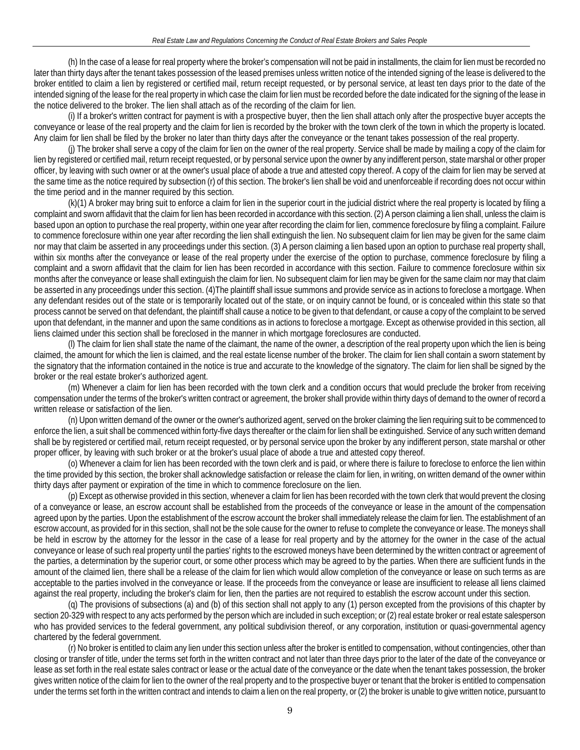(h) In the case of a lease for real property where the broker's compensation will not be paid in installments, the claim for lien must be recorded no later than thirty days after the tenant takes possession of the leased premises unless written notice of the intended signing of the lease is delivered to the broker entitled to claim a lien by registered or certified mail, return receipt requested, or by personal service, at least ten days prior to the date of the intended signing of the lease for the real property in which case the claim for lien must be recorded before the date indicated for the signing of the lease in the notice delivered to the broker. The lien shall attach as of the recording of the claim for lien.

(i) If a broker's written contract for payment is with a prospective buyer, then the lien shall attach only after the prospective buyer accepts the conveyance or lease of the real property and the claim for lien is recorded by the broker with the town clerk of the town in which the property is located. Any claim for lien shall be filed by the broker no later than thirty days after the conveyance or the tenant takes possession of the real property.

(j) The broker shall serve a copy of the claim for lien on the owner of the real property. Service shall be made by mailing a copy of the claim for lien by registered or certified mail, return receipt requested, or by personal service upon the owner by any indifferent person, state marshal or other proper officer, by leaving with such owner or at the owner's usual place of abode a true and attested copy thereof. A copy of the claim for lien may be served at the same time as the notice required by subsection (r) of this section. The broker's lien shall be void and unenforceable if recording does not occur within the time period and in the manner required by this section.

(k)(1) A broker may bring suit to enforce a claim for lien in the superior court in the judicial district where the real property is located by filing a complaint and sworn affidavit that the claim for lien has been recorded in accordance with this section. (2) A person claiming a lien shall, unless the claim is based upon an option to purchase the real property, within one year after recording the claim for lien, commence foreclosure by filing a complaint. Failure to commence foreclosure within one year after recording the lien shall extinguish the lien. No subsequent claim for lien may be given for the same claim nor may that claim be asserted in any proceedings under this section. (3) A person claiming a lien based upon an option to purchase real property shall, within six months after the conveyance or lease of the real property under the exercise of the option to purchase, commence foreclosure by filing a complaint and a sworn affidavit that the claim for lien has been recorded in accordance with this section. Failure to commence foreclosure within six months after the conveyance or lease shall extinguish the claim for lien. No subsequent claim for lien may be given for the same claim nor may that claim be asserted in any proceedings under this section. (4)The plaintiff shall issue summons and provide service as in actions to foreclose a mortgage. When any defendant resides out of the state or is temporarily located out of the state, or on inquiry cannot be found, or is concealed within this state so that process cannot be served on that defendant, the plaintiff shall cause a notice to be given to that defendant, or cause a copy of the complaint to be served upon that defendant, in the manner and upon the same conditions as in actions to foreclose a mortgage. Except as otherwise provided in this section, all liens claimed under this section shall be foreclosed in the manner in which mortgage foreclosures are conducted.

(l) The claim for lien shall state the name of the claimant, the name of the owner, a description of the real property upon which the lien is being claimed, the amount for which the lien is claimed, and the real estate license number of the broker. The claim for lien shall contain a sworn statement by the signatory that the information contained in the notice is true and accurate to the knowledge of the signatory. The claim for lien shall be signed by the broker or the real estate broker's authorized agent.

(m) Whenever a claim for lien has been recorded with the town clerk and a condition occurs that would preclude the broker from receiving compensation under the terms of the broker's written contract or agreement, the broker shall provide within thirty days of demand to the owner of record a written release or satisfaction of the lien.

(n) Upon written demand of the owner or the owner's authorized agent, served on the broker claiming the lien requiring suit to be commenced to enforce the lien, a suit shall be commenced within forty-five days thereafter or the claim for lien shall be extinguished. Service of any such written demand shall be by registered or certified mail, return receipt requested, or by personal service upon the broker by any indifferent person, state marshal or other proper officer, by leaving with such broker or at the broker's usual place of abode a true and attested copy thereof.

(o) Whenever a claim for lien has been recorded with the town clerk and is paid, or where there is failure to foreclose to enforce the lien within the time provided by this section, the broker shall acknowledge satisfaction or release the claim for lien, in writing, on written demand of the owner within thirty days after payment or expiration of the time in which to commence foreclosure on the lien.

(p) Except as otherwise provided in this section, whenever a claim for lien has been recorded with the town clerk that would prevent the closing of a conveyance or lease, an escrow account shall be established from the proceeds of the conveyance or lease in the amount of the compensation agreed upon by the parties. Upon the establishment of the escrow account the broker shall immediately release the claim for lien. The establishment of an escrow account, as provided for in this section, shall not be the sole cause for the owner to refuse to complete the conveyance or lease. The moneys shall be held in escrow by the attorney for the lessor in the case of a lease for real property and by the attorney for the owner in the case of the actual conveyance or lease of such real property until the parties' rights to the escrowed moneys have been determined by the written contract or agreement of the parties, a determination by the superior court, or some other process which may be agreed to by the parties. When there are sufficient funds in the amount of the claimed lien, there shall be a release of the claim for lien which would allow completion of the conveyance or lease on such terms as are acceptable to the parties involved in the conveyance or lease. If the proceeds from the conveyance or lease are insufficient to release all liens claimed against the real property, including the broker's claim for lien, then the parties are not required to establish the escrow account under this section.

(q) The provisions of subsections (a) and (b) of this section shall not apply to any (1) person excepted from the provisions of this chapter by section 20-329 with respect to any acts performed by the person which are included in such exception; or (2) real estate broker or real estate salesperson who has provided services to the federal government, any political subdivision thereof, or any corporation, institution or quasi-governmental agency chartered by the federal government.

(r) No broker is entitled to claim any lien under this section unless after the broker is entitled to compensation, without contingencies, other than closing or transfer of title, under the terms set forth in the written contract and not later than three days prior to the later of the date of the conveyance or lease as set forth in the real estate sales contract or lease or the actual date of the conveyance or the date when the tenant takes possession, the broker gives written notice of the claim for lien to the owner of the real property and to the prospective buyer or tenant that the broker is entitled to compensation under the terms set forth in the written contract and intends to claim a lien on the real property, or (2) the broker is unable to give written notice, pursuant to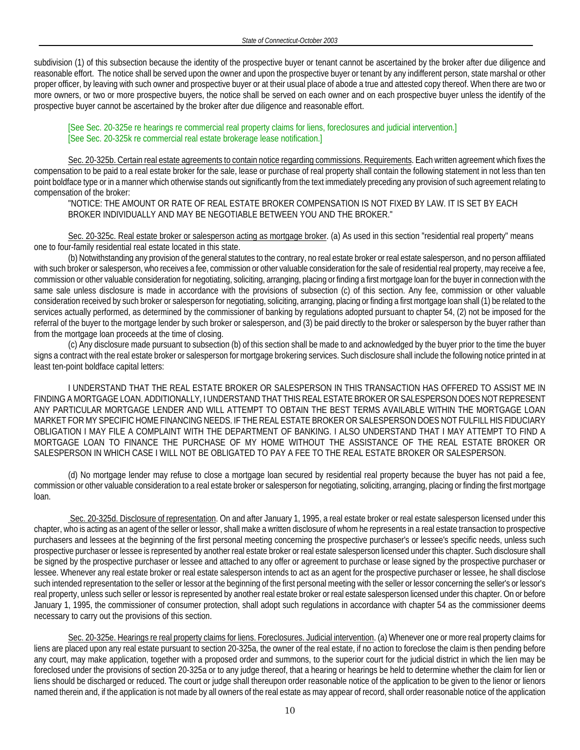subdivision (1) of this subsection because the identity of the prospective buyer or tenant cannot be ascertained by the broker after due diligence and reasonable effort. The notice shall be served upon the owner and upon the prospective buyer or tenant by any indifferent person, state marshal or other proper officer, by leaving with such owner and prospective buyer or at their usual place of abode a true and attested copy thereof. When there are two or more owners, or two or more prospective buyers, the notice shall be served on each owner and on each prospective buyer unless the identify of the prospective buyer cannot be ascertained by the broker after due diligence and reasonable effort.

[See Sec. 20-325e re hearings re commercial real property claims for liens, foreclosures and judicial intervention.] [See Sec. 20-325k re commercial real estate brokerage lease notification.]

Sec. 20-325b. Certain real estate agreements to contain notice regarding commissions. Requirements. Each written agreement which fixes the compensation to be paid to a real estate broker for the sale, lease or purchase of real property shall contain the following statement in not less than ten point boldface type or in a manner which otherwise stands out significantly from the text immediately preceding any provision of such agreement relating to compensation of the broker:

"NOTICE: THE AMOUNT OR RATE OF REAL ESTATE BROKER COMPENSATION IS NOT FIXED BY LAW. IT IS SET BY EACH BROKER INDIVIDUALLY AND MAY BE NEGOTIABLE BETWEEN YOU AND THE BROKER."

Sec. 20-325c. Real estate broker or salesperson acting as mortgage broker. (a) As used in this section "residential real property" means one to four-family residential real estate located in this state.

(b) Notwithstanding any provision of the general statutes to the contrary, no real estate broker or real estate salesperson, and no person affiliated with such broker or salesperson, who receives a fee, commission or other valuable consideration for the sale of residential real property, may receive a fee, commission or other valuable consideration for negotiating, soliciting, arranging, placing or finding a first mortgage loan for the buyer in connection with the same sale unless disclosure is made in accordance with the provisions of subsection (c) of this section. Any fee, commission or other valuable consideration received by such broker or salesperson for negotiating, soliciting, arranging, placing or finding a first mortgage loan shall (1) be related to the services actually performed, as determined by the commissioner of banking by regulations adopted pursuant to chapter 54, (2) not be imposed for the referral of the buyer to the mortgage lender by such broker or salesperson, and (3) be paid directly to the broker or salesperson by the buyer rather than from the mortgage loan proceeds at the time of closing.

(c) Any disclosure made pursuant to subsection (b) of this section shall be made to and acknowledged by the buyer prior to the time the buyer signs a contract with the real estate broker or salesperson for mortgage brokering services. Such disclosure shall include the following notice printed in at least ten-point boldface capital letters:

I UNDERSTAND THAT THE REAL ESTATE BROKER OR SALESPERSON IN THIS TRANSACTION HAS OFFERED TO ASSIST ME IN FINDING A MORTGAGE LOAN. ADDITIONALLY, I UNDERSTAND THAT THIS REAL ESTATE BROKER OR SALESPERSON DOES NOT REPRESENT ANY PARTICULAR MORTGAGE LENDER AND WILL ATTEMPT TO OBTAIN THE BEST TERMS AVAILABLE WITHIN THE MORTGAGE LOAN MARKET FOR MY SPECIFIC HOME FINANCING NEEDS. IF THE REAL ESTATE BROKER OR SALESPERSON DOES NOT FULFILL HIS FIDUCIARY OBLIGATION I MAY FILE A COMPLAINT WITH THE DEPARTMENT OF BANKING. I ALSO UNDERSTAND THAT I MAY ATTEMPT TO FIND A MORTGAGE LOAN TO FINANCE THE PURCHASE OF MY HOME WITHOUT THE ASSISTANCE OF THE REAL ESTATE BROKER OR SALESPERSON IN WHICH CASE I WILL NOT BE OBLIGATED TO PAY A FEE TO THE REAL ESTATE BROKER OR SALESPERSON.

(d) No mortgage lender may refuse to close a mortgage loan secured by residential real property because the buyer has not paid a fee, commission or other valuable consideration to a real estate broker or salesperson for negotiating, soliciting, arranging, placing or finding the first mortgage loan.

 Sec. 20-325d. Disclosure of representation. On and after January 1, 1995, a real estate broker or real estate salesperson licensed under this chapter, who is acting as an agent of the seller or lessor, shall make a written disclosure of whom he represents in a real estate transaction to prospective purchasers and lessees at the beginning of the first personal meeting concerning the prospective purchaser's or lessee's specific needs, unless such prospective purchaser or lessee is represented by another real estate broker or real estate salesperson licensed under this chapter. Such disclosure shall be signed by the prospective purchaser or lessee and attached to any offer or agreement to purchase or lease signed by the prospective purchaser or lessee. Whenever any real estate broker or real estate salesperson intends to act as an agent for the prospective purchaser or lessee, he shall disclose such intended representation to the seller or lessor at the beginning of the first personal meeting with the seller or lessor concerning the seller's or lessor's real property, unless such seller or lessor is represented by another real estate broker or real estate salesperson licensed under this chapter. On or before January 1, 1995, the commissioner of consumer protection, shall adopt such regulations in accordance with chapter 54 as the commissioner deems necessary to carry out the provisions of this section.

Sec. 20-325e. Hearings re real property claims for liens. Foreclosures. Judicial intervention. (a) Whenever one or more real property claims for liens are placed upon any real estate pursuant to section 20-325a, the owner of the real estate, if no action to foreclose the claim is then pending before any court, may make application, together with a proposed order and summons, to the superior court for the judicial district in which the lien may be foreclosed under the provisions of section 20-325a or to any judge thereof, that a hearing or hearings be held to determine whether the claim for lien or liens should be discharged or reduced. The court or judge shall thereupon order reasonable notice of the application to be given to the lienor or lienors named therein and, if the application is not made by all owners of the real estate as may appear of record, shall order reasonable notice of the application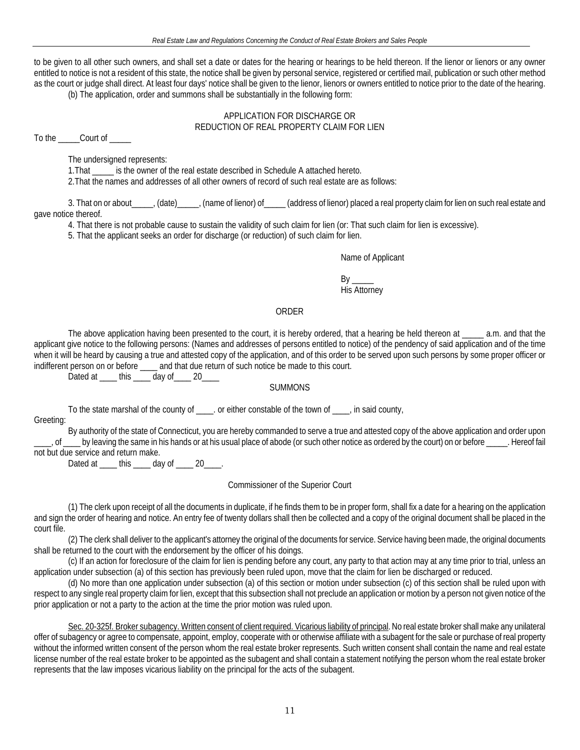to be given to all other such owners, and shall set a date or dates for the hearing or hearings to be held thereon. If the lienor or lienors or any owner entitled to notice is not a resident of this state, the notice shall be given by personal service, registered or certified mail, publication or such other method as the court or judge shall direct. At least four days' notice shall be given to the lienor, lienors or owners entitled to notice prior to the date of the hearing. (b) The application, order and summons shall be substantially in the following form:

## APPLICATION FOR DISCHARGE OR REDUCTION OF REAL PROPERTY CLAIM FOR LIEN

To the Court of

The undersigned represents:

1.That \_\_\_\_\_ is the owner of the real estate described in Schedule A attached hereto.

2.That the names and addresses of all other owners of record of such real estate are as follows:

3. That on or about \_\_\_\_\_, (date) \_\_\_\_\_, (name of lienor) of \_\_\_\_\_ (address of lienor) placed a real property claim for lien on such real estate and gave notice thereof.

4. That there is not probable cause to sustain the validity of such claim for lien (or: That such claim for lien is excessive).

5. That the applicant seeks an order for discharge (or reduction) of such claim for lien.

Name of Applicant

 $By$   $\_\_$ His Attorney

## ORDER

The above application having been presented to the court, it is hereby ordered, that a hearing be held thereon at \_\_\_\_\_ a.m. and that the applicant give notice to the following persons: (Names and addresses of persons entitled to notice) of the pendency of said application and of the time when it will be heard by causing a true and attested copy of the application, and of this order to be served upon such persons by some proper officer or indifferent person on or before \_\_\_\_ and that due return of such notice be made to this court.

Dated at \_\_\_\_\_ this \_\_\_\_\_ day of \_\_\_\_ 20\_\_\_\_\_

## SUMMONS

To the state marshal of the county of \_\_\_\_\_. or either constable of the town of \_\_\_\_, in said county,

Greeting: By authority of the state of Connecticut, you are hereby commanded to serve a true and attested copy of the above application and order upon

\_\_\_\_, of \_\_\_\_ by leaving the same in his hands or at his usual place of abode (or such other notice as ordered by the court) on or before \_\_\_\_\_. Hereof fail not but due service and return make.

Dated at \_\_\_\_ this \_\_\_\_ day of \_\_\_\_ 20\_\_\_\_.

Commissioner of the Superior Court

(1) The clerk upon receipt of all the documents in duplicate, if he finds them to be in proper form, shall fix a date for a hearing on the application and sign the order of hearing and notice. An entry fee of twenty dollars shall then be collected and a copy of the original document shall be placed in the court file.

(2) The clerk shall deliver to the applicant's attorney the original of the documents for service. Service having been made, the original documents shall be returned to the court with the endorsement by the officer of his doings.

(c) If an action for foreclosure of the claim for lien is pending before any court, any party to that action may at any time prior to trial, unless an application under subsection (a) of this section has previously been ruled upon, move that the claim for lien be discharged or reduced.

(d) No more than one application under subsection (a) of this section or motion under subsection (c) of this section shall be ruled upon with respect to any single real property claim for lien, except that this subsection shall not preclude an application or motion by a person not given notice of the prior application or not a party to the action at the time the prior motion was ruled upon.

Sec. 20-325f. Broker subagency. Written consent of client required. Vicarious liability of principal. No real estate broker shall make any unilateral offer of subagency or agree to compensate, appoint, employ, cooperate with or otherwise affiliate with a subagent for the sale or purchase of real property without the informed written consent of the person whom the real estate broker represents. Such written consent shall contain the name and real estate license number of the real estate broker to be appointed as the subagent and shall contain a statement notifying the person whom the real estate broker represents that the law imposes vicarious liability on the principal for the acts of the subagent.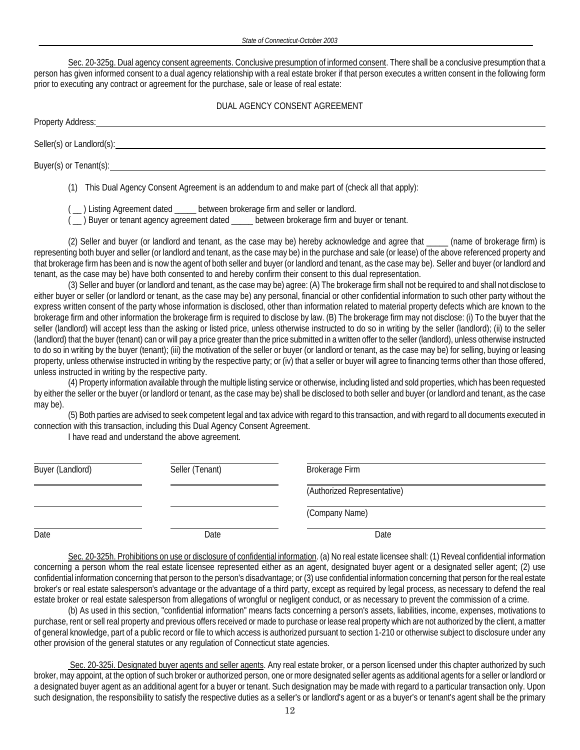Sec. 20-325g. Dual agency consent agreements. Conclusive presumption of informed consent. There shall be a conclusive presumption that a person has given informed consent to a dual agency relationship with a real estate broker if that person executes a written consent in the following form prior to executing any contract or agreement for the purchase, sale or lease of real estate:

#### DUAL AGENCY CONSENT AGREEMENT

| Property Address:         |
|---------------------------|
| Seller(s) or Landlord(s): |
| Buyer(s) or Tenant(s):    |

(1) This Dual Agency Consent Agreement is an addendum to and make part of (check all that apply):

(  $\Box$ ) Listing Agreement dated 
Letween brokerage firm and seller or landlord.

( \_\_ ) Buyer or tenant agency agreement dated \_\_\_\_\_ between brokerage firm and buyer or tenant.

(2) Seller and buyer (or landlord and tenant, as the case may be) hereby acknowledge and agree that \_\_\_\_\_ (name of brokerage firm) is representing both buyer and seller (or landlord and tenant, as the case may be) in the purchase and sale (or lease) of the above referenced property and that brokerage firm has been and is now the agent of both seller and buyer (or landlord and tenant, as the case may be). Seller and buyer (or landlord and tenant, as the case may be) have both consented to and hereby confirm their consent to this dual representation.

(3) Seller and buyer (or landlord and tenant, as the case may be) agree: (A) The brokerage firm shall not be required to and shall not disclose to either buyer or seller (or landlord or tenant, as the case may be) any personal, financial or other confidential information to such other party without the express written consent of the party whose information is disclosed, other than information related to material property defects which are known to the brokerage firm and other information the brokerage firm is required to disclose by law. (B) The brokerage firm may not disclose: (i) To the buyer that the seller (landlord) will accept less than the asking or listed price, unless otherwise instructed to do so in writing by the seller (landlord); (ii) to the seller (landlord) that the buyer (tenant) can or will pay a price greater than the price submitted in a written offer to the seller (landlord), unless otherwise instructed to do so in writing by the buyer (tenant); (iii) the motivation of the seller or buyer (or landlord or tenant, as the case may be) for selling, buying or leasing property, unless otherwise instructed in writing by the respective party; or (iv) that a seller or buyer will agree to financing terms other than those offered, unless instructed in writing by the respective party.

(4) Property information available through the multiple listing service or otherwise, including listed and sold properties, which has been requested by either the seller or the buyer (or landlord or tenant, as the case may be) shall be disclosed to both seller and buyer (or landlord and tenant, as the case may be).

(5) Both parties are advised to seek competent legal and tax advice with regard to this transaction, and with regard to all documents executed in connection with this transaction, including this Dual Agency Consent Agreement.

I have read and understand the above agreement.

| Buyer (Landlord) | Seller (Tenant) | <b>Brokerage Firm</b>       |  |
|------------------|-----------------|-----------------------------|--|
|                  |                 | (Authorized Representative) |  |
|                  |                 | (Company Name)              |  |
| Date             | Date            | Date                        |  |

Sec. 20-325h. Prohibitions on use or disclosure of confidential information. (a) No real estate licensee shall: (1) Reveal confidential information concerning a person whom the real estate licensee represented either as an agent, designated buyer agent or a designated seller agent; (2) use confidential information concerning that person to the person's disadvantage; or (3) use confidential information concerning that person for the real estate broker's or real estate salesperson's advantage or the advantage of a third party, except as required by legal process, as necessary to defend the real estate broker or real estate salesperson from allegations of wrongful or negligent conduct, or as necessary to prevent the commission of a crime.

(b) As used in this section, "confidential information" means facts concerning a person's assets, liabilities, income, expenses, motivations to purchase, rent or sell real property and previous offers received or made to purchase or lease real property which are not authorized by the client, a matter of general knowledge, part of a public record or file to which access is authorized pursuant to section 1-210 or otherwise subject to disclosure under any other provision of the general statutes or any regulation of Connecticut state agencies.

 Sec. 20-325i. Designated buyer agents and seller agents. Any real estate broker, or a person licensed under this chapter authorized by such broker, may appoint, at the option of such broker or authorized person, one or more designated seller agents as additional agents for a seller or landlord or a designated buyer agent as an additional agent for a buyer or tenant. Such designation may be made with regard to a particular transaction only. Upon such designation, the responsibility to satisfy the respective duties as a seller's or landlord's agent or as a buyer's or tenant's agent shall be the primary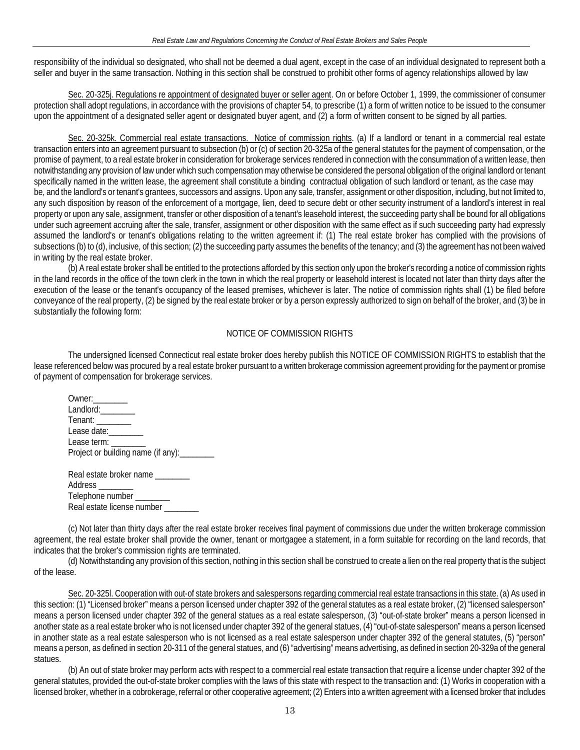responsibility of the individual so designated, who shall not be deemed a dual agent, except in the case of an individual designated to represent both a seller and buyer in the same transaction. Nothing in this section shall be construed to prohibit other forms of agency relationships allowed by law

Sec. 20-325j. Regulations re appointment of designated buyer or seller agent. On or before October 1, 1999, the commissioner of consumer protection shall adopt regulations, in accordance with the provisions of chapter 54, to prescribe (1) a form of written notice to be issued to the consumer upon the appointment of a designated seller agent or designated buyer agent, and (2) a form of written consent to be signed by all parties.

Sec. 20-325k. Commercial real estate transactions. Notice of commission rights. (a) If a landlord or tenant in a commercial real estate transaction enters into an agreement pursuant to subsection (b) or (c) of section 20-325a of the general statutes for the payment of compensation, or the promise of payment, to a real estate broker in consideration for brokerage services rendered in connection with the consummation of a written lease, then notwithstanding any provision of law under which such compensation may otherwise be considered the personal obligation of the original landlord or tenant specifically named in the written lease, the agreement shall constitute a binding contractual obligation of such landlord or tenant, as the case may be, and the landlord's or tenant's grantees, successors and assigns. Upon any sale, transfer, assignment or other disposition, including, but not limited to, any such disposition by reason of the enforcement of a mortgage, lien, deed to secure debt or other security instrument of a landlord's interest in real property or upon any sale, assignment, transfer or other disposition of a tenant's leasehold interest, the succeeding party shall be bound for all obligations under such agreement accruing after the sale, transfer, assignment or other disposition with the same effect as if such succeeding party had expressly assumed the landlord's or tenant's obligations relating to the written agreement if: (1) The real estate broker has complied with the provisions of subsections (b) to (d), inclusive, of this section; (2) the succeeding party assumes the benefits of the tenancy; and (3) the agreement has not been waived in writing by the real estate broker.

(b) A real estate broker shall be entitled to the protections afforded by this section only upon the broker's recording a notice of commission rights in the land records in the office of the town clerk in the town in which the real property or leasehold interest is located not later than thirty days after the execution of the lease or the tenant's occupancy of the leased premises, whichever is later. The notice of commission rights shall (1) be filed before conveyance of the real property, (2) be signed by the real estate broker or by a person expressly authorized to sign on behalf of the broker, and (3) be in substantially the following form:

## NOTICE OF COMMISSION RIGHTS

The undersigned licensed Connecticut real estate broker does hereby publish this NOTICE OF COMMISSION RIGHTS to establish that the lease referenced below was procured by a real estate broker pursuant to a written brokerage commission agreement providing for the payment or promise of payment of compensation for brokerage services.

Owner: Landlord: Tenant: Lease date: Lease term: Project or building name (if any):

Real estate broker name Address \_\_\_\_\_\_\_\_ Telephone number \_\_\_\_\_\_\_\_ Real estate license number

(c) Not later than thirty days after the real estate broker receives final payment of commissions due under the written brokerage commission agreement, the real estate broker shall provide the owner, tenant or mortgagee a statement, in a form suitable for recording on the land records, that indicates that the broker's commission rights are terminated.

(d) Notwithstanding any provision of this section, nothing in this section shall be construed to create a lien on the real property that is the subject of the lease.

Sec. 20-325l. Cooperation with out-of state brokers and salespersons regarding commercial real estate transactions in this state. (a) As used in this section: (1) "Licensed broker" means a person licensed under chapter 392 of the general statutes as a real estate broker, (2) "licensed salesperson" means a person licensed under chapter 392 of the general statues as a real estate salesperson, (3) "out-of-state broker" means a person licensed in another state as a real estate broker who is not licensed under chapter 392 of the general statues, (4) "out-of-state salesperson" means a person licensed in another state as a real estate salesperson who is not licensed as a real estate salesperson under chapter 392 of the general statutes, (5) "person" means a person, as defined in section 20-311 of the general statues, and (6) "advertising" means advertising, as defined in section 20-329a of the general statues.

 (b) An out of state broker may perform acts with respect to a commercial real estate transaction that require a license under chapter 392 of the general statutes, provided the out-of-state broker complies with the laws of this state with respect to the transaction and: (1) Works in cooperation with a licensed broker, whether in a cobrokerage, referral or other cooperative agreement; (2) Enters into a written agreement with a licensed broker that includes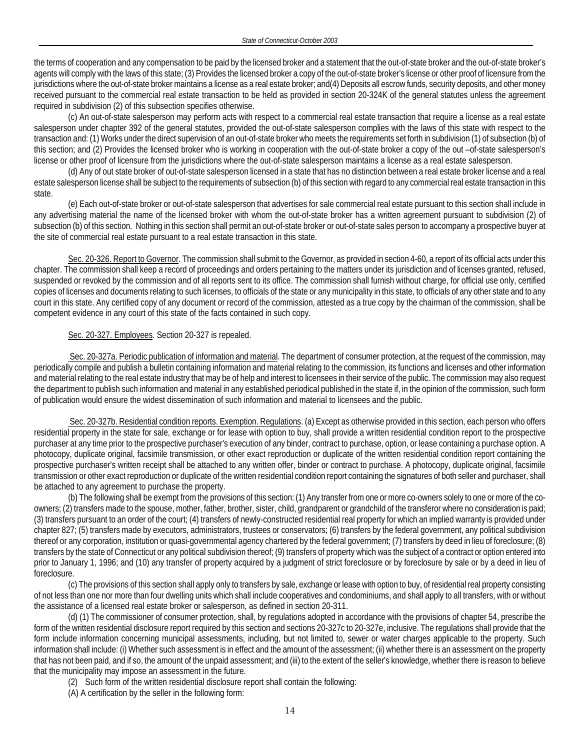the terms of cooperation and any compensation to be paid by the licensed broker and a statement that the out-of-state broker and the out-of-state broker's agents will comply with the laws of this state; (3) Provides the licensed broker a copy of the out-of-state broker's license or other proof of licensure from the jurisdictions where the out-of-state broker maintains a license as a real estate broker; and(4) Deposits all escrow funds, security deposits, and other money received pursuant to the commercial real estate transaction to be held as provided in section 20-324K of the general statutes unless the agreement required in subdivision (2) of this subsection specifies otherwise.

 (c) An out-of-state salesperson may perform acts with respect to a commercial real estate transaction that require a license as a real estate salesperson under chapter 392 of the general statutes, provided the out-of-state salesperson complies with the laws of this state with respect to the transaction and: (1) Works under the direct supervision of an out-of-state broker who meets the requirements set forth in subdivision (1) of subsection (b) of this section; and (2) Provides the licensed broker who is working in cooperation with the out-of-state broker a copy of the out –of-state salesperson's license or other proof of licensure from the jurisdictions where the out-of-state salesperson maintains a license as a real estate salesperson.

 (d) Any of out state broker of out-of-state salesperson licensed in a state that has no distinction between a real estate broker license and a real estate salesperson license shall be subject to the requirements of subsection (b) of this section with regard to any commercial real estate transaction in this state.

 (e) Each out-of-state broker or out-of-state salesperson that advertises for sale commercial real estate pursuant to this section shall include in any advertising material the name of the licensed broker with whom the out-of-state broker has a written agreement pursuant to subdivision (2) of subsection (b) of this section. Nothing in this section shall permit an out-of-state broker or out-of-state sales person to accompany a prospective buyer at the site of commercial real estate pursuant to a real estate transaction in this state.

Sec. 20-326. Report to Governor. The commission shall submit to the Governor, as provided in section 4-60, a report of its official acts under this chapter. The commission shall keep a record of proceedings and orders pertaining to the matters under its jurisdiction and of licenses granted, refused, suspended or revoked by the commission and of all reports sent to its office. The commission shall furnish without charge, for official use only, certified copies of licenses and documents relating to such licenses, to officials of the state or any municipality in this state, to officials of any other state and to any court in this state. Any certified copy of any document or record of the commission, attested as a true copy by the chairman of the commission, shall be competent evidence in any court of this state of the facts contained in such copy.

## Sec. 20-327. Employees. Section 20-327 is repealed.

 Sec. 20-327a. Periodic publication of information and material. The department of consumer protection, at the request of the commission, may periodically compile and publish a bulletin containing information and material relating to the commission, its functions and licenses and other information and material relating to the real estate industry that may be of help and interest to licensees in their service of the public. The commission may also request the department to publish such information and material in any established periodical published in the state if, in the opinion of the commission, such form of publication would ensure the widest dissemination of such information and material to licensees and the public.

 Sec. 20-327b. Residential condition reports. Exemption. Regulations. (a) Except as otherwise provided in this section, each person who offers residential property in the state for sale, exchange or for lease with option to buy, shall provide a written residential condition report to the prospective purchaser at any time prior to the prospective purchaser's execution of any binder, contract to purchase, option, or lease containing a purchase option. A photocopy, duplicate original, facsimile transmission, or other exact reproduction or duplicate of the written residential condition report containing the prospective purchaser's written receipt shall be attached to any written offer, binder or contract to purchase. A photocopy, duplicate original, facsimile transmission or other exact reproduction or duplicate of the written residential condition report containing the signatures of both seller and purchaser, shall be attached to any agreement to purchase the property.

(b) The following shall be exempt from the provisions of this section: (1) Any transfer from one or more co-owners solely to one or more of the coowners; (2) transfers made to the spouse, mother, father, brother, sister, child, grandparent or grandchild of the transferor where no consideration is paid; (3) transfers pursuant to an order of the court; (4) transfers of newly-constructed residential real property for which an implied warranty is provided under chapter 827; (5) transfers made by executors, administrators, trustees or conservators; (6) transfers by the federal government, any political subdivision thereof or any corporation, institution or quasi-governmental agency chartered by the federal government; (7) transfers by deed in lieu of foreclosure; (8) transfers by the state of Connecticut or any political subdivision thereof; (9) transfers of property which was the subject of a contract or option entered into prior to January 1, 1996; and (10) any transfer of property acquired by a judgment of strict foreclosure or by foreclosure by sale or by a deed in lieu of foreclosure.

(c) The provisions of this section shall apply only to transfers by sale, exchange or lease with option to buy, of residential real property consisting of not less than one nor more than four dwelling units which shall include cooperatives and condominiums, and shall apply to all transfers, with or without the assistance of a licensed real estate broker or salesperson, as defined in section 20-311.

(d) (1) The commissioner of consumer protection, shall, by regulations adopted in accordance with the provisions of chapter 54, prescribe the form of the written residential disclosure report required by this section and sections 20-327c to 20-327e, inclusive. The requlations shall provide that the form include information concerning municipal assessments, including, but not limited to, sewer or water charges applicable to the property. Such information shall include: (i) Whether such assessment is in effect and the amount of the assessment; (ii) whether there is an assessment on the property that has not been paid, and if so, the amount of the unpaid assessment; and (iii) to the extent of the seller's knowledge, whether there is reason to believe that the municipality may impose an assessment in the future.

(2) Such form of the written residential disclosure report shall contain the following:

(A) A certification by the seller in the following form: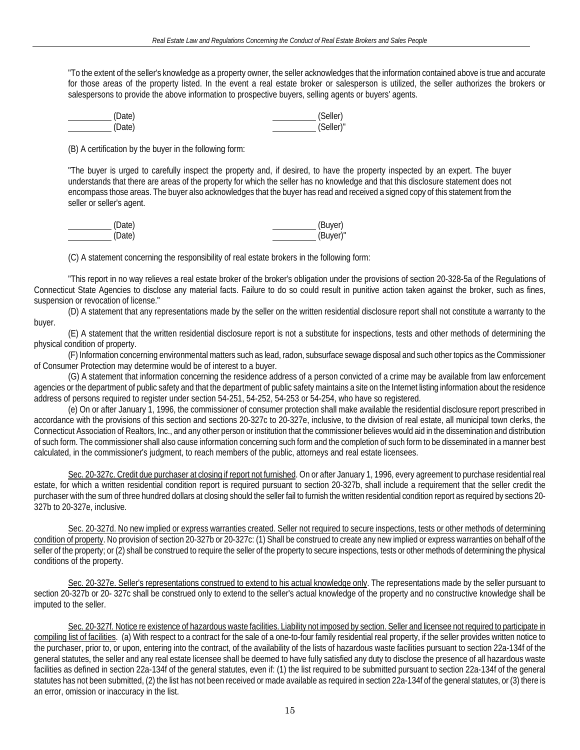"To the extent of the seller's knowledge as a property owner, the seller acknowledges that the information contained above is true and accurate for those areas of the property listed. In the event a real estate broker or salesperson is utilized, the seller authorizes the brokers or salespersons to provide the above information to prospective buyers, selling agents or buyers' agents.

| (Date) | (Seller)  |
|--------|-----------|
| (Date) | (Seller)" |

(B) A certification by the buyer in the following form:

"The buyer is urged to carefully inspect the property and, if desired, to have the property inspected by an expert. The buyer understands that there are areas of the property for which the seller has no knowledge and that this disclosure statement does not encompass those areas. The buyer also acknowledges that the buyer has read and received a signed copy of this statement from the seller or seller's agent.

| (Date) | (Buyer)  |
|--------|----------|
| (Date) | (Buyer)" |

(C) A statement concerning the responsibility of real estate brokers in the following form:

"This report in no way relieves a real estate broker of the broker's obligation under the provisions of section 20-328-5a of the Regulations of Connecticut State Agencies to disclose any material facts. Failure to do so could result in punitive action taken against the broker, such as fines, suspension or revocation of license."

(D) A statement that any representations made by the seller on the written residential disclosure report shall not constitute a warranty to the buyer.

(E) A statement that the written residential disclosure report is not a substitute for inspections, tests and other methods of determining the physical condition of property.

(F) Information concerning environmental matters such as lead, radon, subsurface sewage disposal and such other topics as the Commissioner of Consumer Protection may determine would be of interest to a buyer.

(G) A statement that information concerning the residence address of a person convicted of a crime may be available from law enforcement agencies or the department of public safety and that the department of public safety maintains a site on the Internet listing information about the residence address of persons required to register under section 54-251, 54-252, 54-253 or 54-254, who have so registered.

(e) On or after January 1, 1996, the commissioner of consumer protection shall make available the residential disclosure report prescribed in accordance with the provisions of this section and sections 20-327c to 20-327e, inclusive, to the division of real estate, all municipal town clerks, the Connecticut Association of Realtors, Inc., and any other person or institution that the commissioner believes would aid in the dissemination and distribution of such form. The commissioner shall also cause information concerning such form and the completion of such form to be disseminated in a manner best calculated, in the commissioner's judgment, to reach members of the public, attorneys and real estate licensees.

Sec. 20-327c. Credit due purchaser at closing if report not furnished. On or after January 1, 1996, every agreement to purchase residential real estate, for which a written residential condition report is required pursuant to section 20-327b, shall include a requirement that the seller credit the purchaser with the sum of three hundred dollars at closing should the seller fail to furnish the written residential condition report as required by sections 20- 327b to 20-327e, inclusive.

Sec. 20-327d. No new implied or express warranties created. Seller not required to secure inspections, tests or other methods of determining condition of property. No provision of section 20-327b or 20-327c: (1) Shall be construed to create any new implied or express warranties on behalf of the seller of the property; or (2) shall be construed to require the seller of the property to secure inspections, tests or other methods of determining the physical conditions of the property.

Sec. 20-327e. Seller's representations construed to extend to his actual knowledge only. The representations made by the seller pursuant to section 20-327b or 20- 327c shall be construed only to extend to the seller's actual knowledge of the property and no constructive knowledge shall be imputed to the seller.

Sec. 20-327f. Notice re existence of hazardous waste facilities. Liability not imposed by section. Seller and licensee not required to participate in compiling list of facilities. (a) With respect to a contract for the sale of a one-to-four family residential real property, if the seller provides written notice to the purchaser, prior to, or upon, entering into the contract, of the availability of the lists of hazardous waste facilities pursuant to section 22a-134f of the general statutes, the seller and any real estate licensee shall be deemed to have fully satisfied any duty to disclose the presence of all hazardous waste facilities as defined in section 22a-134f of the general statutes, even if: (1) the list required to be submitted pursuant to section 22a-134f of the general statutes has not been submitted, (2) the list has not been received or made available as required in section 22a-134f of the general statutes, or (3) there is an error, omission or inaccuracy in the list.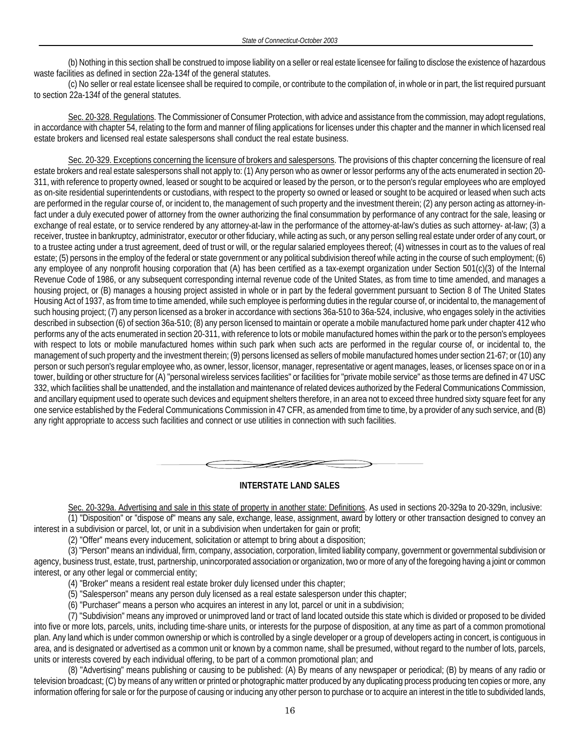(b) Nothing in this section shall be construed to impose liability on a seller or real estate licensee for failing to disclose the existence of hazardous waste facilities as defined in section 22a-134f of the general statutes.

(c) No seller or real estate licensee shall be required to compile, or contribute to the compilation of, in whole or in part, the list required pursuant to section 22a-134f of the general statutes.

Sec. 20-328. Regulations. The Commissioner of Consumer Protection, with advice and assistance from the commission, may adopt regulations, in accordance with chapter 54, relating to the form and manner of filing applications for licenses under this chapter and the manner in which licensed real estate brokers and licensed real estate salespersons shall conduct the real estate business.

Sec. 20-329. Exceptions concerning the licensure of brokers and salespersons. The provisions of this chapter concerning the licensure of real estate brokers and real estate salespersons shall not apply to: (1) Any person who as owner or lessor performs any of the acts enumerated in section 20- 311, with reference to property owned, leased or sought to be acquired or leased by the person, or to the person's regular employees who are employed as on-site residential superintendents or custodians, with respect to the property so owned or leased or sought to be acquired or leased when such acts are performed in the regular course of, or incident to, the management of such property and the investment therein; (2) any person acting as attorney-infact under a duly executed power of attorney from the owner authorizing the final consummation by performance of any contract for the sale, leasing or exchange of real estate, or to service rendered by any attorney-at-law in the performance of the attorney-at-law's duties as such attorney- at-law; (3) a receiver, trustee in bankruptcy, administrator, executor or other fiduciary, while acting as such, or any person selling real estate under order of any court, or to a trustee acting under a trust agreement, deed of trust or will, or the regular salaried employees thereof; (4) witnesses in court as to the values of real estate; (5) persons in the employ of the federal or state government or any political subdivision thereof while acting in the course of such employment; (6) any employee of any nonprofit housing corporation that (A) has been certified as a tax-exempt organization under Section 501(c)(3) of the Internal Revenue Code of 1986, or any subsequent corresponding internal revenue code of the United States, as from time to time amended, and manages a housing project, or (B) manages a housing project assisted in whole or in part by the federal government pursuant to Section 8 of The United States Housing Act of 1937, as from time to time amended, while such employee is performing duties in the regular course of, or incidental to, the management of such housing project; (7) any person licensed as a broker in accordance with sections 36a-510 to 36a-524, inclusive, who engages solely in the activities described in subsection (6) of section 36a-510; (8) any person licensed to maintain or operate a mobile manufactured home park under chapter 412 who performs any of the acts enumerated in section 20-311, with reference to lots or mobile manufactured homes within the park or to the person's employees with respect to lots or mobile manufactured homes within such park when such acts are performed in the regular course of, or incidental to, the management of such property and the investment therein; (9) persons licensed as sellers of mobile manufactured homes under section 21-67; or (10) any person or such person's regular employee who, as owner, lessor, licensor, manager, representative or agent manages, leases, or licenses space on or in a tower, building or other structure for (A) "personal wireless services facilities" or facilities for "private mobile service" as those terms are defined in 47 USC 332, which facilities shall be unattended, and the installation and maintenance of related devices authorized by the Federal Communications Commission, and ancillary equipment used to operate such devices and equipment shelters therefore, in an area not to exceed three hundred sixty square feet for any one service established by the Federal Communications Commission in 47 CFR, as amended fromtime to time, by a provider of any such service, and (B) any right appropriate to access such facilities and connect or use utilities in connection with such facilities.



## **INTERSTATE LAND SALES**

Sec. 20-329a. Advertising and sale in this state of property in another state: Definitions. As used in sections 20-329a to 20-329n, inclusive: (1) "Disposition" or "dispose of" means any sale, exchange, lease, assignment, award by lottery or other transaction designed to convey an interest in a subdivision or parcel, lot, or unit in a subdivision when undertaken for gain or profit;

(2) "Offer" means every inducement, solicitation or attempt to bring about a disposition;

(3) "Person" means an individual, firm, company, association, corporation, limited liability company, government or governmental subdivision or agency, business trust, estate, trust, partnership, unincorporated association or organization, two or more of any of the foregoing having a joint or common interest, or any other legal or commercial entity;

- (4) "Broker" means a resident real estate broker duly licensed under this chapter;
- (5) "Salesperson" means any person duly licensed as a real estate salesperson under this chapter;

(6) "Purchaser" means a person who acquires an interest in any lot, parcel or unit in a subdivision;

(7) "Subdivision" means any improved or unimproved land or tract of land located outside this state which is divided or proposed to be divided into five or more lots, parcels, units, including time-share units, or interests for the purpose of disposition, at any time as part of a common promotional plan. Any land which is under common ownership or which is controlled by a single developer or a group of developers acting in concert, is contiguous in area, and is designated or advertised as a common unit or known by a common name, shall be presumed, without regard to the number of lots, parcels, units or interests covered by each individual offering, to be part of a common promotional plan; and

(8) "Advertising" means publishing or causing to be published: (A) By means of any newspaper or periodical; (B) by means of any radio or television broadcast; (C) by means of any written or printed or photographic matter produced by any duplicating process producing ten copies or more, any information offering for sale or for the purpose of causing or inducing any other person to purchase or to acquire an interest in the title to subdivided lands,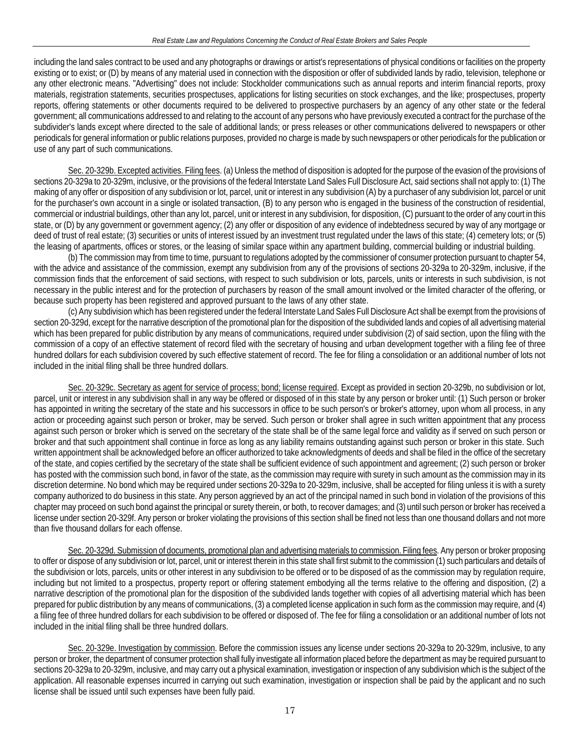including the land sales contract to be used and any photographs or drawings or artist's representations of physical conditions or facilities on the property existing or to exist; or (D) by means of any material used in connection with the disposition or offer of subdivided lands by radio, television, telephone or any other electronic means. "Advertising" does not include: Stockholder communications such as annual reports and interim financial reports, proxy materials, registration statements, securities prospectuses, applications for listing securities on stock exchanges, and the like; prospectuses, property reports, offering statements or other documents required to be delivered to prospective purchasers by an agency of any other state or the federal government; all communications addressed to and relating to the account of any persons who have previously executed a contract for the purchase of the subdivider's lands except where directed to the sale of additional lands; or press releases or other communications delivered to newspapers or other periodicals for general information or public relations purposes, provided no charge is made by such newspapers or other periodicals for the publication or use of any part of such communications.

Sec. 20-329b. Excepted activities. Filing fees. (a) Unless the method of disposition is adopted for the purpose of the evasion of the provisions of sections 20-329a to 20-329m, inclusive, or the provisions of the federal Interstate Land Sales Full Disclosure Act, said sections shall not apply to: (1) The making of any offer or disposition of any subdivision or lot, parcel, unit or interest in any subdivision (A) by a purchaser of any subdivision lot, parcel or unit for the purchaser's own account in a single or isolated transaction, (B) to any person who is engaged in the business of the construction of residential, commercial or industrial buildings, other than any lot, parcel, unit or interest in any subdivision, for disposition, (C) pursuant to the order of any court in this state, or (D) by any government or government agency; (2) any offer or disposition of any evidence of indebtedness secured by way of any mortgage or deed of trust of real estate; (3) securities or units of interest issued by an investment trust regulated under the laws of this state; (4) cemetery lots; or (5) the leasing of apartments, offices or stores, or the leasing of similar space within any apartment building, commercial building or industrial building.

(b) The commission may from time to time, pursuant to regulations adopted by the commissioner of consumer protection pursuant to chapter 54, with the advice and assistance of the commission, exempt any subdivision from any of the provisions of sections 20-329a to 20-329m, inclusive, if the commission finds that the enforcement of said sections, with respect to such subdivision or lots, parcels, units or interests in such subdivision, is not necessary in the public interest and for the protection of purchasers by reason of the small amount involved or the limited character of the offering, or because such property has been registered and approved pursuant to the laws of any other state.

(c) Any subdivision which has been registered under the federal Interstate Land Sales Full Disclosure Act shall be exempt from the provisions of section 20-329d, except for the narrative description of the promotional plan for the disposition of the subdivided lands and copies of all advertising material which has been prepared for public distribution by any means of communications, required under subdivision (2) of said section, upon the filing with the commission of a copy of an effective statement of record filed with the secretary of housing and urban development together with a filing fee of three hundred dollars for each subdivision covered by such effective statement of record. The fee for filing a consolidation or an additional number of lots not included in the initial filing shall be three hundred dollars.

Sec. 20-329c. Secretary as agent for service of process; bond; license required. Except as provided in section 20-329b, no subdivision or lot, parcel, unit or interest in any subdivision shall in any way be offered or disposed of in this state by any person or broker until: (1) Such person or broker has appointed in writing the secretary of the state and his successors in office to be such person's or broker's attorney, upon whom all process, in any action or proceeding against such person or broker, may be served. Such person or broker shall agree in such written appointment that any process against such person or broker which is served on the secretary of the state shall be of the same legal force and validity as if served on such person or broker and that such appointment shall continue in force as long as any liability remains outstanding against such person or broker in this state. Such written appointment shall be acknowledged before an officer authorized to take acknowledgments of deeds and shall be filed in the office of the secretary of the state, and copies certified by the secretary of the state shall be sufficient evidence of such appointment and agreement; (2) such person or broker has posted with the commission such bond, in favor of the state, as the commission may require with surety in such amount as the commission may in its discretion determine. No bond which may be required under sections 20-329a to 20-329m, inclusive, shall be accepted for filing unless it is with a surety company authorized to do business in this state. Any person aggrieved by an act of the principal named in such bond in violation of the provisions of this chapter may proceed on such bond against the principal or surety therein, or both, to recover damages; and (3) until such person or broker has received a license under section 20-329f. Any person or broker violating the provisions of this section shall be fined not less than one thousand dollars and not more than five thousand dollars for each offense.

Sec. 20-329d. Submission of documents, promotional plan and advertising materials to commission. Filing fees. Any person or broker proposing to offer or dispose of any subdivision or lot, parcel, unit or interest therein in this state shall first submit to the commission (1) such particulars and details of the subdivision or lots, parcels, units or other interest in any subdivision to be offered or to be disposed of as the commission may by regulation require, including but not limited to a prospectus, property report or offering statement embodying all the terms relative to the offering and disposition, (2) a narrative description of the promotional plan for the disposition of the subdivided lands together with copies of all advertising material which has been prepared for public distribution by any means of communications, (3) a completed license application in such form as the commission may require, and (4) a filing fee of three hundred dollars for each subdivision to be offered or disposed of. The fee for filing a consolidation or an additional number of lots not included in the initial filing shall be three hundred dollars.

Sec. 20-329e. Investigation by commission. Before the commission issues any license under sections 20-329a to 20-329m, inclusive, to any person or broker, the department of consumer protection shall fully investigate all information placed before the department as may be required pursuant to sections 20-329a to 20-329m, inclusive, and may carry out a physical examination, investigation or inspection of any subdivision which is the subject of the application. All reasonable expenses incurred in carrying out such examination, investigation or inspection shall be paid by the applicant and no such license shall be issued until such expenses have been fully paid.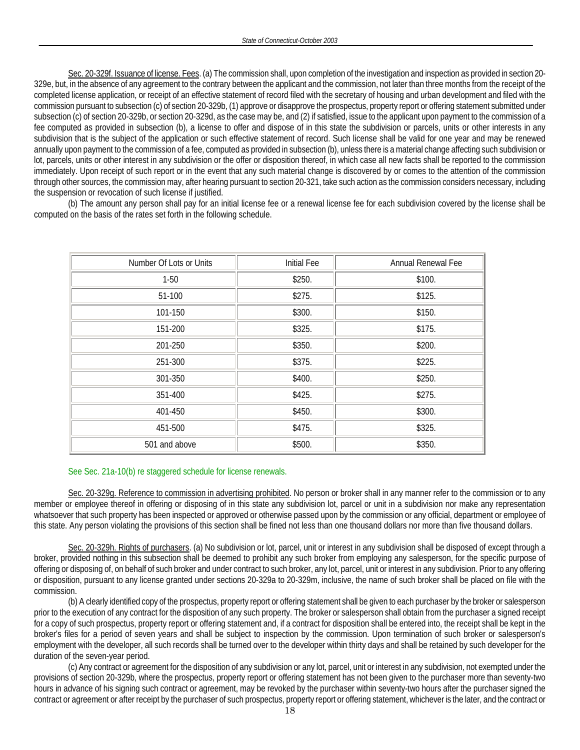Sec. 20-329f. Issuance of license. Fees. (a) The commission shall, upon completion of the investigation and inspection as provided in section 20- 329e, but, in the absence of any agreement to the contrary between the applicant and the commission, not later than three months from the receipt of the completed license application, or receipt of an effective statement of record filed with the secretary of housing and urban development and filed with the commission pursuant to subsection (c) of section 20-329b, (1) approve or disapprove the prospectus, property report or offering statement submitted under subsection (c) of section 20-329b, or section 20-329d, as the case may be, and (2) if satisfied, issue to the applicant upon payment to the commission of a fee computed as provided in subsection (b), a license to offer and dispose of in this state the subdivision or parcels, units or other interests in any subdivision that is the subject of the application or such effective statement of record. Such license shall be valid for one year and may be renewed annually upon payment to the commission of a fee, computed as provided in subsection (b), unless there is a material change affecting such subdivision or lot, parcels, units or other interest in any subdivision or the offer or disposition thereof, in which case all new facts shall be reported to the commission immediately. Upon receipt of such report or in the event that any such material change is discovered by or comes to the attention of the commission through other sources, the commission may, after hearing pursuant to section 20-321, take such action as the commission considers necessary, including the suspension or revocation of such license if justified.

(b) The amount any person shall pay for an initial license fee or a renewal license fee for each subdivision covered by the license shall be computed on the basis of the rates set forth in the following schedule.

| Number Of Lots or Units | Initial Fee | <b>Annual Renewal Fee</b> |
|-------------------------|-------------|---------------------------|
| $1-50$                  | \$250.      | \$100.                    |
| 51-100                  | \$275.      | \$125.                    |
| 101-150                 | \$300.      | \$150.                    |
| 151-200                 | \$325.      | \$175.                    |
| 201-250                 | \$350.      | \$200.                    |
| 251-300                 | \$375.      | \$225.                    |
| 301-350                 | \$400.      | \$250.                    |
| 351-400                 | \$425.      | \$275.                    |
| 401-450                 | \$450.      | \$300.                    |
| 451-500                 | \$475.      | \$325.                    |
| 501 and above           | \$500.      | \$350.                    |

## See Sec. 21a-10(b) re staggered schedule for license renewals.

Sec. 20-329g. Reference to commission in advertising prohibited. No person or broker shall in any manner refer to the commission or to any member or employee thereof in offering or disposing of in this state any subdivision lot, parcel or unit in a subdivision nor make any representation whatsoever that such property has been inspected or approved or otherwise passed upon by the commission or any official, department or employee of this state. Any person violating the provisions of this section shall be fined not less than one thousand dollars nor more than five thousand dollars.

Sec. 20-329h. Rights of purchasers. (a) No subdivision or lot, parcel, unit or interest in any subdivision shall be disposed of except through a broker, provided nothing in this subsection shall be deemed to prohibit any such broker from employing any salesperson, for the specific purpose of offering or disposing of, on behalf of such broker and under contract to such broker, any lot, parcel, unit or interest in any subdivision. Prior to any offering or disposition, pursuant to any license granted under sections 20-329a to 20-329m, inclusive, the name of such broker shall be placed on file with the commission.

(b) A clearly identified copy of the prospectus, property report or offering statement shall be given to each purchaser by the broker or salesperson prior to the execution of any contract for the disposition of any such property. The broker or salesperson shall obtain from the purchaser a signed receipt for a copy of such prospectus, property report or offering statement and, if a contract for disposition shall be entered into, the receipt shall be kept in the broker's files for a period of seven years and shall be subject to inspection by the commission. Upon termination of such broker or salesperson's employment with the developer, all such records shall be turned over to the developer within thirty days and shall be retained by such developer for the duration of the seven-year period.

(c) Any contract or agreement for the disposition of any subdivision or any lot, parcel, unit or interest in any subdivision, not exempted under the provisions of section 20-329b, where the prospectus, property report or offering statement has not been given to the purchaser more than seventy-two hours in advance of his signing such contract or agreement, may be revoked by the purchaser within seventy-two hours after the purchaser signed the contract or agreement or after receipt by the purchaser of such prospectus, property report or offering statement, whichever is the later, and the contract or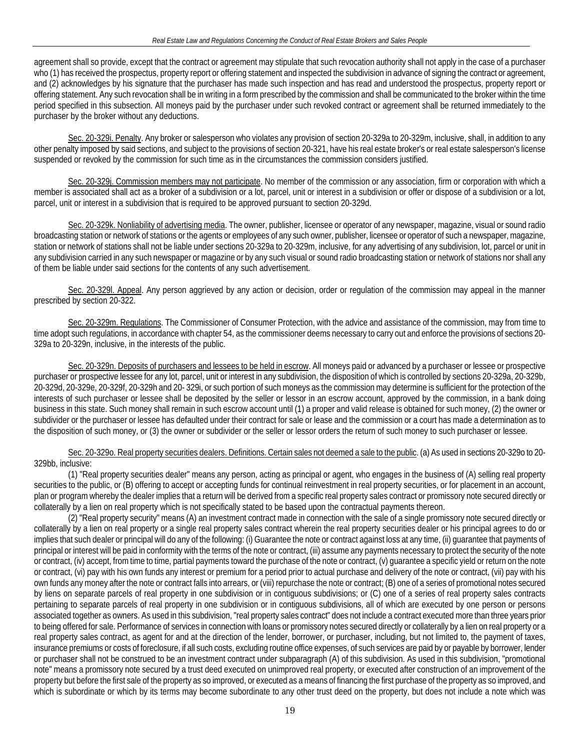agreement shall so provide, except that the contract or agreement may stipulate that such revocation authority shall not apply in the case of a purchaser who (1) has received the prospectus, property report or offering statement and inspected the subdivision in advance of signing the contract or agreement, and (2) acknowledges by his signature that the purchaser has made such inspection and has read and understood the prospectus, property report or offering statement. Any such revocation shall be in writing in a form prescribed by the commission and shall be communicated to the broker within the time period specified in this subsection. All moneys paid by the purchaser under such revoked contract or agreement shall be returned immediately to the purchaser by the broker without any deductions.

Sec. 20-329i. Penalty. Any broker or salesperson who violates any provision of section 20-329a to 20-329m, inclusive, shall, in addition to any other penalty imposed by said sections, and subject to the provisions of section 20-321, have his real estate broker's or real estate salesperson's license suspended or revoked by the commission for such time as in the circumstances the commission considers justified.

Sec. 20-329j. Commission members may not participate. No member of the commission or any association, firm or corporation with which a member is associated shall act as a broker of a subdivision or a lot, parcel, unit or interest in a subdivision or offer or dispose of a subdivision or a lot, parcel, unit or interest in a subdivision that is required to be approved pursuant to section 20-329d.

Sec. 20-329k. Nonliability of advertising media. The owner, publisher, licensee or operator of any newspaper, magazine, visual or sound radio broadcasting station or network of stations or the agents or employees of any such owner, publisher, licensee or operator of such a newspaper, magazine, station or network of stations shall not be liable under sections 20-329a to 20-329m, inclusive, for any advertising of any subdivision, lot, parcel or unit in any subdivision carried in any such newspaper or magazine or by any such visual or sound radio broadcasting station or network of stations nor shall any of them be liable under said sections for the contents of any such advertisement.

Sec. 20-329l. Appeal. Any person aggrieved by any action or decision, order or regulation of the commission may appeal in the manner prescribed by section 20-322.

Sec. 20-329m. Regulations. The Commissioner of Consumer Protection, with the advice and assistance of the commission, may from time to time adopt such regulations, in accordance with chapter 54, as the commissioner deems necessary to carry out and enforce the provisions of sections 20- 329a to 20-329n, inclusive, in the interests of the public.

Sec. 20-329n. Deposits of purchasers and lessees to be held in escrow. All moneys paid or advanced by a purchaser or lessee or prospective purchaser or prospective lessee for any lot, parcel, unit or interest in any subdivision, the disposition of which is controlled by sections 20-329a, 20-329b, 20-329d, 20-329e, 20-329f, 20-329h and 20- 329i, or such portion of such moneys as the commission may determine is sufficient for the protection of the interests of such purchaser or lessee shall be deposited by the seller or lessor in an escrow account, approved by the commission, in a bank doing business in this state. Such money shall remain in such escrow account until (1) a proper and valid release is obtained for such money, (2) the owner or subdivider or the purchaser or lessee has defaulted under their contract for sale or lease and the commission or a court has made a determination as to the disposition of such money, or (3) the owner or subdivider or the seller or lessor orders the return of such money to such purchaser or lessee.

Sec. 20-329o. Real property securities dealers. Definitions. Certain sales not deemed a sale to the public. (a) As used in sections 20-329o to 20- 329bb, inclusive:

(1) "Real property securities dealer" means any person, acting as principal or agent, who engages in the business of (A) selling real property securities to the public, or (B) offering to accept or accepting funds for continual reinvestment in real property securities, or for placement in an account, plan or program whereby the dealer implies that a return will be derived from a specific real property sales contract or promissory note secured directly or collaterally by a lien on real property which is not specifically stated to be based upon the contractual payments thereon.

(2) "Real property security" means (A) an investment contract made in connection with the sale of a single promissory note secured directly or collaterally by a lien on real property or a single real property sales contract wherein the real property securities dealer or his principal agrees to do or implies that such dealer or principal will do any of the following: (i) Guarantee the note or contract against loss at any time, (ii) guarantee that payments of principal or interest will be paid in conformity with the terms of the note or contract, (iii) assume any payments necessary to protect the security of the note or contract, (iv) accept, from time to time, partial payments toward the purchase of the note or contract, (v) guarantee a specific yield or return on the note or contract, (vi) pay with his own funds any interest or premium for a period prior to actual purchase and delivery of the note or contract, (vii) pay with his own funds any money after the note or contract falls into arrears, or (viii) repurchase the note or contract; (B) one of a series of promotional notes secured by liens on separate parcels of real property in one subdivision or in contiguous subdivisions; or (C) one of a series of real property sales contracts pertaining to separate parcels of real property in one subdivision or in contiguous subdivisions, all of which are executed by one person or persons associated together as owners. As used in this subdivision, "real property sales contract" does not include a contract executed more than three years prior to being offered for sale. Performance of services in connection with loans or promissory notes secured directly or collaterally by a lien on real property or a real property sales contract, as agent for and at the direction of the lender, borrower, or purchaser, including, but not limited to, the payment of taxes, insurance premiums or costs of foreclosure, if all such costs, excluding routine office expenses, of such services are paid by or payable by borrower, lender or purchaser shall not be construed to be an investment contract under subparagraph (A) of this subdivision. As used in this subdivision, "promotional note" means a promissory note secured by a trust deed executed on unimproved real property, or executed after construction of an improvement of the property but before the first sale of the property as so improved, or executed as a means of financing the first purchase of the property as so improved, and which is subordinate or which by its terms may become subordinate to any other trust deed on the property, but does not include a note which was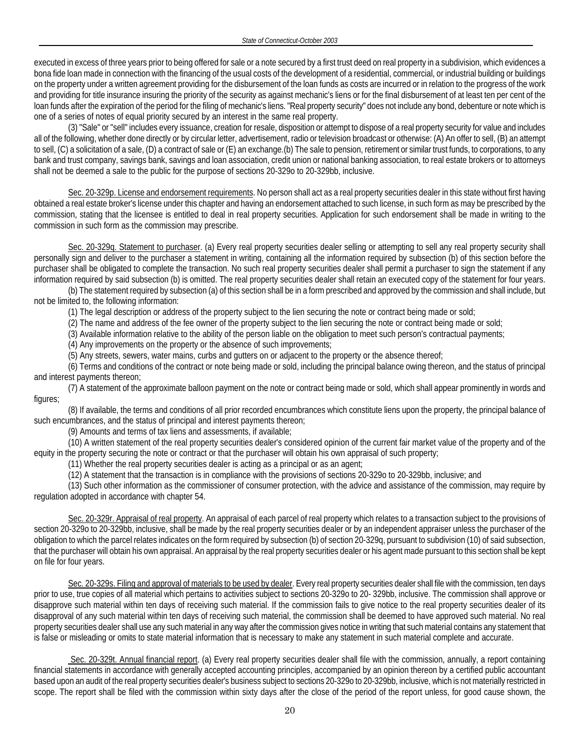executed in excess of three years prior to being offered for sale or a note secured by a first trust deed on real property in a subdivision, which evidences a bona fide loan made in connection with the financing of the usual costs of the development of a residential, commercial, or industrial building or buildings on the property under a written agreement providing for the disbursement of the loan funds as costs are incurred or in relation to the progress of the work and providing for title insurance insuring the priority of the security as against mechanic's liens or for the final disbursement of at least ten per cent of the loan funds after the expiration of the period for the filing of mechanic's liens. "Real property security" does not include any bond, debenture or note which is one of a series of notes of equal priority secured by an interest in the same real property.

(3) "Sale" or "sell" includes every issuance, creation for resale, disposition or attempt to dispose of a real property security for value and includes all of the following, whether done directly or by circular letter, advertisement, radio or television broadcast or otherwise: (A) An offer to sell, (B) an attempt to sell, (C) a solicitation of a sale, (D) a contract of sale or (E) an exchange.(b) The sale to pension, retirement or similar trust funds, to corporations, to any bank and trust company, savings bank, savings and loan association, credit union or national banking association, to real estate brokers or to attorneys shall not be deemed a sale to the public for the purpose of sections 20-329o to 20-329bb, inclusive.

Sec. 20-329p. License and endorsement requirements. No person shall act as a real property securities dealer in this state without first having obtained a real estate broker's license under this chapter and having an endorsement attached to such license, in such form as may be prescribed by the commission, stating that the licensee is entitled to deal in real property securities. Application for such endorsement shall be made in writing to the commission in such form as the commission may prescribe.

Sec. 20-329q. Statement to purchaser. (a) Every real property securities dealer selling or attempting to sell any real property security shall personally sign and deliver to the purchaser a statement in writing, containing all the information required by subsection (b) of this section before the purchaser shall be obligated to complete the transaction. No such real property securities dealer shall permit a purchaser to sign the statement if any information required by said subsection (b) is omitted. The real property securities dealer shall retain an executed copy of the statement for four years.

(b) The statement required by subsection (a) of this section shall be in a form prescribed and approved by the commission and shall include, but not be limited to, the following information:

(1) The legal description or address of the property subject to the lien securing the note or contract being made or sold;

(2) The name and address of the fee owner of the property subject to the lien securing the note or contract being made or sold;

(3) Available information relative to the ability of the person liable on the obligation to meet such person's contractual payments;

(4) Any improvements on the property or the absence of such improvements;

(5) Any streets, sewers, water mains, curbs and gutters on or adjacent to the property or the absence thereof;

(6) Terms and conditions of the contract or note being made or sold, including the principal balance owing thereon, and the status of principal and interest payments thereon;

(7) A statement of the approximate balloon payment on the note or contract being made or sold, which shall appear prominently in words and figures;

(8) If available, the terms and conditions of all prior recorded encumbrances which constitute liens upon the property, the principal balance of such encumbrances, and the status of principal and interest payments thereon;

(9) Amounts and terms of tax liens and assessments, if available;

(10) A written statement of the real property securities dealer's considered opinion of the current fair market value of the property and of the equity in the property securing the note or contract or that the purchaser will obtain his own appraisal of such property;

(11) Whether the real property securities dealer is acting as a principal or as an agent;

(12) A statement that the transaction is in compliance with the provisions of sections 20-329o to 20-329bb, inclusive; and

(13) Such other information as the commissioner of consumer protection, with the advice and assistance of the commission, may require by regulation adopted in accordance with chapter 54.

Sec. 20-329r. Appraisal of real property. An appraisal of each parcel of real property which relates to a transaction subject to the provisions of section 20-329o to 20-329bb, inclusive, shall be made by the real property securities dealer or by an independent appraiser unless the purchaser of the obligation to which the parcel relates indicates on the form required by subsection (b) of section 20-329q, pursuant to subdivision (10) of said subsection, that the purchaser will obtain his own appraisal. An appraisal by the real property securities dealer or his agent made pursuant to this section shall be kept on file for four years.

Sec. 20-329s. Filing and approval of materials to be used by dealer. Every real property securities dealer shall file with the commission, ten days prior to use, true copies of all material which pertains to activities subject to sections 20-329o to 20-329bb, inclusive. The commission shall approve or disapprove such material within ten days of receiving such material. If the commission fails to give notice to the real property securities dealer of its disapproval of any such material within ten days of receiving such material, the commission shall be deemed to have approved such material. No real property securities dealer shall use any such material in any way after the commission gives notice in writing that such material contains any statement that is false or misleading or omits to state material information that is necessary to make any statement in such material complete and accurate.

 Sec. 20-329t. Annual financial report. (a) Every real property securities dealer shall file with the commission, annually, a report containing financial statements in accordance with generally accepted accounting principles, accompanied by an opinion thereon by a certified public accountant based upon an audit of the real property securities dealer's business subject to sections 20-329o to 20-329bb, inclusive, which is not materially restricted in scope. The report shall be filed with the commission within sixty days after the close of the period of the report unless, for good cause shown, the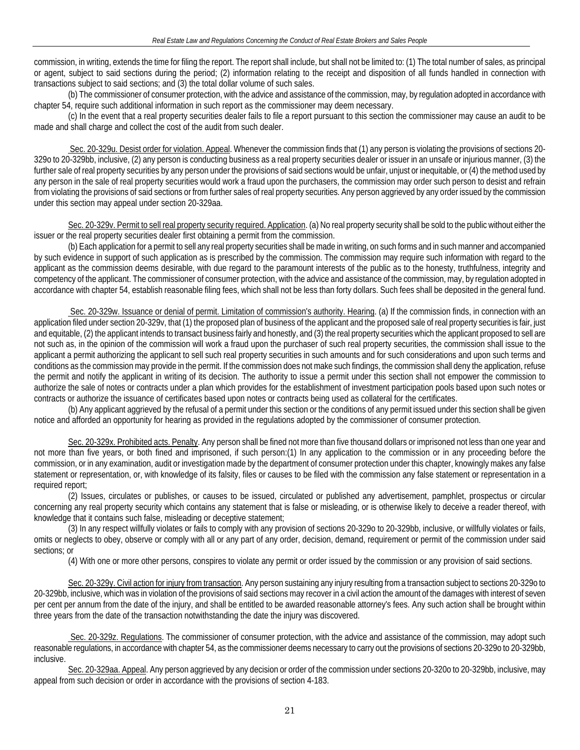commission, in writing, extends the time for filing the report. The report shall include, but shall not be limited to: (1) The total number of sales, as principal or agent, subject to said sections during the period; (2) information relating to the receipt and disposition of all funds handled in connection with transactions subject to said sections; and (3) the total dollar volume of such sales.

(b) The commissioner of consumer protection, with the advice and assistance of the commission, may, by regulation adopted in accordance with chapter 54, require such additional information in such report as the commissioner may deem necessary.

(c) In the event that a real property securities dealer fails to file a report pursuant to this section the commissioner may cause an audit to be made and shall charge and collect the cost of the audit from such dealer.

 Sec. 20-329u. Desist order for violation. Appeal. Whenever the commission finds that (1) any person is violating the provisions of sections 20- 329o to 20-329bb, inclusive, (2) any person is conducting business as a real property securities dealer or issuer in an unsafe or injurious manner, (3) the further sale of real property securities by any person under the provisions of said sections would be unfair, unjust or inequitable, or (4) the method used by any person in the sale of real property securities would work a fraud upon the purchasers, the commission may order such person to desist and refrain from violating the provisions of said sections or from further sales of real property securities. Any person aggrieved by any order issued by the commission under this section may appeal under section 20-329aa.

Sec. 20-329v. Permit to sell real property security required. Application. (a) No real property security shall be sold to the public without either the issuer or the real property securities dealer first obtaining a permit from the commission.

(b) Each application for a permit to sell any real property securities shall be made in writing, on such forms and in such manner and accompanied by such evidence in support of such application as is prescribed by the commission. The commission may require such information with regard to the applicant as the commission deems desirable, with due regard to the paramount interests of the public as to the honesty, truthfulness, integrity and competency of the applicant. The commissioner of consumer protection, with the advice and assistance of the commission, may, by regulation adopted in accordance with chapter 54, establish reasonable filing fees, which shall not be less than forty dollars. Such fees shall be deposited in the general fund.

 Sec. 20-329w. Issuance or denial of permit. Limitation of commission's authority. Hearing. (a) If the commission finds, in connection with an application filed under section 20-329v, that (1) the proposed plan of business of the applicant and the proposed sale of real property securities is fair, just and equitable, (2) the applicant intends to transact business fairly and honestly, and (3) the real property securities which the applicant proposed to sell are not such as, in the opinion of the commission will work a fraud upon the purchaser of such real property securities, the commission shall issue to the applicant a permit authorizing the applicant to sell such real property securities in such amounts and for such considerations and upon such terms and conditions as the commission may provide in the permit. If the commission does not make such findings, the commission shall deny the application, refuse the permit and notify the applicant in writing of its decision. The authority to issue a permit under this section shall not empower the commission to authorize the sale of notes or contracts under a plan which provides for the establishment of investment participation pools based upon such notes or contracts or authorize the issuance of certificates based upon notes or contracts being used as collateral for the certificates.

(b) Any applicant aggrieved by the refusal of a permit under this section or the conditions of any permit issued under this section shall be given notice and afforded an opportunity for hearing as provided in the regulations adopted by the commissioner of consumer protection.

Sec. 20-329x. Prohibited acts. Penalty. Any person shall be fined not more than five thousand dollars or imprisoned not less than one year and not more than five years, or both fined and imprisoned, if such person:(1) In any application to the commission or in any proceeding before the commission, or in any examination, audit or investigation made by the department of consumer protection under this chapter, knowingly makes any false statement or representation, or, with knowledge of its falsity, files or causes to be filed with the commission any false statement or representation in a required report;

(2) Issues, circulates or publishes, or causes to be issued, circulated or published any advertisement, pamphlet, prospectus or circular concerning any real property security which contains any statement that is false or misleading, or is otherwise likely to deceive a reader thereof, with knowledge that it contains such false, misleading or deceptive statement;

(3) In any respect willfully violates or fails to comply with any provision of sections 20-329o to 20-329bb, inclusive, or willfully violates or fails, omits or neglects to obey, observe or comply with all or any part of any order, decision, demand, requirement or permit of the commission under said sections; or

(4) With one or more other persons, conspires to violate any permit or order issued by the commission or any provision of said sections.

Sec. 20-329y. Civil action for injury from transaction. Any person sustaining any injury resulting from a transaction subject to sections 20-329o to 20-329bb, inclusive, which was in violation of the provisions of said sections may recover in a civil action the amount of the damages with interest of seven per cent per annum from the date of the injury, and shall be entitled to be awarded reasonable attorney's fees. Any such action shall be brought within three years from the date of the transaction notwithstanding the date the injury was discovered.

 Sec. 20-329z. Regulations. The commissioner of consumer protection, with the advice and assistance of the commission, may adopt such reasonable regulations, in accordance with chapter 54, as the commissioner deems necessary to carry out the provisions of sections 20-329o to 20-329bb, inclusive.

Sec. 20-329aa. Appeal. Any person aggrieved by any decision or order of the commission under sections 20-320o to 20-329bb, inclusive, may appeal from such decision or order in accordance with the provisions of section 4-183.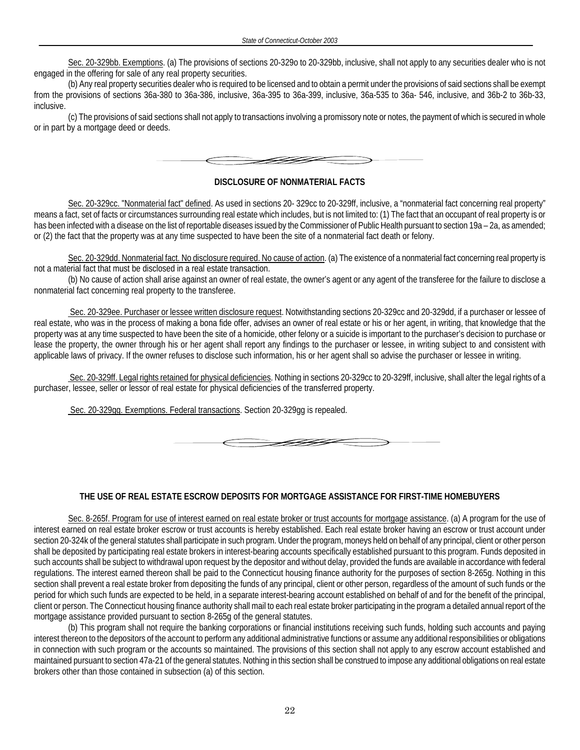Sec. 20-329bb. Exemptions. (a) The provisions of sections 20-329o to 20-329bb, inclusive, shall not apply to any securities dealer who is not engaged in the offering for sale of any real property securities.

(b) Any real property securities dealer who is required to be licensed and to obtain a permit under the provisions of said sections shall be exempt from the provisions of sections 36a-380 to 36a-386, inclusive, 36a-395 to 36a-399, inclusive, 36a-535 to 36a- 546, inclusive, and 36b-2 to 36b-33, inclusive.

(c) The provisions of said sections shall not apply to transactions involving a promissory note or notes, the payment of which is secured in whole or in part by a mortgage deed or deeds.



## **DISCLOSURE OF NONMATERIAL FACTS**

Sec. 20-329cc. "Nonmaterial fact" defined. As used in sections 20- 329cc to 20-329ff, inclusive, a "nonmaterial fact concerning real property" means a fact, set of facts or circumstances surrounding real estate which includes, but is not limited to: (1) The fact that an occupant of real property is or has been infected with a disease on the list of reportable diseases issued by the Commissioner of Public Health pursuant to section 19a – 2a, as amended; or (2) the fact that the property was at any time suspected to have been the site of a nonmaterial fact death or felony.

Sec. 20-329dd. Nonmaterial fact. No disclosure required. No cause of action. (a) The existence of a nonmaterial fact concerning real property is not a material fact that must be disclosed in a real estate transaction.

(b) No cause of action shall arise against an owner of real estate, the owner's agent or any agent of the transferee for the failure to disclose a nonmaterial fact concerning real property to the transferee.

 Sec. 20-329ee. Purchaser or lessee written disclosure request. Notwithstanding sections 20-329cc and 20-329dd, if a purchaser or lessee of real estate, who was in the process of making a bona fide offer, advises an owner of real estate or his or her agent, in writing, that knowledge that the property was at any time suspected to have been the site of a homicide, other felony or a suicide is important to the purchaser's decision to purchase or lease the property, the owner through his or her agent shall report any findings to the purchaser or lessee, in writing subject to and consistent with applicable laws of privacy. If the owner refuses to disclose such information, his or her agent shall so advise the purchaser or lessee in writing.

 Sec. 20-329ff. Legal rights retained for physical deficiencies. Nothing in sections 20-329cc to 20-329ff, inclusive, shall alter the legal rights of a purchaser, lessee, seller or lessor of real estate for physical deficiencies of the transferred property.

Sec. 20-329gg. Exemptions. Federal transactions. Section 20-329gg is repealed.

## **THE USE OF REAL ESTATE ESCROW DEPOSITS FOR MORTGAGE ASSISTANCE FOR FIRST-TIME HOMEBUYERS**

Sec. 8-265f. Program for use of interest earned on real estate broker or trust accounts for mortgage assistance. (a) A program for the use of interest earned on real estate broker escrow or trust accounts is hereby established. Each real estate broker having an escrow or trust account under section 20-324k of the general statutes shall participate in such program. Under the program, moneys held on behalf of any principal, client or other person shall be deposited by participating real estate brokers in interest-bearing accounts specifically established pursuant to this program. Funds deposited in such accounts shall be subject to withdrawal upon request by the depositor and without delay, provided the funds are available in accordance with federal regulations. The interest earned thereon shall be paid to the Connecticut housing finance authority for the purposes of section 8-265g. Nothing in this section shall prevent a real estate broker from depositing the funds of any principal, client or other person, regardless of the amount of such funds or the period for which such funds are expected to be held, in a separate interest-bearing account established on behalf of and for the benefit of the principal, client or person. The Connecticut housing finance authority shall mail to each real estate broker participating in the programa detailed annual report of the mortgage assistance provided pursuant to section 8-265g of the general statutes.

(b) This program shall not require the banking corporations or financial institutions receiving such funds, holding such accounts and paying interest thereon to the depositors of the account to perform any additional administrative functions or assume any additional responsibilities or obligations in connection with such program or the accounts so maintained. The provisions of this section shall not apply to any escrow account established and maintained pursuant to section 47a-21 of the general statutes. Nothing in this section shall be construed to impose any additional obligations on real estate brokers other than those contained in subsection (a) of this section.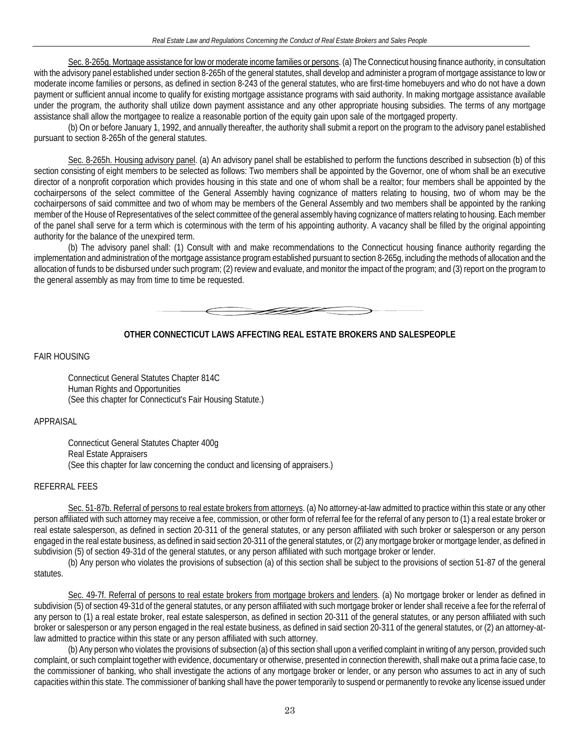Sec. 8-265g. Mortgage assistance for low or moderate income families or persons. (a) The Connecticut housing finance authority, in consultation with the advisory panel established under section 8-265h of the general statutes, shall develop and administer a program of mortgage assistance to low or moderate income families or persons, as defined in section 8-243 of the general statutes, who are first-time homebuyers and who do not have a down payment or sufficient annual income to qualify for existing mortgage assistance programs with said authority. In making mortgage assistance available under the program, the authority shall utilize down payment assistance and any other appropriate housing subsidies. The terms of any mortgage assistance shall allow the mortgagee to realize a reasonable portion of the equity gain upon sale of the mortgaged property.

(b) On or before January 1, 1992, and annually thereafter, the authority shall submit a report on the program to the advisory panel established pursuant to section 8-265h of the general statutes.

Sec. 8-265h. Housing advisory panel. (a) An advisory panel shall be established to perform the functions described in subsection (b) of this section consisting of eight members to be selected as follows: Two members shall be appointed by the Governor, one of whom shall be an executive director of a nonprofit corporation which provides housing in this state and one of whom shall be a realtor; four members shall be appointed by the cochairpersons of the select committee of the General Assembly having cognizance of matters relating to housing, two of whom may be the cochairpersons of said committee and two of whom may be members of the General Assembly and two members shall be appointed by the ranking member of the House of Representatives of the select committee of the general assembly having cognizance of matters relating to housing. Each member of the panel shall serve for a term which is coterminous with the term of his appointing authority. A vacancy shall be filled by the original appointing authority for the balance of the unexpired term.

(b) The advisory panel shall: (1) Consult with and make recommendations to the Connecticut housing finance authority regarding the implementation and administration of the mortgage assistance program established pursuant to section 8-265g, including the methods of allocation and the allocation of funds to be disbursed under such program; (2) review and evaluate, and monitor the impact of the program; and (3) report on the program to the general assembly as may from time to time be requested.



## **OTHER CONNECTICUT LAWS AFFECTING REAL ESTATE BROKERS AND SALESPEOPLE**

#### FAIR HOUSING

Connecticut General Statutes Chapter 814C Human Rights and Opportunities (See this chapter for Connecticut's Fair Housing Statute.)

## APPRAISAL

Connecticut General Statutes Chapter 400g Real Estate Appraisers (See this chapter for law concerning the conduct and licensing of appraisers.)

## REFERRAL FEES

Sec. 51-87b. Referral of persons to real estate brokers from attorneys. (a) No attorney-at-law admitted to practice within this state or any other person affiliated with such attorney may receive a fee, commission, or other form of referral fee for the referral of any person to (1) a real estate broker or real estate salesperson, as defined in section 20-311 of the general statutes, or any person affiliated with such broker or salesperson or any person engaged in the real estate business, as defined in said section 20-311 of the general statutes, or (2) any mortgage broker or mortgage lender, as defined in subdivision (5) of section 49-31d of the general statutes, or any person affiliated with such mortgage broker or lender.

(b) Any person who violates the provisions of subsection (a) of this section shall be subject to the provisions of section 51-87 of the general statutes.

Sec. 49-7f. Referral of persons to real estate brokers from mortgage brokers and lenders. (a) No mortgage broker or lender as defined in subdivision (5) of section 49-31d of the general statutes, or any person affiliated with such mortgage broker or lender shall receive a fee for the referral of any person to (1) a real estate broker, real estate salesperson, as defined in section 20-311 of the general statutes, or any person affiliated with such broker or salesperson or any person engaged in the real estate business, as defined in said section 20-311 of the general statutes, or (2) an attorney-atlaw admitted to practice within this state or any person affiliated with such attorney.

(b) Any person who violates the provisions of subsection (a) of this section shall upon a verified complaint in writing of any person, provided such complaint, or such complaint together with evidence, documentary or otherwise, presented in connection therewith, shall make out a prima facie case, to the commissioner of banking, who shall investigate the actions of any mortgage broker or lender, or any person who assumes to act in any of such capacities within this state. The commissioner of banking shall have the power temporarily to suspend or permanently to revoke any license issued under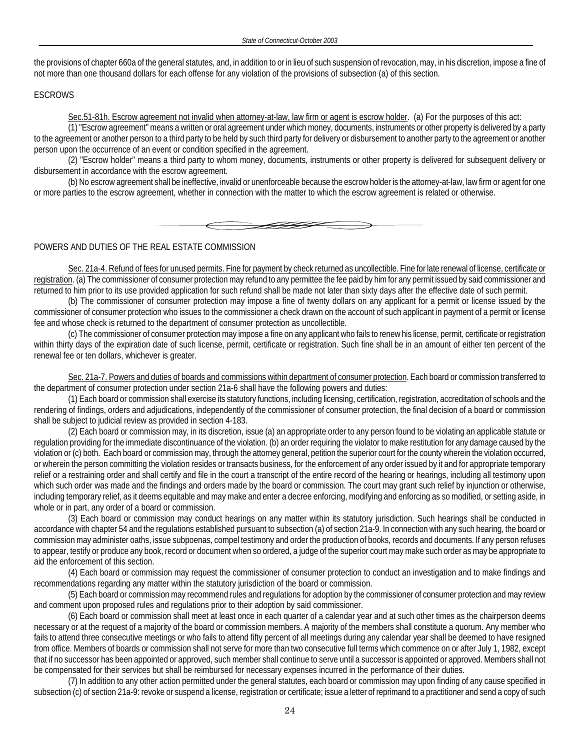the provisions of chapter 660a of the general statutes, and, in addition to or in lieu of such suspension of revocation, may, in his discretion, impose a fine of not more than one thousand dollars for each offense for any violation of the provisions of subsection (a) of this section.

#### ESCROWS

Sec.51-81h. Escrow agreement not invalid when attorney-at-law, law firm or agent is escrow holder. (a) For the purposes of this act:

(1) "Escrow agreement" means a written or oral agreement under which money, documents, instruments or other property is delivered by a party to the agreement or another person to a third party to be held by such third party for delivery or disbursement to another party to the agreement or another person upon the occurrence of an event or condition specified in the agreement.

(2) "Escrow holder" means a third party to whom money, documents, instruments or other property is delivered for subsequent delivery or disbursement in accordance with the escrow agreement.

(b) No escrow agreement shall be ineffective, invalid or unenforceable because the escrow holder is the attorney-at-law, law firm or agent for one or more parties to the escrow agreement, whether in connection with the matter to which the escrow agreement is related or otherwise.



POWERS AND DUTIES OF THE REAL ESTATE COMMISSION

Sec. 21a-4. Refund of fees for unused permits. Fine for payment by check returned as uncollectible. Fine for late renewal of license, certificate or registration. (a) The commissioner of consumer protection may refund to any permittee the fee paid by him for any permit issued by said commissioner and returned to him prior to its use provided application for such refund shall be made not later than sixty days after the effective date of such permit.

(b) The commissioner of consumer protection may impose a fine of twenty dollars on any applicant for a permit or license issued by the commissioner of consumer protection who issues to the commissioner a check drawn on the account of such applicant in payment of a permit or license fee and whose check is returned to the department of consumer protection as uncollectible.

(c) The commissioner of consumer protection may impose a fine on any applicant who fails to renew his license, permit, certificate or registration within thirty days of the expiration date of such license, permit, certificate or registration. Such fine shall be in an amount of either ten percent of the renewal fee or ten dollars, whichever is greater.

Sec. 21a-7. Powers and duties of boards and commissions within department of consumer protection. Each board or commission transferred to the department of consumer protection under section 21a-6 shall have the following powers and duties:

(1) Each board or commission shall exercise its statutory functions, including licensing, certification, registration, accreditation of schools and the rendering of findings, orders and adjudications, independently of the commissioner of consumer protection, the final decision of a board or commission shall be subject to judicial review as provided in section 4-183.

(2) Each board or commission may, in its discretion, issue (a) an appropriate order to any person found to be violating an applicable statute or regulation providing for the immediate discontinuance of the violation. (b) an order requiring the violator to make restitution for any damage caused by the violation or (c) both. Each board or commission may, through the attorney general, petition the superior court for the county wherein the violation occurred, or wherein the person committing the violation resides or transacts business, for the enforcement of any order issued by it and for appropriate temporary relief or a restraining order and shall certify and file in the court a transcript of the entire record of the hearing or hearings, including all testimony upon which such order was made and the findings and orders made by the board or commission. The court may grant such relief by injunction or otherwise, including temporary relief, as it deems equitable and may make and enter a decree enforcing, modifying and enforcing as so modified, or setting aside, in whole or in part, any order of a board or commission.

(3) Each board or commission may conduct hearings on any matter within its statutory jurisdiction. Such hearings shall be conducted in accordance with chapter 54 and the regulations established pursuant to subsection (a) of section 21a-9. In connection with any such hearing, the board or commission may administer oaths, issue subpoenas, compel testimony and order the production of books, records and documents. If any person refuses to appear, testify or produce any book, record or document when so ordered, a judge of the superior court may make such order as may be appropriate to aid the enforcement of this section.

(4) Each board or commission may request the commissioner of consumer protection to conduct an investigation and to make findings and recommendations regarding any matter within the statutory jurisdiction of the board or commission.

(5) Each board or commission may recommend rules and regulations for adoption by the commissioner of consumer protection and may review and comment upon proposed rules and regulations prior to their adoption by said commissioner.

(6) Each board or commission shall meet at least once in each quarter of a calendar year and at such other times as the chairperson deems necessary or at the request of a majority of the board or commission members. A majority of the members shall constitute a quorum. Any member who fails to attend three consecutive meetings or who fails to attend fifty percent of all meetings during any calendar year shall be deemed to have resigned from office. Members of boards or commission shall not serve for more than two consecutive full terms which commence on or after July 1, 1982, except that if no successor has been appointed or approved, such member shall continue to serve until a successor is appointed or approved. Members shall not be compensated for their services but shall be reimbursed for necessary expenses incurred in the performance of their duties.

(7) In addition to any other action permitted under the general statutes, each board or commission may upon finding of any cause specified in subsection (c) of section 21a-9: revoke or suspend a license, registration or certificate; issue a letter of reprimand to a practitioner and send a copy of such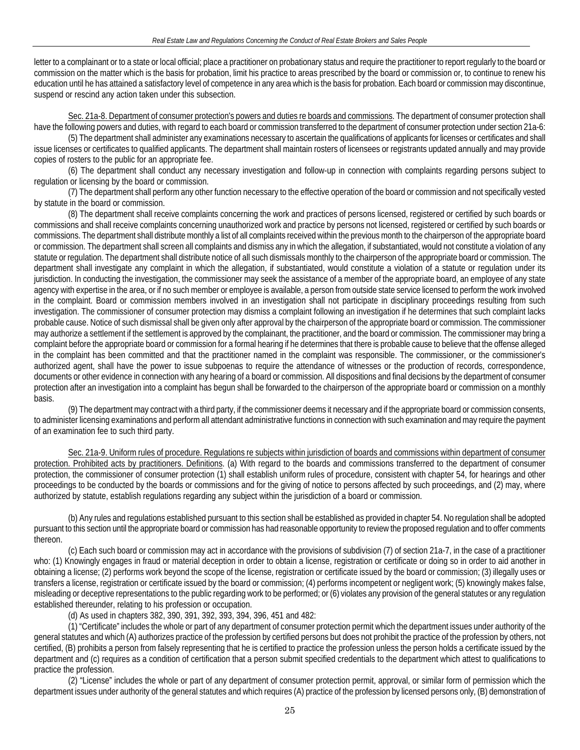letter to a complainant or to a state or local official; place a practitioner on probationary status and require the practitioner to report regularly to the board or commission on the matter which is the basis for probation, limit his practice to areas prescribed by the board or commission or, to continue to renew his education until he has attained a satisfactory level of competence in any area which is the basis for probation. Each board or commission may discontinue, suspend or rescind any action taken under this subsection.

Sec. 21a-8. Department of consumer protection's powers and duties re boards and commissions. The department of consumer protection shall have the following powers and duties, with regard to each board or commission transferred to the department of consumer protection under section 21a-6:

(5) The department shall administer any examinations necessary to ascertain the qualifications of applicants for licenses or certificates and shall issue licenses or certificates to qualified applicants. The department shall maintain rosters of licensees or registrants updated annually and may provide copies of rosters to the public for an appropriate fee.

(6) The department shall conduct any necessary investigation and follow-up in connection with complaints regarding persons subject to regulation or licensing by the board or commission.

(7) The department shall perform any other function necessary to the effective operation of the board or commission and not specifically vested by statute in the board or commission.

(8) The department shall receive complaints concerning the work and practices of persons licensed, registered or certified by such boards or commissions and shall receive complaints concerning unauthorized work and practice by persons not licensed, registered or certified by such boards or commissions. The department shall distribute monthly a list of all complaints received within the previous month to the chairperson of the appropriate board or commission. The department shall screen all complaints and dismiss any in which the allegation, if substantiated, would not constitute a violation of any statute or regulation. The department shall distribute notice of all such dismissals monthly to the chairperson of the appropriate board or commission. The department shall investigate any complaint in which the allegation, if substantiated, would constitute a violation of a statute or regulation under its jurisdiction. In conducting the investigation, the commissioner may seek the assistance of a member of the appropriate board, an employee of any state agency with expertise in the area, or if no such member or employee is available, a person from outside state service licensed to perform the work involved in the complaint. Board or commission members involved in an investigation shall not participate in disciplinary proceedings resulting from such investigation. The commissioner of consumer protection may dismiss a complaint following an investigation if he determines that such complaint lacks probable cause. Notice of such dismissal shall be given only after approval by the chairperson of the appropriate board or commission. The commissioner may authorize a settlement if the settlement is approved by the complainant, the practitioner, and the board or commission. The commissioner may bring a complaint before the appropriate board or commission for a formal hearing if he determines that there is probable cause to believe that the offense alleged in the complaint has been committed and that the practitioner named in the complaint was responsible. The commissioner, or the commissioner's authorized agent, shall have the power to issue subpoenas to require the attendance of witnesses or the production of records, correspondence, documents or other evidence in connection with any hearing of a board or commission. All dispositions and final decisions by the department of consumer protection after an investigation into a complaint has begun shall be forwarded to the chairperson of the appropriate board or commission on a monthly basis.

(9) The department may contract with a third party, if the commissioner deems it necessary and if the appropriate board or commission consents, to administer licensing examinations and perform all attendant administrative functions in connection with such examination and may require the payment of an examination fee to such third party.

Sec. 21a-9. Uniform rules of procedure. Regulations re subjects within jurisdiction of boards and commissions within department of consumer protection. Prohibited acts by practitioners. Definitions. (a) With regard to the boards and commissions transferred to the department of consumer protection, the commissioner of consumer protection (1) shall establish uniform rules of procedure, consistent with chapter 54, for hearings and other proceedings to be conducted by the boards or commissions and for the giving of notice to persons affected by such proceedings, and (2) may, where authorized by statute, establish regulations regarding any subject within the jurisdiction of a board or commission.

(b) Any rules and regulations established pursuant to this section shall be established as provided in chapter 54. No regulation shall be adopted pursuant to this section until the appropriate board or commission has had reasonable opportunity to review the proposed regulation and to offer comments thereon.

(c) Each such board or commission may act in accordance with the provisions of subdivision (7) of section 21a-7, in the case of a practitioner who: (1) Knowingly engages in fraud or material deception in order to obtain a license, registration or certificate or doing so in order to aid another in obtaining a license; (2) performs work beyond the scope of the license, registration or certificate issued by the board or commission; (3) illegally uses or transfers a license, registration or certificate issued by the board or commission; (4) performs incompetent or negligent work; (5) knowingly makes false, misleading or deceptive representations to the public regarding work to be performed; or (6) violates any provision of the general statutes or any regulation established thereunder, relating to his profession or occupation.

(d) As used in chapters 382, 390, 391, 392, 393, 394, 396, 451 and 482:

(1) "Certificate" includes the whole or part of any department of consumer protection permit which the department issues under authority of the general statutes and which (A) authorizes practice of the profession by certified persons but does not prohibit the practice of the profession by others, not certified, (B) prohibits a person from falsely representing that he is certified to practice the profession unless the person holds a certificate issued by the department and (c) requires as a condition of certification that a person submit specified credentials to the department which attest to qualifications to practice the profession.

(2) "License" includes the whole or part of any department of consumer protection permit, approval, or similar form of permission which the department issues under authority of the general statutes and which requires (A) practice of the profession by licensed persons only, (B) demonstration of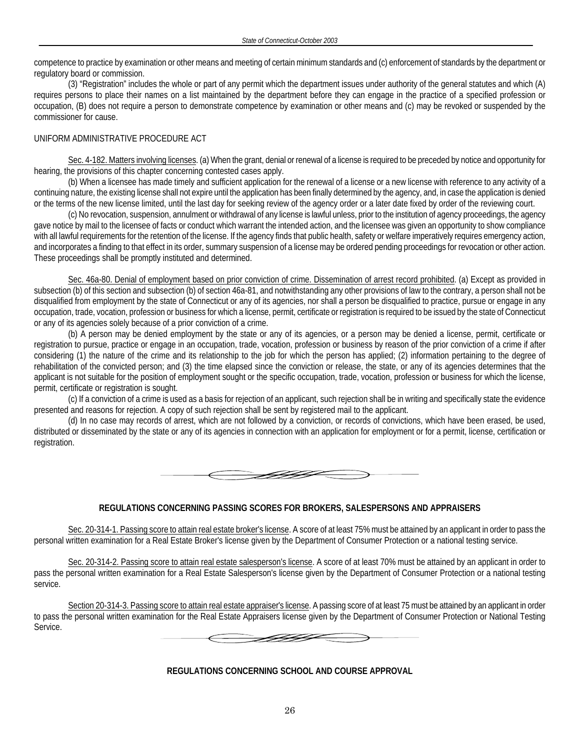competence to practice by examination or other means and meeting of certain minimum standards and (c) enforcement of standards by the department or regulatory board or commission.

(3) "Registration" includes the whole or part of any permit which the department issues under authority of the general statutes and which (A) requires persons to place their names on a list maintained by the department before they can engage in the practice of a specified profession or occupation, (B) does not require a person to demonstrate competence by examination or other means and (c) may be revoked or suspended by the commissioner for cause.

## UNIFORM ADMINISTRATIVE PROCEDURE ACT

Sec. 4-182. Matters involving licenses. (a) When the grant, denial or renewal of a license is required to be preceded by notice and opportunity for hearing, the provisions of this chapter concerning contested cases apply.

(b) When a licensee has made timely and sufficient application for the renewal of a license or a new license with reference to any activity of a continuing nature, the existing license shall not expire until the application has been finally determined by the agency, and, in case the application is denied or the terms of the new license limited, until the last day for seeking review of the agency order or a later date fixed by order of the reviewing court.

(c) No revocation, suspension, annulment or withdrawal of any license is lawful unless, prior to the institution of agency proceedings, the agency gave notice by mail to the licensee of facts or conduct which warrant the intended action, and the licensee was given an opportunity to show compliance with all lawful requirements for the retention of the license. If the agency finds that public health, safety or welfare imperatively requires emergency action, and incorporates a finding to that effect in its order, summary suspension of a license may be ordered pending proceedings for revocation or other action. These proceedings shall be promptly instituted and determined.

Sec. 46a-80. Denial of employment based on prior conviction of crime. Dissemination of arrest record prohibited. (a) Except as provided in subsection (b) of this section and subsection (b) of section 46a-81, and notwithstanding any other provisions of law to the contrary, a person shall not be disqualified from employment by the state of Connecticut or any of its agencies, nor shall a person be disqualified to practice, pursue or engage in any occupation, trade, vocation, profession or business for which a license, permit, certificate or registration is required to be issued by the state of Connecticut or any of its agencies solely because of a prior conviction of a crime.

(b) A person may be denied employment by the state or any of its agencies, or a person may be denied a license, permit, certificate or registration to pursue, practice or engage in an occupation, trade, vocation, profession or business by reason of the prior conviction of a crime if after considering (1) the nature of the crime and its relationship to the job for which the person has applied; (2) information pertaining to the degree of rehabilitation of the convicted person; and (3) the time elapsed since the conviction or release, the state, or any of its agencies determines that the applicant is not suitable for the position of employment sought or the specific occupation, trade, vocation, profession or business for which the license, permit, certificate or registration is sought.

(c) If a conviction of a crime is used as a basis for rejection of an applicant, such rejection shall be in writing and specifically state the evidence presented and reasons for rejection. A copy of such rejection shall be sent by registered mail to the applicant.

(d) In no case may records of arrest, which are not followed by a conviction, or records of convictions, which have been erased, be used, distributed or disseminated by the state or any of its agencies in connection with an application for employment or for a permit, license, certification or registration.



## **REGULATIONS CONCERNING PASSING SCORES FOR BROKERS, SALESPERSONS AND APPRAISERS**

Sec. 20-314-1. Passing score to attain real estate broker's license. A score of at least 75% must be attained by an applicant in order to pass the personal written examination for a Real Estate Broker's license given by the Department of Consumer Protection or a national testing service.

Sec. 20-314-2. Passing score to attain real estate salesperson's license. A score of at least 70% must be attained by an applicant in order to pass the personal written examination for a Real Estate Salesperson's license given by the Department of Consumer Protection or a national testing service.

Section 20-314-3. Passing score to attain real estate appraiser's license. A passing score of at least 75 must be attained by an applicant in order to pass the personal written examination for the Real Estate Appraisers license given by the Department of Consumer Protection or National Testing Service.

**REGULATIONS CONCERNING SCHOOL AND COURSE APPROVAL**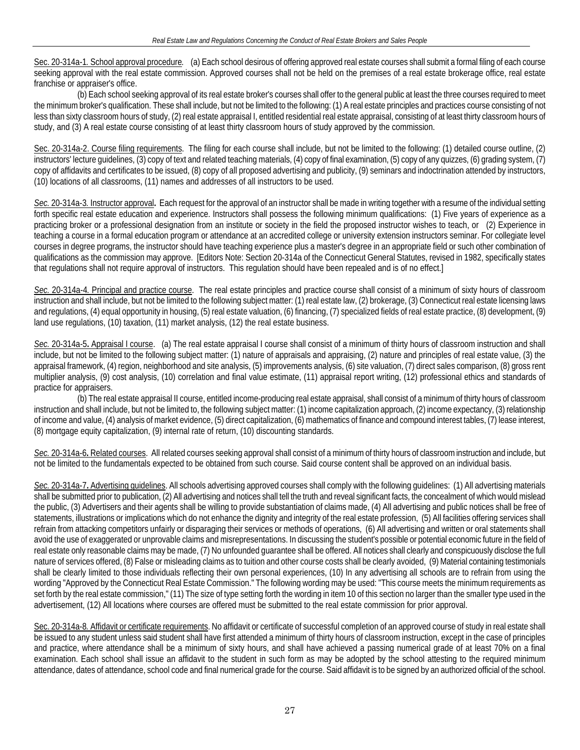Sec. 20*-*314a*-*1*.* School approval procedure*.* (a) Each school desirous of offering approved real estate courses shall submit a formal filing of each course seeking approval with the real estate commission. Approved courses shall not be held on the premises of a real estate brokerage office, real estate franchise or appraiser's office.

 (b) Each school seeking approval of its real estate broker's courses shall offer to the general public at least the three courses required to meet the minimum broker's qualification. These shall include, but not be limited to the following: (1) A real estate principles and practices course consisting of not less than sixty classroom hours of study, (2) real estate appraisal I, entitled residential real estate appraisal, consisting of at least thirty classroom hours of study, and (3) A real estate course consisting of at least thirty classroom hours of study approved by the commission.

Sec. 20-314a-2. Course filing requirements. The filing for each course shall include, but not be limited to the following: (1) detailed course outline, (2) instructors' lecture guidelines, (3) copy of text and related teaching materials, (4) copy of final examination, (5) copy of any quizzes, (6) grading system, (7) copy of affidavits and certificates to be issued, (8) copy of all proposed advertising and publicity, (9) seminars and indoctrination attended by instructors, (10) locations of all classrooms, (11) names and addresses of all instructors to be used.

*Sec.* 20-314a-3*.* Instructor approval**.** Each request for the approval of an instructor shall be made in writing together with a resume of the individual setting forth specific real estate education and experience. Instructors shall possess the following minimum qualifications: (1) Five years of experience as a practicing broker or a professional designation from an institute or society in the field the proposed instructor wishes to teach, or (2) Experience in teaching a course in a formal education program or attendance at an accredited college or university extension instructors seminar. For collegiate level courses in degree programs, the instructor should have teaching experience plus a master's degree in an appropriate field or such other combination of qualifications as the commission may approve. [Editors Note: Section 20-314a of the Connecticut General Statutes, revised in 1982, specifically states that regulations shall not require approval of instructors. This regulation should have been repealed and is of no effect.]

*Sec.* 20-314a-4*.* Principal and practice course. The real estate principles and practice course shall consist of a minimum of sixty hours of classroom instruction and shall include, but not be limited to the following subject matter: (1) real estate law, (2) brokerage, (3) Connecticut real estate licensing laws and regulations, (4) equal opportunity in housing, (5) real estate valuation, (6) financing, (7) specialized fields of real estate practice, (8) development, (9) land use regulations, (10) taxation, (11) market analysis, (12) the real estate business.

*Sec.* 20-314a-5**.** Appraisal I course. (a) The real estate appraisal I course shall consist of a minimum of thirty hours of classroom instruction and shall include, but not be limited to the following subject matter: (1) nature of appraisals and appraising, (2) nature and principles of real estate value, (3) the appraisal framework, (4) region, neighborhood and site analysis, (5) improvements analysis, (6) site valuation, (7) direct sales comparison, (8) gross rent multiplier analysis, (9) cost analysis, (10) correlation and final value estimate, (11) appraisal report writing, (12) professional ethics and standards of practice for appraisers.

 (b) The real estate appraisal II course, entitled income-producing real estate appraisal, shall consist of a minimum of thirty hours of classroom instruction and shall include, but not be limited to, the following subject matter: (1) income capitalization approach, (2) income expectancy, (3) relationship of income and value, (4) analysis of market evidence, (5) direct capitalization, (6) mathematics of finance and compound interest tables, (7) lease interest, (8) mortgage equity capitalization, (9) internal rate of return, (10) discounting standards.

*Sec.* 20-314a-6**.** Related courses. All related courses seeking approval shall consist of a minimum of thirty hours of classroom instruction and include, but not be limited to the fundamentals expected to be obtained from such course. Said course content shall be approved on an individual basis.

*Sec.* 20-314a-7**.** Advertising guidelines. All schools advertising approved courses shall comply with the following guidelines: (1) All advertising materials shall be submitted prior to publication, (2) All advertising and notices shall tell the truth and reveal significant facts, the concealment of which would mislead the public, (3) Advertisers and their agents shall be willing to provide substantiation of claims made, (4) All advertising and public notices shall be free of statements, illustrations or implications which do not enhance the dignity and integrity of the real estate profession, (5) All facilities offering services shall refrain from attacking competitors unfairly or disparaging their services or methods of operations, (6) All advertising and written or oral statements shall avoid the use of exaggerated or unprovable claims and misrepresentations. In discussing the student's possible or potential economic future in the field of real estate only reasonable claims may be made, (7) No unfounded guarantee shall be offered. All notices shall clearly and conspicuously disclose the full nature of services offered, (8) False or misleading claims as to tuition and other course costs shall be clearly avoided, (9) Material containing testimonials shall be clearly limited to those individuals reflecting their own personal experiences, (10) In any advertising all schools are to refrain from using the wording "Approved by the Connecticut Real Estate Commission." The following wording may be used: "This course meets the minimum requirements as set forth by the real estate commission," (11) The size of type setting forth the wording in item 10 of this section no larger than the smaller type used in the advertisement, (12) All locations where courses are offered must be submitted to the real estate commission for prior approval.

Sec. 20-314a-8*.* Affidavit or certificate requirements. No affidavit or certificate of successful completion of an approved course of study in real estate shall be issued to any student unless said student shall have first attended a minimum of thirty hours of classroom instruction, except in the case of principles and practice, where attendance shall be a minimum of sixty hours, and shall have achieved a passing numerical grade of at least 70% on a final examination. Each school shall issue an affidavit to the student in such form as may be adopted by the school attesting to the required minimum attendance, dates of attendance, school code and final numerical grade for the course. Said affidavit is to be signed by an authorized official of the school.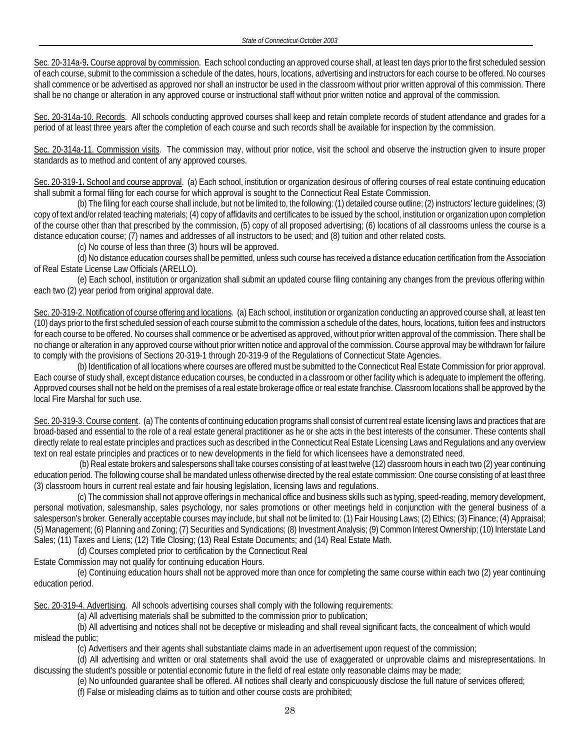Sec*.* 20-314a-9**.** Course approval by commission. Each school conducting an approved course shall, at least ten days prior to the first scheduled session of each course, submit to the commission a schedule of the dates, hours, locations, advertising and instructors for each course to be offered. No courses shall commence or be advertised as approved nor shall an instructor be used in the classroom without prior written approval of this commission. There shall be no change or alteration in any approved course or instructional staff without prior written notice and approval of the commission.

Sec. 20-314a-10. Records. All schools conducting approved courses shall keep and retain complete records of student attendance and grades for a period of at least three years after the completion of each course and such records shall be available for inspection by the commission.

Sec*.* 20-314a-11. Commission visits. The commission may, without prior notice, visit the school and observe the instruction given to insure proper standards as to method and content of any approved courses.

Sec. 20-319-1**.** School and course approval. (a) Each school, institution or organization desirous of offering courses of real estate continuing education shall submit a formal filing for each course for which approval is sought to the Connecticut Real Estate Commission.

 (b) The filing for each course shall include, but not be limited to, the following: (1) detailed course outline; (2) instructors' lecture guidelines; (3) copy of text and/or related teaching materials; (4) copy of affidavits and certificates to be issued by the school, institution or organization upon completion of the course other than that prescribed by the commission, (5) copy of all proposed advertising; (6) locations of all classrooms unless the course is a distance education course; (7) names and addresses of all instructors to be used; and (8) tuition and other related costs.

(c) No course of less than three (3) hours will be approved.

 (d) No distance education courses shall be permitted, unless such course has received a distance education certification from the Association of Real Estate License Law Officials (ARELLO).

 (e) Each school, institution or organization shall submit an updated course filing containing any changes from the previous offering within each two (2) year period from original approval date.

Sec. 20*-*319-2. Notification of course offering and locations. (a) Each school, institution or organization conducting an approved course shall, at least ten (10) days prior to the first scheduled session of each course submit to the commission a schedule of the dates, hours, locations, tuition fees and instructors for each course to be offered. No courses shall commence or be advertised as approved, without prior written approval of the commission. There shall be no change or alteration in any approved course without prior written notice and approval of the commission. Course approval may be withdrawn for failure to comply with the provisions of Sections 20-319-1 through 20-319-9 of the Regulations of Connecticut State Agencies.

 (b) Identification of all locations where courses are offered must be submitted to the Connecticut Real Estate Commission for prior approval. Each course of study shall, except distance education courses, be conducted in a classroom or other facility which is adequate to implement the offering. Approved courses shall not be held on the premises of a real estate brokerage office or real estate franchise. Classroom locations shall be approved by the local Fire Marshal for such use.

Sec. 20-319-3. Course content. (a) The contents of continuing education programs shall consist of current real estate licensing laws and practices that are broad-based and essential to the role of a real estate general practitioner as he or she acts in the best interests of the consumer. These contents shall directly relate to real estate principles and practices such as described in the Connecticut Real Estate Licensing Laws and Regulations and any overview text on real estate principles and practices or to new developments in the field for which licensees have a demonstrated need.

 (b) Real estate brokers and salespersons shall take courses consisting of at least twelve (12) classroom hours in each two (2) year continuing education period. The following course shall be mandated unless otherwise directed by the real estate commission: One course consisting of at least three (3) classroom hours in current real estate and fair housing legislation, licensing laws and regulations.

 (c) The commission shall not approve offerings in mechanical office and business skills such as typing, speed-reading, memory development, personal motivation, salesmanship, sales psychology, nor sales promotions or other meetings held in conjunction with the general business of a salesperson's broker. Generally acceptable courses may include, but shall not be limited to: (1) Fair Housing Laws; (2) Ethics; (3) Finance; (4) Appraisal; (5) Management; (6) Planning and Zoning; (7) Securities and Syndications; (8) Investment Analysis; (9) Common Interest Ownership; (10) Interstate Land Sales; (11) Taxes and Liens; (12) Title Closing; (13) Real Estate Documents; and (14) Real Estate Math.

(d) Courses completed prior to certification by the Connecticut Real

Estate Commission may not qualify for continuing education Hours.

 (e) Continuing education hours shall not be approved more than once for completing the same course within each two (2) year continuing education period.

Sec. 20-319-4. Advertising. All schools advertising courses shall comply with the following requirements:

(a) All advertising materials shall be submitted to the commission prior to publication;

 (b) All advertising and notices shall not be deceptive or misleading and shall reveal significant facts, the concealment of which would mislead the public;

(c) Advertisers and their agents shall substantiate claims made in an advertisement upon request of the commission;

 (d) All advertising and written or oral statements shall avoid the use of exaggerated or unprovable claims and misrepresentations. In discussing the student's possible or potential economic future in the field of real estate only reasonable claims may be made;

(e) No unfounded guarantee shall be offered. All notices shall clearly and conspicuously disclose the full nature of services offered;

(f) False or misleading claims as to tuition and other course costs are prohibited;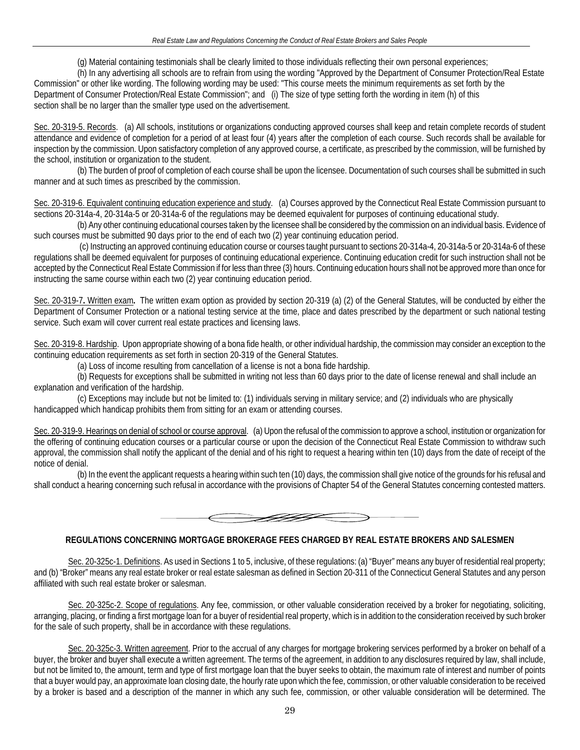(g) Material containing testimonials shall be clearly limited to those individuals reflecting their own personal experiences;

(h) In any advertising all schools are to refrain from using the wording "Approved by the Department of Consumer Protection/Real Estate Commission" or other like wording. The following wording may be used: "This course meets the minimum requirements as set forth by the Department of Consumer Protection/Real Estate Commission"; and (i) The size of type setting forth the wording in item (h) of this section shall be no larger than the smaller type used on the advertisement.

Sec. 20-319-5. Records. (a) All schools, institutions or organizations conducting approved courses shall keep and retain complete records of student attendance and evidence of completion for a period of at least four (4) years after the completion of each course. Such records shall be available for inspection by the commission. Upon satisfactory completion of any approved course, a certificate, as prescribed by the commission, will be furnished by the school, institution or organization to the student.

(b) The burden of proof of completion of each course shall be upon the licensee. Documentation of such courses shall be submitted in such manner and at such times as prescribed by the commission.

Sec. 20-319-6. Equivalent continuing education experience and study. (a) Courses approved by the Connecticut Real Estate Commission pursuant to sections 20-314a-4, 20-314a-5 or 20-314a-6 of the regulations may be deemed equivalent for purposes of continuing educational study.

(b) Any other continuing educational courses taken by the licensee shall be considered by the commission on an individual basis. Evidence of such courses must be submitted 90 days prior to the end of each two (2) year continuing education period.

(c) Instructing an approved continuing education course or courses taught pursuant to sections 20-314a-4, 20-314a-5 or 20-314a-6 of these regulations shall be deemed equivalent for purposes of continuing educational experience. Continuing education credit for such instruction shall not be accepted by the Connecticut Real Estate Commission if for less than three (3) hours. Continuing education hours shall not be approved more than once for instructing the same course within each two (2) year continuing education period.

Sec. 20-319-7**.** Written exam**.** The written exam option as provided by section 20-319 (a) (2) of the General Statutes, will be conducted by either the Department of Consumer Protection or a national testing service at the time, place and dates prescribed by the department or such national testing service. Such exam will cover current real estate practices and licensing laws.

Sec. 20-319-8. Hardship. Upon appropriate showing of a bona fide health, or other individual hardship, the commission may consider an exception to the continuing education requirements as set forth in section 20-319 of the General Statutes.

(a) Loss of income resulting from cancellation of a license is not a bona fide hardship.

(b) Requests for exceptions shall be submitted in writing not less than 60 days prior to the date of license renewal and shall include an explanation and verification of the hardship.

(c) Exceptions may include but not be limited to: (1) individuals serving in military service; and (2) individuals who are physically handicapped which handicap prohibits them from sitting for an exam or attending courses.

Sec. 20-319-9. Hearings on denial of school or course approval. (a) Upon the refusal of the commission to approve a school, institution or organization for the offering of continuing education courses or a particular course or upon the decision of the Connecticut Real Estate Commission to withdraw such approval, the commission shall notify the applicant of the denial and of his right to request a hearing within ten (10) days from the date of receipt of the notice of denial.

(b) In the event the applicant requests a hearing within such ten (10) days, the commission shall give notice of the grounds for his refusal and shall conduct a hearing concerning such refusal in accordance with the provisions of Chapter 54 of the General Statutes concerning contested matters.



## **REGULATIONS CONCERNING MORTGAGE BROKERAGE FEES CHARGED BY REAL ESTATE BROKERS AND SALESMEN**

Sec. 20-325c-1. Definitions. As used in Sections 1 to 5, inclusive, of these regulations: (a) "Buyer" means any buyer of residential real property; and (b) "Broker" means any real estate broker or real estate salesman as defined in Section 20-311 of the Connecticut General Statutes and any person affiliated with such real estate broker or salesman.

Sec. 20-325c-2. Scope of regulations. Any fee, commission, or other valuable consideration received by a broker for negotiating, soliciting, arranging, placing, or finding a first mortgage loan for a buyer of residential real property, which is in addition to the consideration received by such broker for the sale of such property, shall be in accordance with these regulations.

Sec. 20-325c-3. Written agreement. Prior to the accrual of any charges for mortgage brokering services performed by a broker on behalf of a buyer, the broker and buyer shall execute a written agreement. The terms of the agreement, in addition to any disclosures required by law, shall include, but not be limited to, the amount, term and type of first mortgage loan that the buyer seeks to obtain, the maximum rate of interest and number of points that a buyer would pay, an approximate loan closing date, the hourly rate upon which the fee, commission, or other valuable consideration to be received by a broker is based and a description of the manner in which any such fee, commission, or other valuable consideration will be determined. The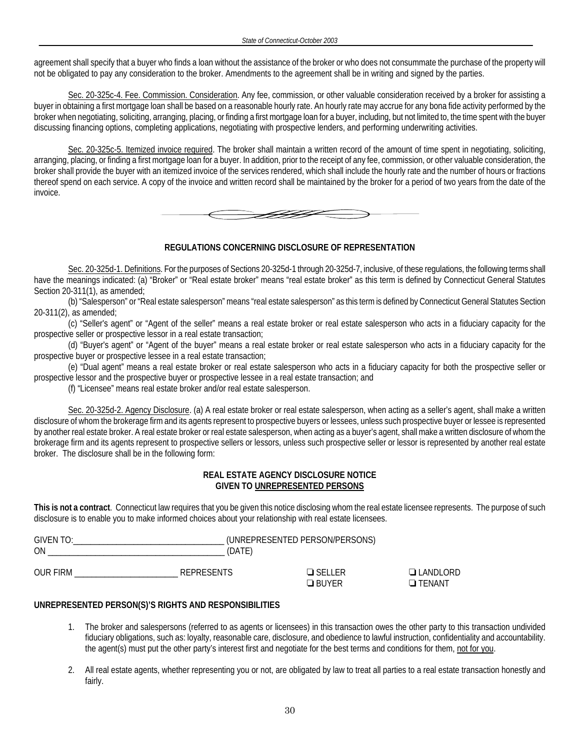agreement shall specify that a buyer who finds a loan without the assistance of the broker or who does not consummate the purchase of the property will not be obligated to pay any consideration to the broker. Amendments to the agreement shall be in writing and signed by the parties.

Sec. 20-325c-4. Fee. Commission. Consideration. Any fee, commission, or other valuable consideration received by a broker for assisting a buyer in obtaining a first mortgage loan shall be based on a reasonable hourly rate. An hourly rate may accrue for any bona fide activity performed by the broker when negotiating, soliciting, arranging, placing, or finding a first mortgage loan for a buyer, including, but not limited to, the time spent with the buyer discussing financing options, completing applications, negotiating with prospective lenders, and performing underwriting activities.

Sec. 20-325c-5. Itemized invoice required. The broker shall maintain a written record of the amount of time spent in negotiating, soliciting, arranging, placing, or finding a first mortgage loan for a buyer. In addition, prior to the receipt of any fee, commission, or other valuable consideration, the broker shall provide the buyer with an itemized invoice of the services rendered, which shall include the hourly rate and the number of hours or fractions thereof spend on each service. A copy of the invoice and written record shall be maintained by the broker for a period of two years from the date of the invoice.



## **REGULATIONS CONCERNING DISCLOSURE OF REPRESENTATION**

Sec. 20-325d-1. Definitions. For the purposes of Sections 20-325d-1 through 20-325d-7, inclusive, of these regulations, the following terms shall have the meanings indicated: (a) "Broker" or "Real estate broker" means "real estate broker" as this term is defined by Connecticut General Statutes Section 20-311(1), as amended;

(b) "Salesperson" or "Real estate salesperson" means "real estate salesperson" as this term is defined by Connecticut General Statutes Section 20-311(2), as amended;

(c) "Seller's agent" or "Agent of the seller" means a real estate broker or real estate salesperson who acts in a fiduciary capacity for the prospective seller or prospective lessor in a real estate transaction;

(d) "Buyer's agent" or "Agent of the buyer" means a real estate broker or real estate salesperson who acts in a fiduciary capacity for the prospective buyer or prospective lessee in a real estate transaction;

(e) "Dual agent" means a real estate broker or real estate salesperson who acts in a fiduciary capacity for both the prospective seller or prospective lessor and the prospective buyer or prospective lessee in a real estate transaction; and

(f) "Licensee" means real estate broker and/or real estate salesperson.

Sec. 20-325d-2. Agency Disclosure. (a) A real estate broker or real estate salesperson, when acting as a seller's agent, shall make a written disclosure of whom the brokerage firm and its agents represent to prospective buyers or lessees, unless such prospective buyer or lessee is represented by another real estate broker. A real estate broker or real estate salesperson, when acting as a buyer's agent, shall make a written disclosure of whom the brokerage firm and its agents represent to prospective sellers or lessors, unless such prospective seller or lessor is represented by another real estate broker. The disclosure shall be in the following form:

## **REAL ESTATE AGENCY DISCLOSURE NOTICE GIVEN TO UNREPRESENTED PERSONS**

**This is not a contract**. Connecticut law requires that you be given this notice disclosing whom the real estate licensee represents. The purpose of such disclosure is to enable you to make informed choices about your relationship with real estate licensees.

| GIVEN TO:<br>ON | (DATE)            | (UNREPRESENTED PERSON/PERSONS) |                                  |
|-----------------|-------------------|--------------------------------|----------------------------------|
| OUR FIRM        | <b>REPRESENTS</b> | $Q$ SFIIFR<br>$\Box$ BUYER     | $\Box$ LANDLORD<br>$\Box$ TFNANT |

## **UNREPRESENTED PERSON(S)'S RIGHTS AND RESPONSIBILITIES**

- 1. The broker and salespersons (referred to as agents or licensees) in this transaction owes the other party to this transaction undivided fiduciary obligations, such as: loyalty, reasonable care, disclosure, and obedience to lawful instruction, confidentiality and accountability. the agent(s) must put the other party's interest first and negotiate for the best terms and conditions for them, not for you.
- 2. All real estate agents, whether representing you or not, are obligated by law to treat all parties to a real estate transaction honestly and fairly.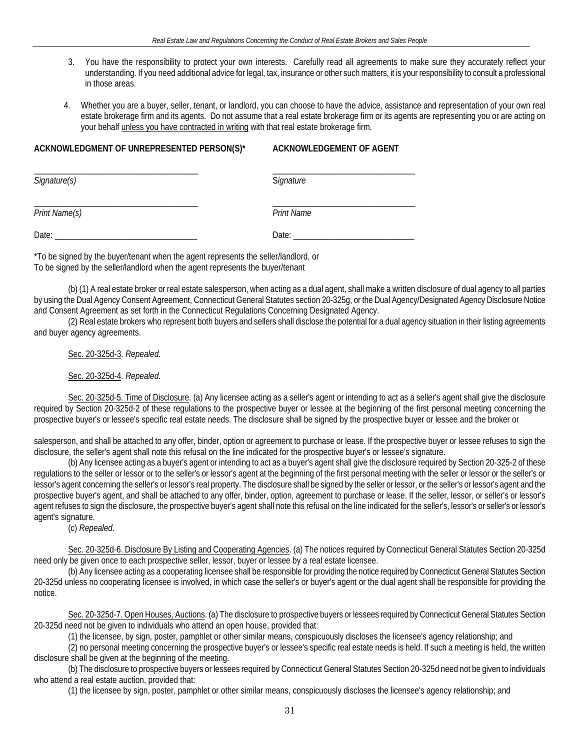- 3. You have the responsibility to protect your own interests. Carefully read all agreements to make sure they accurately reflect your understanding. If you need additional advice for legal, tax, insurance or other such matters, it is your responsibility to consult a professional in those areas.
- 4. Whether you are a buyer, seller, tenant, or landlord, you can choose to have the advice, assistance and representation of your own real estate brokerage firm and its agents. Do not assume that a real estate brokerage firm or its agents are representing you or are acting on your behalf unless you have contracted in writing with that real estate brokerage firm.

## **ACKNOWLEDGMENT OF UNREPRESENTED PERSON(S)\* ACKNOWLEDGEMENT OF AGENT**

| Signature(s)  | Signature         |  |
|---------------|-------------------|--|
| Print Name(s) | <b>Print Name</b> |  |
| Date:         | Date:             |  |

\*To be signed by the buyer/tenant when the agent represents the seller/landlord, or To be signed by the seller/landlord when the agent represents the buyer/tenant

 (b) (1) A real estate broker or real estate salesperson, when acting as a dual agent, shall make a written disclosure of dual agency to all parties by using the Dual Agency Consent Agreement, Connecticut General Statutes section 20-325g, or the Dual Agency/Designated Agency Disclosure Notice and Consent Agreement as set forth in the Connecticut Regulations Concerning Designated Agency.

 (2) Real estate brokers who represent both buyers and sellers shall disclose the potential for a dual agency situation in their listing agreements and buyer agency agreements.

Sec. 20-325d-3. *Repealed.*

Sec. 20-325d-4. *Repealed.*

Sec. 20-325d-5. Time of Disclosure. (a) Any licensee acting as a seller's agent or intending to act as a seller's agent shall give the disclosure required by Section 20-325d-2 of these regulations to the prospective buyer or lessee at the beginning of the first personal meeting concerning the prospective buyer's or lessee's specific real estate needs. The disclosure shall be signed by the prospective buyer or lessee and the broker or

salesperson, and shall be attached to any offer, binder, option or agreement to purchase or lease. If the prospective buyer or lessee refuses to sign the disclosure, the seller's agent shall note this refusal on the line indicated for the prospective buyer's or lessee's signature.

(b) Any licensee acting as a buyer's agent or intending to act as a buyer's agent shall give the disclosure required by Section 20-325-2 of these regulations to the seller or lessor or to the seller's or lessor's agent at the beginning of the first personal meeting with the seller or lessor or the seller's or lessor's agent concerning the seller's or lessor's real property. The disclosure shall be signed by the seller or lessor, or the seller's or lessor's agent and the prospective buyer's agent, and shall be attached to any offer, binder, option, agreement to purchase or lease. If the seller, lessor, or seller's or lessor's agent refuses to sign the disclosure, the prospective buyer's agent shall note this refusal on the line indicated for the seller's, lessor's or seller's or lessor's agent's signature.

(c) *Repealed*.

Sec. 20-325d-6. Disclosure By Listing and Cooperating Agencies. (a) The notices required by Connecticut General Statutes Section 20-325d need only be given once to each prospective seller, lessor, buyer or lessee by a real estate licensee.

(b) Any licensee acting as a cooperating licensee shall be responsible for providing the notice required by Connecticut General Statutes Section 20-325d unless no cooperating licensee is involved, in which case the seller's or buyer's agent or the dual agent shall be responsible for providing the notice.

Sec. 20-325d-7. Open Houses, Auctions. (a) The disclosure to prospective buyers or lessees required by Connecticut General Statutes Section 20-325d need not be given to individuals who attend an open house, provided that:

(1) the licensee, by sign, poster, pamphlet or other similar means, conspicuously discloses the licensee's agency relationship; and

(2) no personal meeting concerning the prospective buyer's or lessee's specific real estate needs is held. If such a meeting is held, the written disclosure shall be given at the beginning of the meeting.

(b) The disclosure to prospective buyers or lessees required by Connecticut General Statutes Section 20-325d need not be given to individuals who attend a real estate auction, provided that:

(1) the licensee by sign, poster, pamphlet or other similar means, conspicuously discloses the licensee's agency relationship; and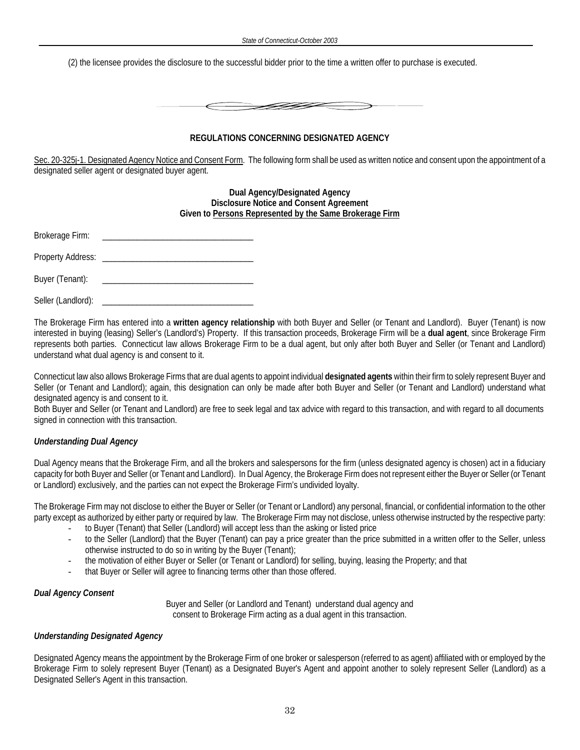(2) the licensee provides the disclosure to the successful bidder prior to the time a written offer to purchase is executed.



## **REGULATIONS CONCERNING DESIGNATED AGENCY**

Sec. 20-325j-1. Designated Agency Notice and Consent Form. The following form shall be used as written notice and consent upon the appointment of a designated seller agent or designated buyer agent.

#### **Dual Agency/Designated Agency Disclosure Notice and Consent Agreement Given to Persons Represented by the Same Brokerage Firm**

Brokerage Firm:

Property Address: \_

Buyer (Tenant):

Seller (Landlord):

The Brokerage Firm has entered into a **written agency relationship** with both Buyer and Seller (or Tenant and Landlord). Buyer (Tenant) is now interested in buying (leasing) Seller's (Landlord's) Property. If this transaction proceeds, Brokerage Firm will be a **dual agent**, since Brokerage Firm represents both parties. Connecticut law allows Brokerage Firm to be a dual agent, but only after both Buyer and Seller (or Tenant and Landlord) understand what dual agency is and consent to it.

Connecticut law also allows Brokerage Firms that are dual agents to appoint individual **designated agents** within their firm to solely represent Buyer and Seller (or Tenant and Landlord); again, this designation can only be made after both Buyer and Seller (or Tenant and Landlord) understand what designated agency is and consent to it.

Both Buyer and Seller (or Tenant and Landlord) are free to seek legal and tax advice with regard to this transaction, and with regard to all documents signed in connection with this transaction.

## *Understanding Dual Agency*

Dual Agency means that the Brokerage Firm, and all the brokers and salespersons for the firm (unless designated agency is chosen) act in a fiduciary capacity for both Buyer and Seller (or Tenant and Landlord). In Dual Agency, the Brokerage Firm does not represent either the Buyer or Seller (or Tenant or Landlord) exclusively, and the parties can not expect the Brokerage Firm's undivided loyalty.

The Brokerage Firm may not disclose to either the Buyer or Seller (or Tenant or Landlord) any personal, financial, or confidential information to the other party except as authorized by either party or required by law. The Brokerage Firm may not disclose, unless otherwise instructed by the respective party:

- to Buyer (Tenant) that Seller (Landlord) will accept less than the asking or listed price
- to the Seller (Landlord) that the Buyer (Tenant) can pay a price greater than the price submitted in a written offer to the Seller, unless otherwise instructed to do so in writing by the Buyer (Tenant);
- the motivation of either Buyer or Seller (or Tenant or Landlord) for selling, buying, leasing the Property; and that
- that Buyer or Seller will agree to financing terms other than those offered.

## *Dual Agency Consent*

Buyer and Seller (or Landlord and Tenant) understand dual agency and consent to Brokerage Firm acting as a dual agent in this transaction.

## *Understanding Designated Agency*

Designated Agency means the appointment by the Brokerage Firm of one broker or salesperson (referred to as agent) affiliated with or employed by the Brokerage Firm to solely represent Buyer (Tenant) as a Designated Buyer's Agent and appoint another to solely represent Seller (Landlord) as a Designated Seller's Agent in this transaction.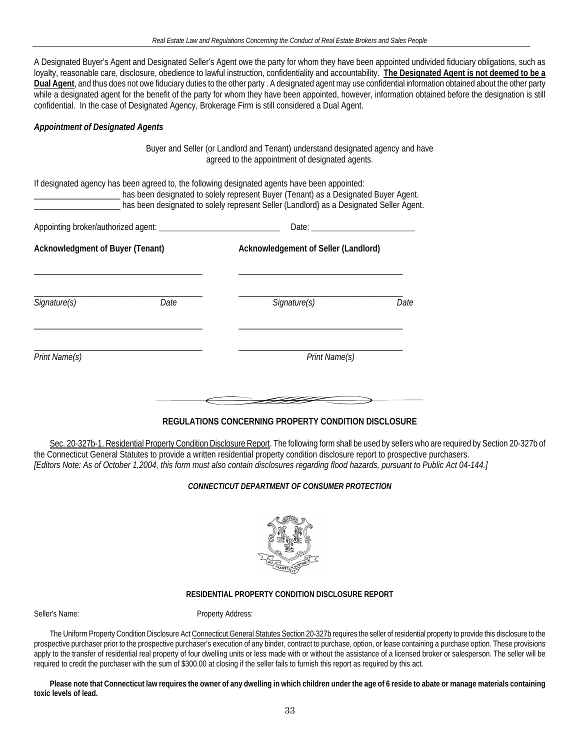A Designated Buyer's Agent and Designated Seller's Agent owe the party for whom they have been appointed undivided fiduciary obligations, such as loyalty, reasonable care, disclosure, obedience to lawful instruction, confidentiality and accountability. **The Designated Agent is not deemed to be a Dual Agent**, and thus does not owe fiduciary duties to the other party . A designated agent may use confidential information obtained about the other party while a designated agent for the benefit of the party for whom they have been appointed, however, information obtained before the designation is still confidential. In the case of Designated Agency, Brokerage Firm is still considered a Dual Agent.

## *Appointment of Designated Agents*

| Buyer and Seller (or Landlord and Tenant) understand designated agency and have |
|---------------------------------------------------------------------------------|
| agreed to the appointment of designated agents.                                 |

|                                  |      | If designated agency has been agreed to, the following designated agents have been appointed:<br>has been designated to solely represent Buyer (Tenant) as a Designated Buyer Agent.<br>has been designated to solely represent Seller (Landlord) as a Designated Seller Agent. |      |
|----------------------------------|------|---------------------------------------------------------------------------------------------------------------------------------------------------------------------------------------------------------------------------------------------------------------------------------|------|
|                                  |      | Date: the contract of the contract of the contract of the contract of the contract of the contract of the contract of the contract of the contract of the contract of the contract of the contract of the contract of the cont                                                  |      |
| Acknowledgment of Buyer (Tenant) |      | Acknowledgement of Seller (Landlord)                                                                                                                                                                                                                                            |      |
| Signature(s)                     | Date | Signature(s)                                                                                                                                                                                                                                                                    | Date |
| Print Name(s)                    |      | Print Name(s)                                                                                                                                                                                                                                                                   |      |
|                                  |      |                                                                                                                                                                                                                                                                                 |      |

## **REGULATIONS CONCERNING PROPERTY CONDITION DISCLOSURE**

Sec. 20-327b-1. Residential Property Condition Disclosure Report. The following form shall be used by sellers who are required by Section 20-327b of the Connecticut General Statutes to provide a written residential property condition disclosure report to prospective purchasers. *[Editors Note: As of October 1,2004, this form must also contain disclosures regarding flood hazards, pursuant to Public Act 04-144.]* 

## *CONNECTICUT DEPARTMENT OF CONSUMER PROTECTION*



## **RESIDENTIAL PROPERTY CONDITION DISCLOSURE REPORT**

Seller's Name: **Property Address:** 

The Uniform Property Condition Disclosure Act Connecticut General Statutes Section 20-327b requires the seller of residential property to provide this disclosure to the prospective purchaser prior to the prospective purchaser's execution of any binder, contract to purchase, option, or lease containing a purchase option. These provisions apply to the transfer of residential real property of four dwelling units or less made with or without the assistance of a licensed broker or salesperson. The seller will be required to credit the purchaser with the sum of \$300.00 at closing if the seller fails to furnish this report as required by this act.

**Please note that Connecticut law requires the owner of any dwelling in which children under the age of 6 reside to abate or manage materials containing toxic levels of lead.**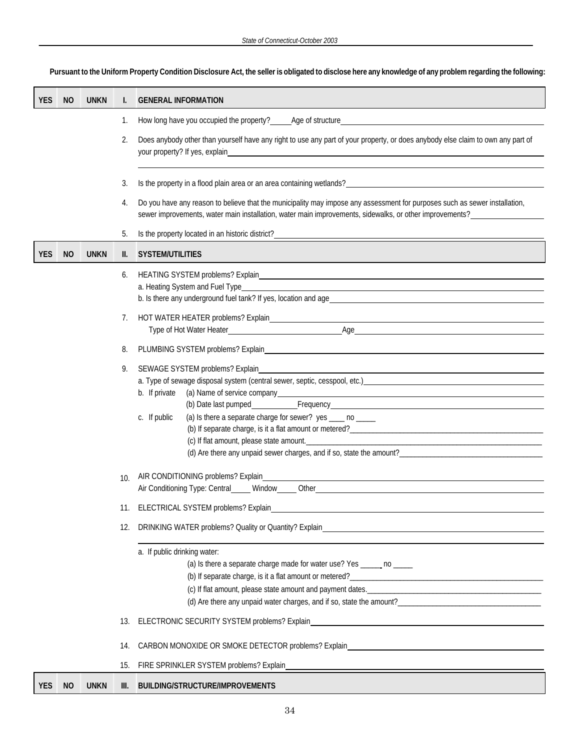| <b>YES</b> | <b>NO</b> | <b>UNKN</b> | L.   | <b>GENERAL INFORMATION</b>                                                                                                                                                                                                            |  |
|------------|-----------|-------------|------|---------------------------------------------------------------------------------------------------------------------------------------------------------------------------------------------------------------------------------------|--|
|            |           |             | 1.   | How long have you occupied the property? Compared Structure Compared and the state of the state of the state of the state of the state of the state of the state of the state of the state of the state of the state of the st        |  |
|            |           |             | 2.   | Does anybody other than yourself have any right to use any part of your property, or does anybody else claim to own any part of                                                                                                       |  |
|            |           |             | 3.   | Is the property in a flood plain area or an area containing wetlands?<br>In the property in a flood plain area or an area containing wetlands?                                                                                        |  |
|            |           |             | 4.   | Do you have any reason to believe that the municipality may impose any assessment for purposes such as sewer installation,<br>sewer improvements, water main installation, water main improvements, sidewalks, or other improvements? |  |
|            |           |             | 5.   | Is the property located in an historic district?<br><u>Letter and the property located in an historic district?</u>                                                                                                                   |  |
| <b>YES</b> | <b>NO</b> | <b>UNKN</b> | II.  | SYSTEM/UTILITIES                                                                                                                                                                                                                      |  |
|            |           |             | 6.   |                                                                                                                                                                                                                                       |  |
|            |           |             | 7.   |                                                                                                                                                                                                                                       |  |
|            |           |             | 8.   |                                                                                                                                                                                                                                       |  |
|            |           |             | 9.   | a. Type of sewage disposal system (central sewer, septic, cesspool, etc.) example and server and server and se<br>b. If private<br>(a) Is there a separate charge for sewer? yes ____ no ____<br>c. If public                         |  |
|            |           |             | 10.  | Air Conditioning Type: Central______Window______Other____________________________                                                                                                                                                     |  |
|            |           |             |      | 11. ELECTRICAL SYSTEM problems? Explain                                                                                                                                                                                               |  |
|            |           |             | 12.  | DRINKING WATER problems? Quality or Quantity? Explain example and the state of the state of the state of the state of the state of the state of the state of the state of the state of the state of the state of the state of         |  |
|            |           |             |      | a. If public drinking water:<br>(a) Is there a separate charge made for water use? Yes ______ no _____                                                                                                                                |  |
|            |           |             |      | 13. ELECTRONIC SECURITY SYSTEM problems? Explain                                                                                                                                                                                      |  |
|            |           |             | 14.  | CARBON MONOXIDE OR SMOKE DETECTOR problems? Explain______________________________                                                                                                                                                     |  |
|            |           |             |      |                                                                                                                                                                                                                                       |  |
| <b>YES</b> | <b>NO</b> | <b>UNKN</b> | III. | <b>BUILDING/STRUCTURE/IMPROVEMENTS</b>                                                                                                                                                                                                |  |

**Pursuant to the Uniform Property Condition Disclosure Act, the seller is obligated to disclose here any knowledge of any problem regarding the following:**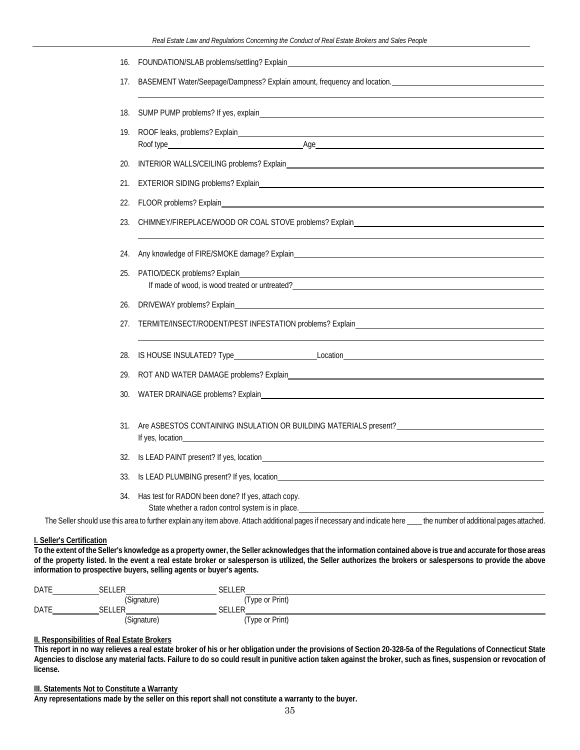|                                                                       | 16. FOUNDATION/SLAB problems/settling? Explain__________________________________                                                                                                                                               |  |  |  |
|-----------------------------------------------------------------------|--------------------------------------------------------------------------------------------------------------------------------------------------------------------------------------------------------------------------------|--|--|--|
| 17.                                                                   | BASEMENT Water/Seepage/Dampness? Explain amount, frequency and location. [19] DASEMENT Water/Seepage/Dampness? Explain amount, frequency and location.                                                                         |  |  |  |
|                                                                       |                                                                                                                                                                                                                                |  |  |  |
| 18.                                                                   |                                                                                                                                                                                                                                |  |  |  |
|                                                                       | 19. ROOF leaks, problems? Explain explain explained by the state of the state of the state of the state of the                                                                                                                 |  |  |  |
|                                                                       |                                                                                                                                                                                                                                |  |  |  |
| 20.                                                                   |                                                                                                                                                                                                                                |  |  |  |
| 21.                                                                   |                                                                                                                                                                                                                                |  |  |  |
| 22.                                                                   |                                                                                                                                                                                                                                |  |  |  |
| 23.                                                                   | CHIMNEY/FIREPLACE/WOOD OR COAL STOVE problems? Explain                                                                                                                                                                         |  |  |  |
|                                                                       |                                                                                                                                                                                                                                |  |  |  |
|                                                                       |                                                                                                                                                                                                                                |  |  |  |
|                                                                       |                                                                                                                                                                                                                                |  |  |  |
|                                                                       | If made of wood, is wood treated or untreated?                                                                                                                                                                                 |  |  |  |
|                                                                       | 26. DRIVEWAY problems? Explain experience and the contract of the contract of the contract of the contract of                                                                                                                  |  |  |  |
|                                                                       |                                                                                                                                                                                                                                |  |  |  |
|                                                                       |                                                                                                                                                                                                                                |  |  |  |
| 28.                                                                   |                                                                                                                                                                                                                                |  |  |  |
|                                                                       |                                                                                                                                                                                                                                |  |  |  |
| 30.                                                                   |                                                                                                                                                                                                                                |  |  |  |
|                                                                       |                                                                                                                                                                                                                                |  |  |  |
| 31. Are ASBESTOS CONTAINING INSULATION OR BUILDING MATERIALS present? |                                                                                                                                                                                                                                |  |  |  |
|                                                                       |                                                                                                                                                                                                                                |  |  |  |
|                                                                       |                                                                                                                                                                                                                                |  |  |  |
|                                                                       | 33. Is LEAD PLUMBING present? If yes, location example and the state of the state of the state of the state of the state of the state of the state of the state of the state of the state of the state of the state of the sta |  |  |  |
|                                                                       | 34. Has test for RADON been done? If yes, attach copy.                                                                                                                                                                         |  |  |  |
|                                                                       | State whether a radon control system is in place.<br>The Seller should use this area to further explain any item above. Attach additional pages if necessary and indicate here ____ the number of additional pages attached    |  |  |  |
|                                                                       |                                                                                                                                                                                                                                |  |  |  |

#### **I. Seller's Certification**

**To the extent of the Seller's knowledge as a property owner, the Seller acknowledges that the information contained above is true and accurate for those areas of the property listed. In the event a real estate broker or salesperson is utilized, the Seller authorizes the brokers or salespersons to provide the above information to prospective buyers, selling agents or buyer's agents.**

| DATE        | ER          | <b>SELLER</b>   |  |
|-------------|-------------|-----------------|--|
|             | (Signature) | (Type or Print) |  |
| <b>DATE</b> | ED<br>RFI   | ER<br>. .       |  |
|             | (Signature) | (Type or Print) |  |

#### **II. Responsibilities of Real Estate Brokers**

**This report in no way relieves a real estate broker of his or her obligation under the provisions of Section 20-328-5a of the Regulations of Connecticut State Agencies to disclose any material facts. Failure to do so could result in punitive action taken against the broker, such as fines, suspension or revocation of license.** 

#### **III. Statements Not to Constitute a Warranty**

**Any representations made by the seller on this report shall not constitute a warranty to the buyer.**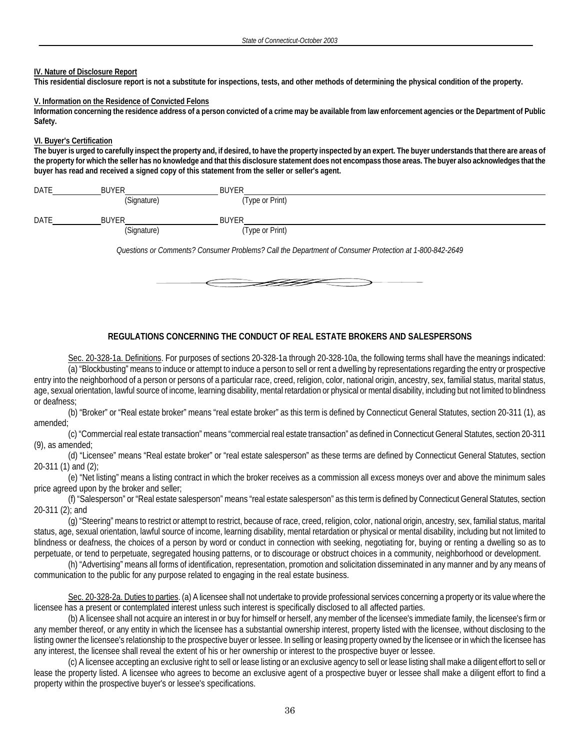#### **IV. Nature of Disclosure Report**

**This residential disclosure report is not a substitute for inspections, tests, and other methods of determining the physical condition of the property.** 

#### **V. Information on the Residence of Convicted Felons**

**Information concerning the residence address of a person convicted of a crime may be available from law enforcement agencies or the Department of Public Safety.** 

#### **VI. Buyer's Certification**

**The buyer is urged to carefully inspect the property and, if desired, to have the property inspected by an expert. The buyer understands that there are areas of the property for which the seller has no knowledge and that this disclosure statement does not encompass those areas. The buyer also acknowledges that the buyer has read and received a signed copy of this statement from the seller or seller's agent.**

| DATE        | <b>BUYER</b> | <b>BUYER</b>    |
|-------------|--------------|-----------------|
|             | (Signature)  | (Type or Print) |
| <b>DATE</b> | <b>BUYER</b> | <b>BUYER</b>    |
|             | (Signature)  | (Type or Print) |
|             |              |                 |

*Questions or Comments? Consumer Problems? Call the Department of Consumer Protection at 1-800-842-2649*

#### **REGULATIONS CONCERNING THE CONDUCT OF REAL ESTATE BROKERS AND SALESPERSONS**

Sec. 20-328-1a. Definitions. For purposes of sections 20-328-1a through 20-328-10a, the following terms shall have the meanings indicated: (a) "Blockbusting" means to induce or attempt to induce a person to sell or rent a dwelling by representations regarding the entry or prospective entry into the neighborhood of a person or persons of a particular race, creed, religion, color, national origin, ancestry, sex, familial status, marital status, age, sexual orientation, lawful source of income, learning disability, mental retardation or physical or mental disability, including but not limited to blindness or deafness;

(b) "Broker" or "Real estate broker" means "real estate broker" as this term is defined by Connecticut General Statutes, section 20-311 (1), as amended;

(c) "Commercial real estate transaction" means "commercial real estate transaction" as defined in Connecticut General Statutes, section 20-311 (9), as amended;

(d) "Licensee" means "Real estate broker" or "real estate salesperson" as these terms are defined by Connecticut General Statutes, section 20-311 (1) and (2);

(e) "Net listing" means a listing contract in which the broker receives as a commission all excess moneys over and above the minimum sales price agreed upon by the broker and seller;

(f) "Salesperson" or "Real estate salesperson" means "real estate salesperson" as this term is defined by Connecticut General Statutes, section 20-311 (2); and

(g) "Steering" means to restrict or attempt to restrict, because of race, creed, religion, color, national origin, ancestry, sex, familial status, marital status, age, sexual orientation, lawful source of income, learning disability, mental retardation or physical or mental disability, including but not limited to blindness or deafness, the choices of a person by word or conduct in connection with seeking, negotiating for, buying or renting a dwelling so as to perpetuate, or tend to perpetuate, segregated housing patterns, or to discourage or obstruct choices in a community, neighborhood or development.

(h) "Advertising" means all forms of identification, representation, promotion and solicitation disseminated in any manner and by any means of communication to the public for any purpose related to engaging in the real estate business.

Sec. 20-328-2a. Duties to parties. (a) A licensee shall not undertake to provide professional services concerning a property or its value where the licensee has a present or contemplated interest unless such interest is specifically disclosed to all affected parties.

(b) A licensee shall not acquire an interest in or buy for himself or herself, any member of the licensee's immediate family, the licensee's firm or any member thereof, or any entity in which the licensee has a substantial ownership interest, property listed with the licensee, without disclosing to the listing owner the licensee's relationship to the prospective buyer or lessee. In selling or leasing property owned by the licensee or in which the licensee has any interest, the licensee shall reveal the extent of his or her ownership or interest to the prospective buyer or lessee.

(c) A licensee accepting an exclusive right to sell or lease listing or an exclusive agency to sell or lease listing shall make a diligent effort to sell or lease the property listed. A licensee who agrees to become an exclusive agent of a prospective buyer or lessee shall make a diligent effort to find a property within the prospective buyer's or lessee's specifications.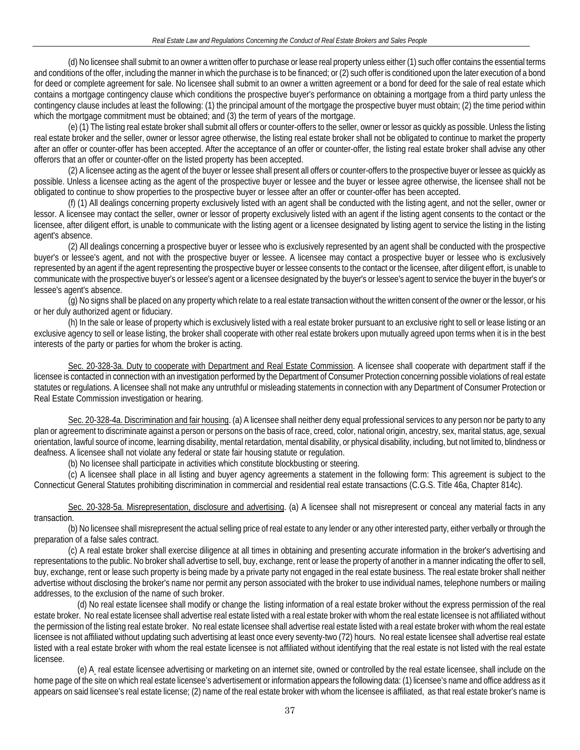(d) No licensee shall submit to an owner a written offer to purchase or lease real property unless either (1) such offer contains the essential terms and conditions of the offer, including the manner in which the purchase is to be financed; or (2) such offer is conditioned upon the later execution of a bond for deed or complete agreement for sale. No licensee shall submit to an owner a written agreement or a bond for deed for the sale of real estate which contains a mortgage contingency clause which conditions the prospective buyer's performance on obtaining a mortgage from a third party unless the contingency clause includes at least the following: (1) the principal amount of the mortgage the prospective buyer must obtain; (2) the time period within which the mortgage commitment must be obtained; and (3) the term of years of the mortgage.

(e) (1) The listing real estate broker shall submit all offers or counter-offers to the seller, owner or lessor as quickly as possible. Unless the listing real estate broker and the seller, owner or lessor agree otherwise, the listing real estate broker shall not be obligated to continue to market the property after an offer or counter-offer has been accepted. After the acceptance of an offer or counter-offer, the listing real estate broker shall advise any other offerors that an offer or counter-offer on the listed property has been accepted.

(2) A licensee acting as the agent of the buyer or lessee shall present all offers or counter-offers to the prospective buyer or lessee as quickly as possible. Unless a licensee acting as the agent of the prospective buyer or lessee and the buyer or lessee agree otherwise, the licensee shall not be obligated to continue to show properties to the prospective buyer or lessee after an offer or counter-offer has been accepted.

(f) (1) All dealings concerning property exclusively listed with an agent shall be conducted with the listing agent, and not the seller, owner or lessor. A licensee may contact the seller, owner or lessor of property exclusively listed with an agent if the listing agent consents to the contact or the licensee, after diligent effort, is unable to communicate with the listing agent or a licensee designated by listing agent to service the listing in the listing agent's absence.

(2) All dealings concerning a prospective buyer or lessee who is exclusively represented by an agent shall be conducted with the prospective buyer's or lessee's agent, and not with the prospective buyer or lessee. A licensee may contact a prospective buyer or lessee who is exclusively represented by an agent if the agent representing the prospective buyer or lessee consents to the contact or the licensee, after diligent effort, is unable to communicate with the prospective buyer's or lessee's agent or a licensee designated by the buyer's or lessee's agent to service the buyer in the buyer's or lessee's agent's absence.

(g) No signs shall be placed on any property which relate to a real estate transaction without the written consent of the owner or the lessor, or his or her duly authorized agent or fiduciary.

(h) In the sale or lease of property which is exclusively listed with a real estate broker pursuant to an exclusive right to sell or lease listing or an exclusive agency to sell or lease listing, the broker shall cooperate with other real estate brokers upon mutually agreed upon terms when it is in the best interests of the party or parties for whom the broker is acting.

Sec. 20-328-3a. Duty to cooperate with Department and Real Estate Commission. A licensee shall cooperate with department staff if the licensee is contacted in connection with an investigation performed by the Department of Consumer Protection concerning possible violations of real estate statutes or regulations. A licensee shall not make any untruthful or misleading statements in connection with any Department of Consumer Protection or Real Estate Commission investigation or hearing.

Sec. 20-328-4a. Discrimination and fair housing. (a) A licensee shall neither deny equal professional services to any person nor be party to any plan or agreement to discriminate against a person or persons on the basis of race, creed, color, national origin, ancestry, sex, marital status, age, sexual orientation, lawful source of income, learning disability, mental retardation, mental disability, or physical disability, including, but not limited to, blindness or deafness. A licensee shall not violate any federal or state fair housing statute or regulation.

(b) No licensee shall participate in activities which constitute blockbusting or steering.

(c) A licensee shall place in all listing and buyer agency agreements a statement in the following form: This agreement is subject to the Connecticut General Statutes prohibiting discrimination in commercial and residential real estate transactions (C.G.S. Title 46a, Chapter 814c).

Sec. 20-328-5a. Misrepresentation, disclosure and advertising. (a) A licensee shall not misrepresent or conceal any material facts in any transaction.

(b) No licensee shall misrepresent the actual selling price of real estate to any lender or any other interested party, either verbally or through the preparation of a false sales contract.

(c) A real estate broker shall exercise diligence at all times in obtaining and presenting accurate information in the broker's advertising and representations to the public. No broker shall advertise to sell, buy, exchange, rent or lease the property of another in a manner indicating the offer to sell, buy, exchange, rent or lease such property is being made by a private party not engaged in the real estate business. The real estate broker shall neither advertise without disclosing the broker's name nor permit any person associated with the broker to use individual names, telephone numbers or mailing addresses, to the exclusion of the name of such broker.

 (d) No real estate licensee shall modify or change the listing information of a real estate broker without the express permission of the real estate broker. No real estate licensee shall advertise real estate listed with a real estate broker with whom the real estate licensee is not affiliated without the permission of the listing real estate broker. No real estate licensee shall advertise real estate listed with a real estate broker with whom the real estate licensee is not affiliated without updating such advertising at least once every seventy-two (72) hours. No real estate licensee shall advertise real estate listed with a real estate broker with whom the real estate licensee is not affiliated without identifying that the real estate is not listed with the real estate licensee.

 (e) A real estate licensee advertising or marketing on an internet site, owned or controlled by the real estate licensee, shall include on the home page of the site on which real estate licensee's advertisement or information appears the following data: (1) licensee's name and office address as it appears on said licensee's real estate license; (2) name of the real estate broker with whom the licensee is affiliated, as that real estate broker's name is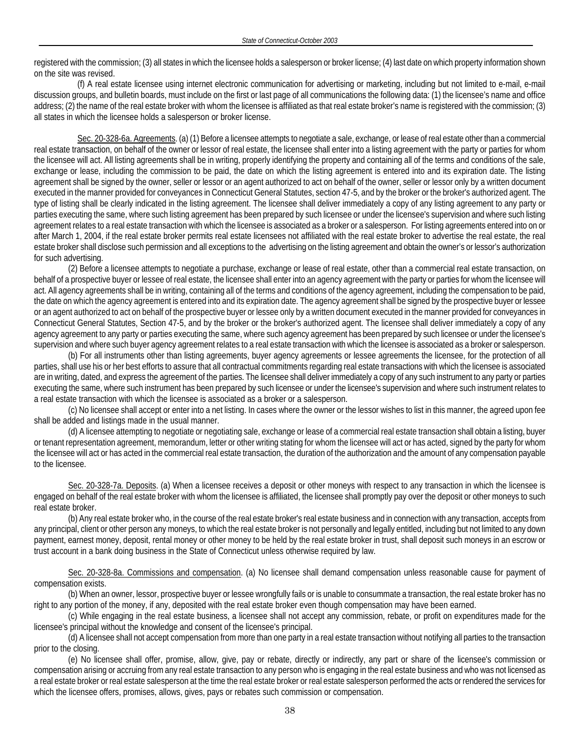registered with the commission; (3) all states in which the licensee holds a salesperson or broker license; (4) last date on which property information shown on the site was revised.

 (f) A real estate licensee using internet electronic communication for advertising or marketing, including but not limited to e-mail, e-mail discussion groups, and bulletin boards, must include on the first or last page of all communications the following data: (1) the licensee's name and office address; (2) the name of the real estate broker with whom the licensee is affiliated as that real estate broker's name is registered with the commission; (3) all states in which the licensee holds a salesperson or broker license.

 Sec. 20-328-6a. Agreements. (a) (1) Before a licensee attempts to negotiate a sale, exchange, or lease of real estate other than a commercial real estate transaction, on behalf of the owner or lessor of real estate, the licensee shall enter into a listing agreement with the party or parties for whom the licensee will act. All listing agreements shall be in writing, properly identifying the property and containing all of the terms and conditions of the sale, exchange or lease, including the commission to be paid, the date on which the listing agreement is entered into and its expiration date. The listing agreement shall be signed by the owner, seller or lessor or an agent authorized to act on behalf of the owner, seller or lessor only by a written document executed in the manner provided for conveyances in Connecticut General Statutes, section 47-5, and by the broker or the broker's authorized agent. The type of listing shall be clearly indicated in the listing agreement. The licensee shall deliver immediately a copy of any listing agreement to any party or parties executing the same, where such listing agreement has been prepared by such licensee or under the licensee's supervision and where such listing agreement relates to a real estate transaction with which the licensee is associated as a broker or a salesperson. For listing agreements entered into on or after March 1, 2004, if the real estate broker permits real estate licensees not affiliated with the real estate broker to advertise the real estate, the real estate broker shall disclose such permission and all exceptions to the advertising on the listing agreement and obtain the owner's or lessor's authorization for such advertising.

 (2) Before a licensee attempts to negotiate a purchase, exchange or lease of real estate, other than a commercial real estate transaction, on behalf of a prospective buyer or lessee of real estate, the licensee shall enter into an agency agreement with the party or parties for whom the licensee will act. All agency agreements shall be in writing, containing all of the terms and conditions of the agency agreement, including the compensation to be paid, the date on which the agency agreement is entered into and its expiration date. The agency agreement shall be signed by the prospective buyer or lessee or an agent authorized to act on behalf of the prospective buyer or lessee only by a written document executed in the manner provided for conveyances in Connecticut General Statutes, Section 47-5, and by the broker or the broker's authorized agent. The licensee shall deliver immediately a copy of any agency agreement to any party or parties executing the same, where such agency agreement has been prepared by such licensee or under the licensee's supervision and where such buyer agency agreement relates to a real estate transaction with which the licensee is associated as a broker or salesperson.

(b) For all instruments other than listing agreements, buyer agency agreements or lessee agreements the licensee, for the protection of all parties, shall use his or her best efforts to assure that all contractual commitments regarding real estate transactions with which the licensee is associated are in writing, dated, and express the agreement of the parties. The licensee shall deliver immediately a copy of any such instrument to any party or parties executing the same, where such instrument has been prepared by such licensee or under the licensee's supervision and where such instrument relates to a real estate transaction with which the licensee is associated as a broker or a salesperson.

(c) No licensee shall accept or enter into a net listing. In cases where the owner or the lessor wishes to list in this manner, the agreed upon fee shall be added and listings made in the usual manner.

(d) A licensee attempting to negotiate or negotiating sale, exchange or lease of a commercial real estate transaction shall obtain a listing, buyer or tenant representation agreement, memorandum, letter or other writing stating for whom the licensee will act or has acted, signed by the party for whom the licensee will act or has acted in the commercial real estate transaction, the duration of the authorization and the amount of any compensation payable to the licensee.

Sec. 20-328-7a. Deposits. (a) When a licensee receives a deposit or other moneys with respect to any transaction in which the licensee is engaged on behalf of the real estate broker with whom the licensee is affiliated, the licensee shall promptly pay over the deposit or other moneys to such real estate broker.

(b) Any real estate broker who, in the course of the real estate broker's real estate business and in connection with any transaction, accepts from any principal, client or other person any moneys, to which the real estate broker is not personally and legally entitled, including but not limited to any down payment, earnest money, deposit, rental money or other money to be held by the real estate broker in trust, shall deposit such moneys in an escrow or trust account in a bank doing business in the State of Connecticut unless otherwise required by law.

Sec. 20-328-8a. Commissions and compensation. (a) No licensee shall demand compensation unless reasonable cause for payment of compensation exists.

(b) When an owner, lessor, prospective buyer or lessee wrongfully fails or is unable to consummate a transaction, the real estate broker has no right to any portion of the money, if any, deposited with the real estate broker even though compensation may have been earned.

(c) While engaging in the real estate business, a licensee shall not accept any commission, rebate, or profit on expenditures made for the licensee's principal without the knowledge and consent of the licensee's principal.

(d) A licensee shall not accept compensation from more than one party in a real estate transaction without notifying all parties to the transaction prior to the closing.

(e) No licensee shall offer, promise, allow, give, pay or rebate, directly or indirectly, any part or share of the licensee's commission or compensation arising or accruing from any real estate transaction to any person who is engaging in the real estate business and who was not licensed as a real estate broker or real estate salesperson at the time the real estate broker or real estate salesperson performed the acts or rendered the services for which the licensee offers, promises, allows, gives, pays or rebates such commission or compensation.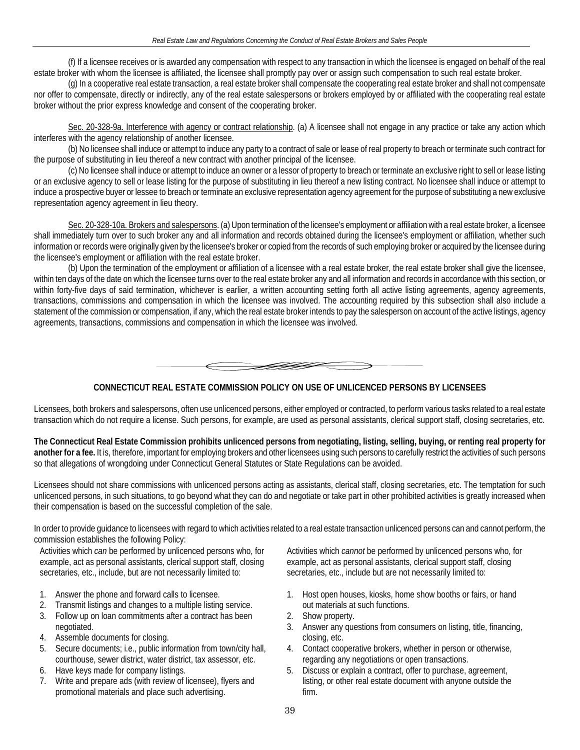(f) If a licensee receives or is awarded any compensation with respect to any transaction in which the licensee is engaged on behalf of the real estate broker with whom the licensee is affiliated, the licensee shall promptly pay over or assign such compensation to such real estate broker.

(g) In a cooperative real estate transaction, a real estate broker shall compensate the cooperating real estate broker and shall not compensate nor offer to compensate, directly or indirectly, any of the real estate salespersons or brokers employed by or affiliated with the cooperating real estate broker without the prior express knowledge and consent of the cooperating broker.

Sec. 20-328-9a. Interference with agency or contract relationship. (a) A licensee shall not engage in any practice or take any action which interferes with the agency relationship of another licensee.

(b) No licensee shall induce or attempt to induce any party to a contract of sale or lease of real property to breach or terminate such contract for the purpose of substituting in lieu thereof a new contract with another principal of the licensee.

(c) No licensee shall induce or attempt to induce an owner or a lessor of property to breach or terminate an exclusive right to sell or lease listing or an exclusive agency to sell or lease listing for the purpose of substituting in lieu thereof a new listing contract. No licensee shall induce or attempt to induce a prospective buyer or lessee to breach or terminate an exclusive representation agency agreement for the purpose of substituting a new exclusive representation agency agreement in lieu theory.

Sec. 20-328-10a. Brokers and salespersons. (a) Upon termination of the licensee's employment or affiliation with a real estate broker, a licensee shall immediately turn over to such broker any and all information and records obtained during the licensee's employment or affiliation, whether such information or records were originally given by the licensee's broker or copied from the records of such employing broker or acquired by the licensee during the licensee's employment or affiliation with the real estate broker.

(b) Upon the termination of the employment or affiliation of a licensee with a real estate broker, the real estate broker shall give the licensee, within ten days of the date on which the licensee turns over to the real estate broker any and all information and records in accordance with this section, or within forty-five days of said termination, whichever is earlier, a written accounting setting forth all active listing agreements, agency agreements, transactions, commissions and compensation in which the licensee was involved. The accounting required by this subsection shall also include a statement of the commission or compensation, if any, which the real estate broker intends to pay the salesperson on account of the active listings, agency agreements, transactions, commissions and compensation in which the licensee was involved.



## **CONNECTICUT REAL ESTATE COMMISSION POLICY ON USE OF UNLICENCED PERSONS BY LICENSEES**

Licensees, both brokers and salespersons, often use unlicenced persons, either employed or contracted, to perform various tasks related to a real estate transaction which do not require a license. Such persons, for example, are used as personal assistants, clerical support staff, closing secretaries, etc.

**The Connecticut Real Estate Commission prohibits unlicenced persons from negotiating, listing, selling, buying, or renting real property for another for a fee.** It is, therefore, important for employing brokers and other licensees using such persons to carefully restrict the activities of such persons so that allegations of wrongdoing under Connecticut General Statutes or State Regulations can be avoided.

Licensees should not share commissions with unlicenced persons acting as assistants, clerical staff, closing secretaries, etc. The temptation for such unlicenced persons, in such situations, to go beyond what they can do and negotiate or take part in other prohibited activities is greatly increased when their compensation is based on the successful completion of the sale.

In order to provide guidance to licensees with regard to which activities related to a real estate transaction unlicenced persons can and cannot perform, the commission establishes the following Policy:

Activities which *can* be performed by unlicenced persons who, for example, act as personal assistants, clerical support staff, closing secretaries, etc., include, but are not necessarily limited to:

- 1. Answer the phone and forward calls to licensee.
- 2. Transmit listings and changes to a multiple listing service. 3. Follow up on loan commitments after a contract has been negotiated.
- 4. Assemble documents for closing.
- 5. Secure documents; i.e., public information from town/city hall, courthouse, sewer district, water district, tax assessor, etc.
- 6. Have keys made for company listings.
- 7. Write and prepare ads (with review of licensee), flyers and promotional materials and place such advertising.

Activities which *cannot* be performed by unlicenced persons who, for example, act as personal assistants, clerical support staff, closing secretaries, etc., include but are not necessarily limited to:

- 1. Host open houses, kiosks, home show booths or fairs, or hand out materials at such functions.
- 2. Show property.
- 3. Answer any questions from consumers on listing, title, financing, closing, etc.
- 4. Contact cooperative brokers, whether in person or otherwise, regarding any negotiations or open transactions.
- 5. Discuss or explain a contract, offer to purchase, agreement, listing, or other real estate document with anyone outside the firm.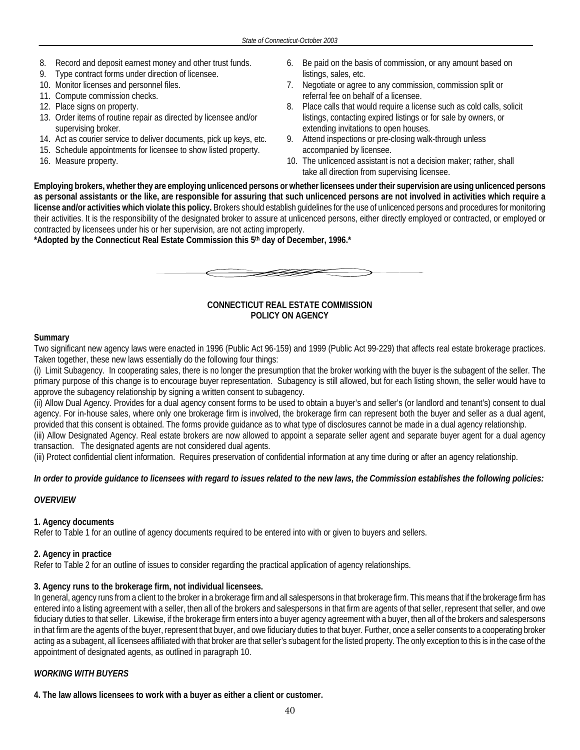- 8. Record and deposit earnest money and other trust funds.
- 9. Type contract forms under direction of licensee.
- 10. Monitor licenses and personnel files.
- 11. Compute commission checks.
- 12. Place signs on property.
- 13. Order items of routine repair as directed by licensee and/or supervising broker.
- 14. Act as courier service to deliver documents, pick up keys, etc.
- 15. Schedule appointments for licensee to show listed property.
- 16. Measure property.
- 6. Be paid on the basis of commission, or any amount based on listings, sales, etc.
- 7. Negotiate or agree to any commission, commission split or referral fee on behalf of a licensee.
- 8. Place calls that would require a license such as cold calls, solicit listings, contacting expired listings or for sale by owners, or extending invitations to open houses.
- 9. Attend inspections or pre-closing walk-through unless accompanied by licensee.
- 10. The unlicenced assistant is not a decision maker; rather, shall take all direction from supervising licensee.

**Employing brokers, whether they are employing unlicenced persons or whether licensees under their supervision are using unlicenced persons as personal assistants or the like, are responsible for assuring that such unlicenced persons are not involved in activities which require a license and/or activities which violate this policy.** Brokers should establish guidelines for the use of unlicenced persons and procedures for monitoring their activities. It is the responsibility of the designated broker to assure at unlicenced persons, either directly employed or contracted, or employed or contracted by licensees under his or her supervision, are not acting improperly.

**\*Adopted by the Connecticut Real Estate Commission this 5th day of December, 1996.\*** 



## **CONNECTICUT REAL ESTATE COMMISSION POLICY ON AGENCY**

## **Summary**

Two significant new agency laws were enacted in 1996 (Public Act 96-159) and 1999 (Public Act 99-229) that affects real estate brokerage practices. Taken together, these new laws essentially do the following four things:

(i) Limit Subagency. In cooperating sales, there is no longer the presumption that the broker working with the buyer is the subagent of the seller. The primary purpose of this change is to encourage buyer representation. Subagency is still allowed, but for each listing shown, the seller would have to approve the subagency relationship by signing a written consent to subagency.

(ii) Allow Dual Agency. Provides for a dual agency consent forms to be used to obtain a buyer's and seller's (or landlord and tenant's) consent to dual agency. For in-house sales, where only one brokerage firm is involved, the brokerage firm can represent both the buyer and seller as a dual agent, provided that this consent is obtained. The forms provide guidance as to what type of disclosures cannot be made in a dual agency relationship.

(iii) Allow Designated Agency. Real estate brokers are now allowed to appoint a separate seller agent and separate buyer agent for a dual agency transaction. The designated agents are not considered dual agents.

(iii) Protect confidential client information. Requires preservation of confidential information at any time during or after an agency relationship.

## *In order to provide guidance to licensees with regard to issues related to the new laws, the Commission establishes the following policies:*

## *OVERVIEW*

## **1. Agency documents**

Refer to Table 1 for an outline of agency documents required to be entered into with or given to buyers and sellers.

## **2. Agency in practice**

Refer to Table 2 for an outline of issues to consider regarding the practical application of agency relationships.

## **3. Agency runs to the brokerage firm, not individual licensees.**

In general, agency runs from a client to the broker in a brokerage firmand all salespersons in that brokerage firm. Thismeans that if the brokerage firm has entered into a listing agreement with a seller, then all of the brokers and salespersons in that firm are agents of that seller, represent that seller, and owe fiduciary duties to that seller. Likewise, if the brokerage firm enters into a buyer agency agreement with a buyer, then all of the brokers and salespersons in that firm are the agents of the buyer, represent that buyer, and owe fiduciary duties to that buyer. Further, once a seller consents to a cooperating broker acting as a subagent, all licensees affiliated with that broker are that seller's subagent for the listed property. The only exception to this is in the case of the appointment of designated agents, as outlined in paragraph 10.

## *WORKING WITH BUYERS*

**4. The law allows licensees to work with a buyer as either a client or customer.**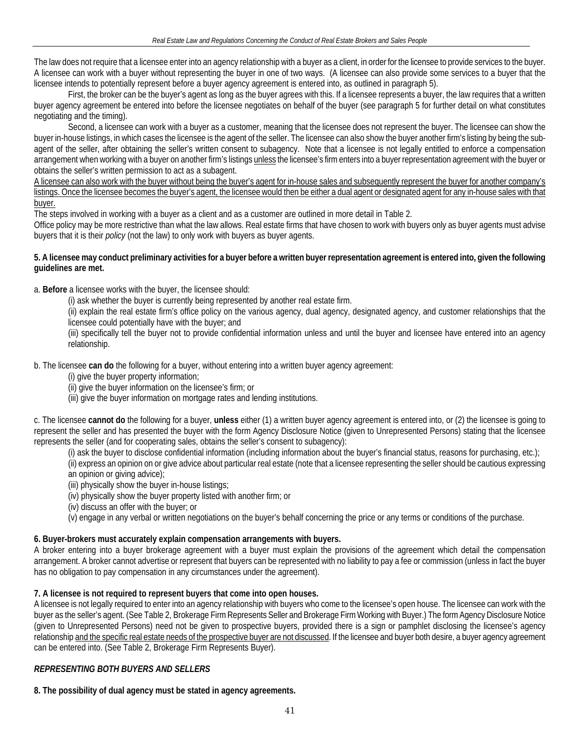The law does not require that a licensee enter into an agency relationship with a buyer as a client, in order for the licensee to provide services to the buyer. A licensee can work with a buyer without representing the buyer in one of two ways. (A licensee can also provide some services to a buyer that the licensee intends to potentially represent before a buyer agency agreement is entered into, as outlined in paragraph 5).

First, the broker can be the buyer's agent as long as the buyer agrees with this. If a licensee represents a buyer, the law requires that a written buyer agency agreement be entered into before the licensee negotiates on behalf of the buyer (see paragraph 5 for further detail on what constitutes negotiating and the timing).

Second, a licensee can work with a buyer as a customer, meaning that the licensee does not represent the buyer. The licensee can show the buyer in-house listings, in which cases the licensee is the agent of the seller. The licensee can also show the buyer another firm's listing by being the subagent of the seller, after obtaining the seller's written consent to subagency. Note that a licensee is not legally entitled to enforce a compensation arrangement when working with a buyer on another firm's listings unless the licensee's firm enters into a buyer representation agreement with the buyer or obtains the seller's written permission to act as a subagent.

A licensee can also work with the buyer without being the buyer's agent for in-house sales and subsequently represent the buyer for another company's listings. Once the licensee becomes the buyer's agent, the licensee would then be either a dual agent or designated agent for any in-house sales with that buyer.

The steps involved in working with a buyer as a client and as a customer are outlined in more detail in Table 2.

Office policy may be more restrictive than what the law allows. Real estate firms that have chosen to work with buyers only as buyer agents must advise buyers that it is their *policy* (not the law) to only work with buyers as buyer agents.

#### **5. A licensee may conduct preliminary activities for a buyer before a written buyer representation agreement is entered into, given the following guidelines are met.**

a. **Before** a licensee works with the buyer, the licensee should:

(i) ask whether the buyer is currently being represented by another real estate firm.

(ii) explain the real estate firm's office policy on the various agency, dual agency, designated agency, and customer relationships that the licensee could potentially have with the buyer; and

(iii) specifically tell the buyer not to provide confidential information unless and until the buyer and licensee have entered into an agency relationship.

b. The licensee **can do** the following for a buyer, without entering into a written buyer agency agreement:

(i) give the buyer property information;

(ii) give the buyer information on the licensee's firm; or

(iii) give the buyer information on mortgage rates and lending institutions.

c. The licensee **cannot do** the following for a buyer, **unless** either (1) a written buyer agency agreement is entered into, or (2) the licensee is going to represent the seller and has presented the buyer with the form Agency Disclosure Notice (given to Unrepresented Persons) stating that the licensee represents the seller (and for cooperating sales, obtains the seller's consent to subagency):

(i) ask the buyer to disclose confidential information (including information about the buyer's financial status, reasons for purchasing, etc.);

(ii) express an opinion on or give advice about particular real estate (note that a licensee representing the seller should be cautious expressing an opinion or giving advice);

(iii) physically show the buyer in-house listings;

(iv) physically show the buyer property listed with another firm; or

(iv) discuss an offer with the buyer; or

(v) engage in any verbal or written negotiations on the buyer's behalf concerning the price or any terms or conditions of the purchase.

## **6. Buyer-brokers must accurately explain compensation arrangements with buyers.**

A broker entering into a buyer brokerage agreement with a buyer must explain the provisions of the agreement which detail the compensation arrangement. A broker cannot advertise or represent that buyers can be represented with no liability to pay a fee or commission (unless in fact the buyer has no obligation to pay compensation in any circumstances under the agreement).

## **7. A licensee is not required to represent buyers that come into open houses.**

A licensee is not legally required to enter into an agency relationship with buyers who come to the licensee's open house. The licensee can work with the buyer as the seller's agent. (See Table 2, Brokerage Firm Represents Seller and Brokerage Firm Working with Buyer.) The form Agency Disclosure Notice (given to Unrepresented Persons) need not be given to prospective buyers, provided there is a sign or pamphlet disclosing the licensee's agency relationship and the specific real estate needs of the prospective buyer are not discussed. If the licensee and buyer both desire, a buyer agency agreement can be entered into. (See Table 2, Brokerage Firm Represents Buyer).

## *REPRESENTING BOTH BUYERS AND SELLERS*

**8. The possibility of dual agency must be stated in agency agreements.**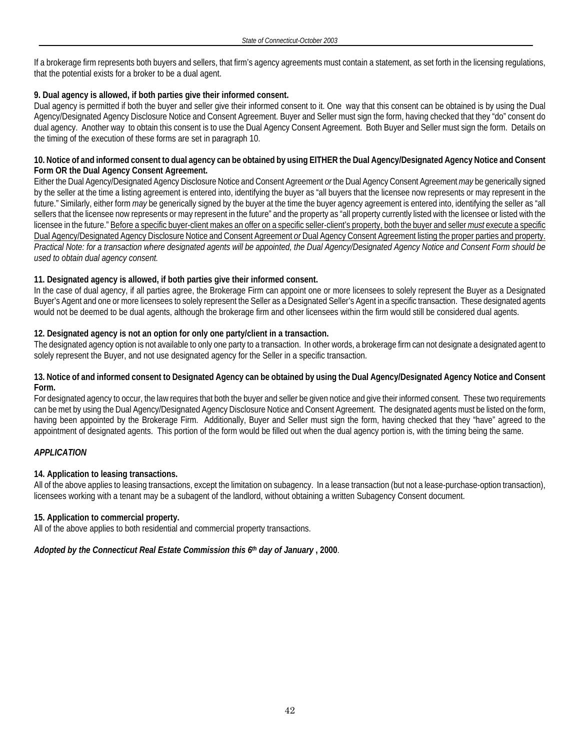If a brokerage firm represents both buyers and sellers, that firm's agency agreements must contain a statement, as set forth in the licensing regulations, that the potential exists for a broker to be a dual agent.

## **9. Dual agency is allowed, if both parties give their informed consent.**

Dual agency is permitted if both the buyer and seller give their informed consent to it. One way that this consent can be obtained is by using the Dual Agency/Designated Agency Disclosure Notice and Consent Agreement. Buyer and Seller must sign the form, having checked that they "do" consent do dual agency. Another way to obtain this consent is to use the Dual Agency Consent Agreement. Both Buyer and Seller must sign the form. Details on the timing of the execution of these forms are set in paragraph 10.

## **10. Notice of and informed consent to dual agency can be obtained by using EITHER the Dual Agency/Designated Agency Notice and Consent Form OR the Dual Agency Consent Agreement.**

Either the Dual Agency/Designated Agency Disclosure Notice and Consent Agreement *or* the Dual Agency Consent Agreement *may* be generically signed by the seller at the time a listing agreement is entered into, identifying the buyer as "all buyers that the licensee now represents or may represent in the future." Similarly, either form *may* be generically signed by the buyer at the time the buyer agency agreement is entered into, identifying the seller as "all sellers that the licensee now represents or may represent in the future" and the property as "all property currently listed with the licensee or listed with the licensee in the future." Before a specific buyer-client makes an offer on a specific seller-client's property, both the buyer and seller *must* execute a specific Dual Agency/Designated Agency Disclosure Notice and Consent Agreement *or* Dual Agency Consent Agreement listing the proper parties and property. *Practical Note: for a transaction where designated agents will be appointed, the Dual Agency/Designated Agency Notice and Consent Form should be used to obtain dual agency consent.* 

## **11. Designated agency is allowed, if both parties give their informed consent.**

In the case of dual agency, if all parties agree, the Brokerage Firm can appoint one or more licensees to solely represent the Buyer as a Designated Buyer's Agent and one or more licensees to solely represent the Seller as a Designated Seller's Agent in a specific transaction. These designated agents would not be deemed to be dual agents, although the brokerage firm and other licensees within the firm would still be considered dual agents.

## **12. Designated agency is not an option for only one party/client in a transaction.**

The designated agency option is not available to only one party to a transaction. In other words, a brokerage firm can not designate a designated agent to solely represent the Buyer, and not use designated agency for the Seller in a specific transaction.

## **13. Notice of and informed consent to Designated Agency can be obtained by using the Dual Agency/Designated Agency Notice and Consent Form.**

For designated agency to occur, the law requires that both the buyer and seller be given notice and give their informed consent. These two requirements can be met by using the Dual Agency/Designated Agency Disclosure Notice and Consent Agreement. The designated agents must be listed on the form, having been appointed by the Brokerage Firm. Additionally, Buyer and Seller must sign the form, having checked that they "have" agreed to the appointment of designated agents. This portion of the form would be filled out when the dual agency portion is, with the timing being the same.

## *APPLICATION*

## **14. Application to leasing transactions.**

All of the above applies to leasing transactions, except the limitation on subagency. In a lease transaction (but not a lease-purchase-option transaction), licensees working with a tenant may be a subagent of the landlord, without obtaining a written Subagency Consent document.

## **15. Application to commercial property.**

All of the above applies to both residential and commercial property transactions.

*Adopted by the Connecticut Real Estate Commission this 6th day of January* **, 2000**.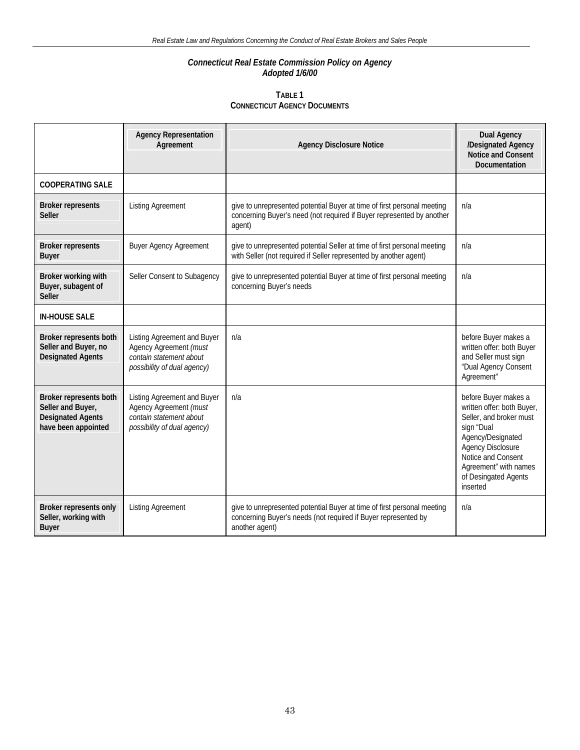## *Connecticut Real Estate Commission Policy on Agency Adopted 1/6/00*

## **TABLE 1 CONNECTICUT AGENCY DOCUMENTS**

|                                                                                                | <b>Agency Representation</b><br>Agreement                                                                                          | <b>Agency Disclosure Notice</b>                                                                                                                             | <b>Dual Agency</b><br>/Designated Agency<br><b>Notice and Consent</b><br>Documentation                                                                                                                                   |
|------------------------------------------------------------------------------------------------|------------------------------------------------------------------------------------------------------------------------------------|-------------------------------------------------------------------------------------------------------------------------------------------------------------|--------------------------------------------------------------------------------------------------------------------------------------------------------------------------------------------------------------------------|
| <b>COOPERATING SALE</b>                                                                        |                                                                                                                                    |                                                                                                                                                             |                                                                                                                                                                                                                          |
| <b>Broker represents</b><br>Seller                                                             | <b>Listing Agreement</b>                                                                                                           | give to unrepresented potential Buyer at time of first personal meeting<br>concerning Buyer's need (not required if Buyer represented by another<br>agent)  | n/a                                                                                                                                                                                                                      |
| <b>Broker represents</b><br><b>Buyer</b>                                                       | <b>Buyer Agency Agreement</b>                                                                                                      | give to unrepresented potential Seller at time of first personal meeting<br>with Seller (not required if Seller represented by another agent)               | n/a                                                                                                                                                                                                                      |
| Broker working with<br>Buyer, subagent of<br><b>Seller</b>                                     | Seller Consent to Subagency<br>give to unrepresented potential Buyer at time of first personal meeting<br>concerning Buyer's needs |                                                                                                                                                             | n/a                                                                                                                                                                                                                      |
| <b>IN-HOUSE SALE</b>                                                                           |                                                                                                                                    |                                                                                                                                                             |                                                                                                                                                                                                                          |
| Broker represents both<br>Seller and Buyer, no<br><b>Designated Agents</b>                     | Listing Agreement and Buyer<br>Agency Agreement (must<br>contain statement about<br>possibility of dual agency)                    | n/a                                                                                                                                                         | before Buyer makes a<br>written offer: both Buyer<br>and Seller must sign<br>"Dual Agency Consent<br>Agreement"                                                                                                          |
| Broker represents both<br>Seller and Buyer,<br><b>Designated Agents</b><br>have been appointed | Listing Agreement and Buyer<br>Agency Agreement (must<br>contain statement about<br>possibility of dual agency)                    | n/a                                                                                                                                                         | before Buyer makes a<br>written offer: both Buyer,<br>Seller, and broker must<br>sign "Dual<br>Agency/Designated<br>Agency Disclosure<br>Notice and Consent<br>Agreement" with names<br>of Desingated Agents<br>inserted |
| Broker represents only<br>Seller, working with<br><b>Buyer</b>                                 | <b>Listing Agreement</b>                                                                                                           | give to unrepresented potential Buyer at time of first personal meeting<br>concerning Buyer's needs (not required if Buyer represented by<br>another agent) | n/a                                                                                                                                                                                                                      |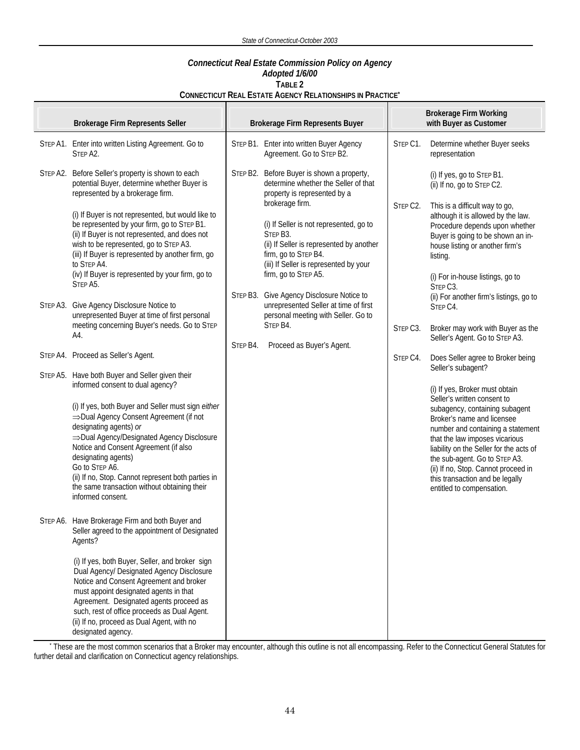#### *Connecticut Real Estate Commission Policy on Agency Adopted 1/6/00* **TABLE 2**

## **CONNECTICUT REAL ESTATE AGENCY RELATIONSHIPS IN PRACTICE\***

| Brokerage Firm Represents Seller |                                                                                                                                                                                                                                                                                                                                                                                  | Brokerage Firm Represents Buyer |                                                                                                                                                                                                              | <b>Brokerage Firm Working</b><br>with Buyer as Customer |                                                                                                                                                                                                                                                                                                                                                       |
|----------------------------------|----------------------------------------------------------------------------------------------------------------------------------------------------------------------------------------------------------------------------------------------------------------------------------------------------------------------------------------------------------------------------------|---------------------------------|--------------------------------------------------------------------------------------------------------------------------------------------------------------------------------------------------------------|---------------------------------------------------------|-------------------------------------------------------------------------------------------------------------------------------------------------------------------------------------------------------------------------------------------------------------------------------------------------------------------------------------------------------|
|                                  | STEP A1. Enter into written Listing Agreement. Go to<br>STEP A2.                                                                                                                                                                                                                                                                                                                 |                                 | STEP B1. Enter into written Buyer Agency<br>Agreement. Go to STEP B2.                                                                                                                                        | STEP C1.                                                | Determine whether Buyer seeks<br>representation                                                                                                                                                                                                                                                                                                       |
|                                  | STEP A2. Before Seller's property is shown to each<br>potential Buyer, determine whether Buyer is<br>represented by a brokerage firm.                                                                                                                                                                                                                                            |                                 | STEP B2. Before Buyer is shown a property,<br>determine whether the Seller of that<br>property is represented by a                                                                                           |                                                         | (i) If yes, go to STEP B1.<br>(ii) If no, go to STEP C2.                                                                                                                                                                                                                                                                                              |
|                                  | (i) If Buyer is not represented, but would like to<br>be represented by your firm, go to STEP B1.<br>(ii) If Buyer is not represented, and does not<br>wish to be represented, go to STEP A3.<br>(iii) If Buyer is represented by another firm, go<br>to STEP A4.<br>(iv) If Buyer is represented by your firm, go to<br>STEP A5.                                                |                                 | brokerage firm.<br>(i) If Seller is not represented, go to<br>STEP B3.<br>(ii) If Seller is represented by another<br>firm, go to STEP B4.<br>(iii) If Seller is represented by your<br>firm, go to STEP A5. | STEP C2.                                                | This is a difficult way to go,<br>although it is allowed by the law.<br>Procedure depends upon whether<br>Buyer is going to be shown an in-<br>house listing or another firm's<br>listing.<br>(i) For in-house listings, go to<br>STEP C3.                                                                                                            |
|                                  | STEP A3. Give Agency Disclosure Notice to<br>unrepresented Buyer at time of first personal<br>meeting concerning Buyer's needs. Go to STEP<br>A4.                                                                                                                                                                                                                                |                                 | STEP B3. Give Agency Disclosure Notice to<br>unrepresented Seller at time of first<br>personal meeting with Seller. Go to<br>STEP B4.                                                                        | STEP C3.                                                | (ii) For another firm's listings, go to<br>STEP C4.<br>Broker may work with Buyer as the                                                                                                                                                                                                                                                              |
|                                  | STEP A4. Proceed as Seller's Agent.                                                                                                                                                                                                                                                                                                                                              | STEP B4.                        | Proceed as Buyer's Agent.                                                                                                                                                                                    | STEP C4.                                                | Seller's Agent. Go to STEP A3.<br>Does Seller agree to Broker being                                                                                                                                                                                                                                                                                   |
|                                  | STEP A5. Have both Buyer and Seller given their<br>informed consent to dual agency?                                                                                                                                                                                                                                                                                              |                                 |                                                                                                                                                                                                              |                                                         | Seller's subagent?<br>(i) If yes, Broker must obtain                                                                                                                                                                                                                                                                                                  |
|                                  | (i) If yes, both Buyer and Seller must sign either<br>⇒Dual Agency Consent Agreement (if not<br>designating agents) or<br>⇒Dual Agency/Designated Agency Disclosure<br>Notice and Consent Agreement (if also<br>designating agents)<br>Go to STEP A6.<br>(ii) If no, Stop. Cannot represent both parties in<br>the same transaction without obtaining their<br>informed consent. |                                 |                                                                                                                                                                                                              |                                                         | Seller's written consent to<br>subagency, containing subagent<br>Broker's name and licensee<br>number and containing a statement<br>that the law imposes vicarious<br>liability on the Seller for the acts of<br>the sub-agent. Go to STEP A3.<br>(ii) If no, Stop. Cannot proceed in<br>this transaction and be legally<br>entitled to compensation. |
|                                  | STEP A6. Have Brokerage Firm and both Buyer and<br>Seller agreed to the appointment of Designated<br>Agents?                                                                                                                                                                                                                                                                     |                                 |                                                                                                                                                                                                              |                                                         |                                                                                                                                                                                                                                                                                                                                                       |
|                                  | (i) If yes, both Buyer, Seller, and broker sign<br>Dual Agency/ Designated Agency Disclosure<br>Notice and Consent Agreement and broker<br>must appoint designated agents in that<br>Agreement. Designated agents proceed as<br>such, rest of office proceeds as Dual Agent.<br>(ii) If no, proceed as Dual Agent, with no<br>designated agency.                                 |                                 |                                                                                                                                                                                                              |                                                         |                                                                                                                                                                                                                                                                                                                                                       |

\* These are the most common scenarios that a Broker may encounter, although this outline is not all encompassing. Refer to the Connecticut General Statutes for further detail and clarification on Connecticut agency relationships.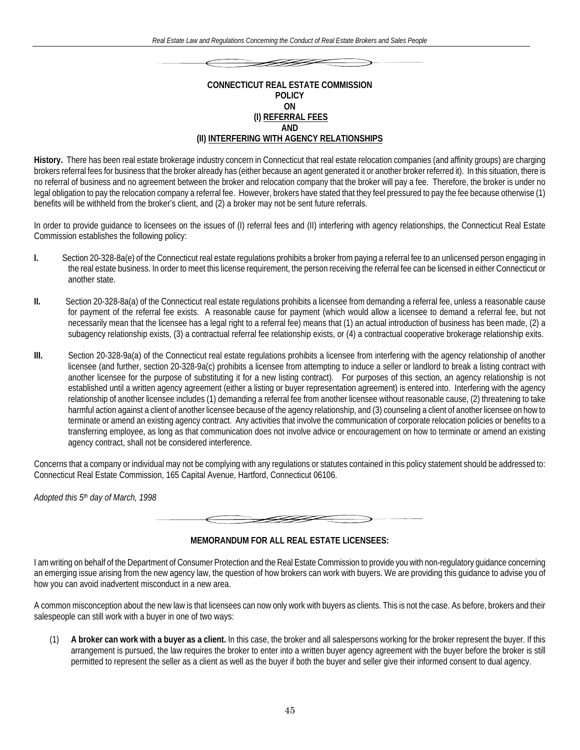#### **CONNECTICUT REAL ESTATE COMMISSION POLICY ON (I) REFERRAL FEES AND (II) INTERFERING WITH AGENCY RELATIONSHIPS**

**History.** There has been real estate brokerage industry concern in Connecticut that real estate relocation companies (and affinity groups) are charging brokers referral fees for business that the broker already has (either because an agent generated it or another broker referred it). In this situation, there is no referral of business and no agreement between the broker and relocation company that the broker will pay a fee. Therefore, the broker is under no legal obligation to pay the relocation company a referral fee. However, brokers have stated that they feel pressured to pay the fee because otherwise (1) benefits will be withheld from the broker's client, and (2) a broker may not be sent future referrals.

In order to provide quidance to licensees on the issues of (I) referral fees and (II) interfering with agency relationships, the Connecticut Real Estate Commission establishes the following policy:

- **I.** Section 20-328-8a(e) of the Connecticut real estate regulations prohibits a broker from paying a referral fee to an unlicensed person engaging in the real estate business. In order to meet this license requirement, the person receiving the referral fee can be licensed in either Connecticut or another state.
- **II.** Section 20-328-8a(a) of the Connecticut real estate regulations prohibits a licensee from demanding a referral fee, unless a reasonable cause for payment of the referral fee exists. A reasonable cause for payment (which would allow a licensee to demand a referral fee, but not necessarily mean that the licensee has a legal right to a referral fee) means that (1) an actual introduction of business has been made, (2) a subagency relationship exists, (3) a contractual referral fee relationship exists, or (4) a contractual cooperative brokerage relationship exits.
- **III.** Section 20-328-9a(a) of the Connecticut real estate regulations prohibits a licensee from interfering with the agency relationship of another licensee (and further, section 20-328-9a(c) prohibits a licensee from attempting to induce a seller or landlord to break a listing contract with another licensee for the purpose of substituting it for a new listing contract). For purposes of this section, an agency relationship is not established until a written agency agreement (either a listing or buyer representation agreement) is entered into. Interfering with the agency relationship of another licensee includes (1) demanding a referral fee from another licensee without reasonable cause, (2) threatening to take harmful action against a client of another licensee because of the agency relationship, and (3) counseling a client of another licensee on how to terminate or amend an existing agency contract. Any activities that involve the communication of corporate relocation policies or benefits to a transferring employee, as long as that communication does not involve advice or encouragement on how to terminate or amend an existing agency contract, shall not be considered interference.

Concerns that a company or individual may not be complying with any regulations or statutes contained in this policy statement should be addressed to: Connecticut Real Estate Commission, 165 Capital Avenue, Hartford, Connecticut 06106.

*Adopted this 5th day of March, 1998*

## **MEMORANDUM FOR ALL REAL ESTATE LICENSEES:**

I am writing on behalf of the Department of Consumer Protection and the Real Estate Commission to provide you with non-regulatory guidance concerning an emerging issue arising from the new agency law, the question of how brokers can work with buyers. We are providing this guidance to advise you of how you can avoid inadvertent misconduct in a new area.

A common misconception about the new law is that licensees can now only work with buyers as clients. This is not the case. As before, brokers and their salespeople can still work with a buyer in one of two ways:

(1) **A broker can work with a buyer as a client.** In this case, the broker and all salespersons working for the broker represent the buyer. If this arrangement is pursued, the law requires the broker to enter into a written buyer agency agreement with the buyer before the broker is still permitted to represent the seller as a client as well as the buyer if both the buyer and seller give their informed consent to dual agency.